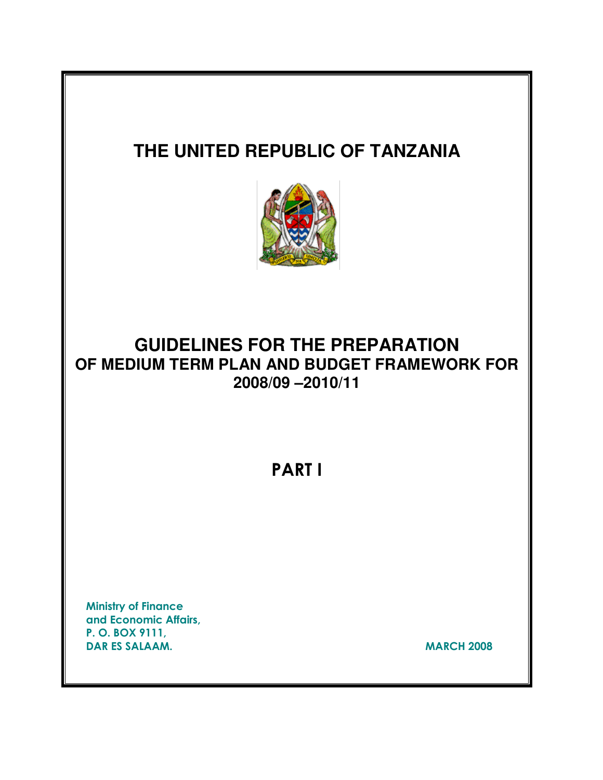# **THE UNITED REPUBLIC OF TANZANIA GUIDELINES FOR THE PREPARATION OF MEDIUM TERM PLAN AND BUDGET FRAMEWORK FOR 2008/09 –2010/11** PART I Ministry of Finance and Economic Affairs, P. O. BOX 9111, DAR ES SALAAM. MARCH 2008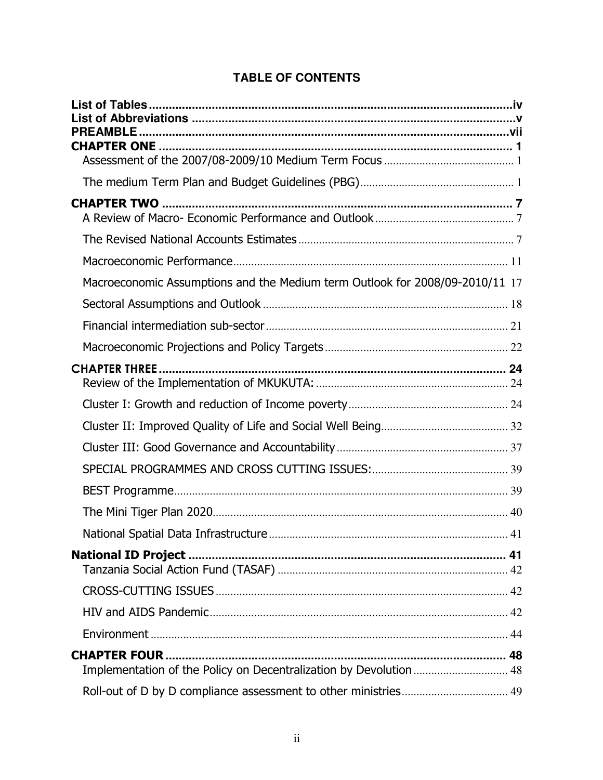| <b>TABLE OF CONTENTS</b> |  |  |
|--------------------------|--|--|
|                          |  |  |

| Macroeconomic Assumptions and the Medium term Outlook for 2008/09-2010/11 17               |  |
|--------------------------------------------------------------------------------------------|--|
|                                                                                            |  |
|                                                                                            |  |
|                                                                                            |  |
|                                                                                            |  |
|                                                                                            |  |
|                                                                                            |  |
|                                                                                            |  |
|                                                                                            |  |
|                                                                                            |  |
|                                                                                            |  |
|                                                                                            |  |
|                                                                                            |  |
|                                                                                            |  |
|                                                                                            |  |
|                                                                                            |  |
| <b>CHAPTER FOUR </b><br>Implementation of the Policy on Decentralization by Devolution  48 |  |
|                                                                                            |  |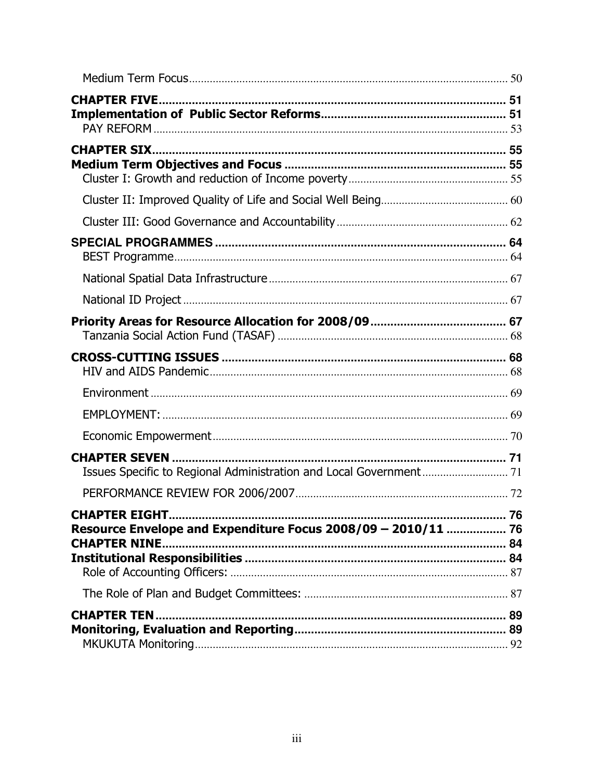| Resource Envelope and Expenditure Focus 2008/09 - 2010/11  76 |  |
|---------------------------------------------------------------|--|
|                                                               |  |
|                                                               |  |
|                                                               |  |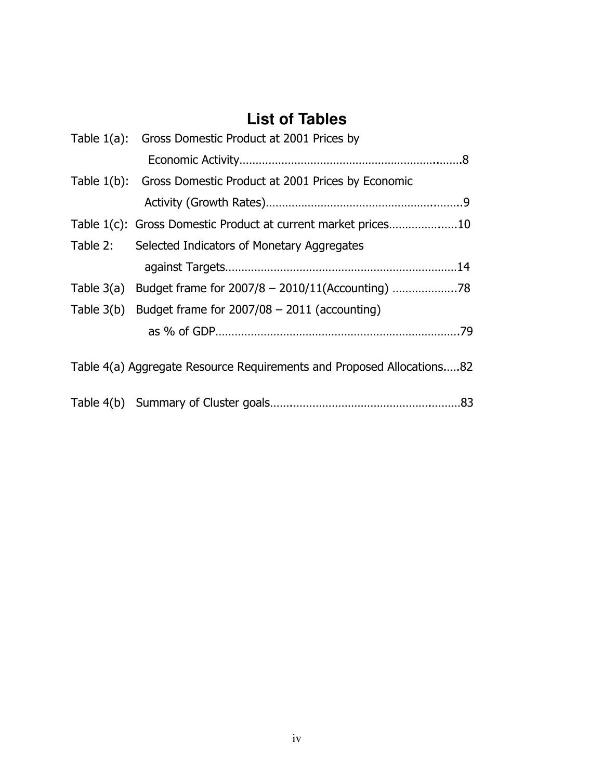# **List of Tables**

| Table 1(a): Gross Domestic Product at 2001 Prices by                  |
|-----------------------------------------------------------------------|
|                                                                       |
| Table 1(b): Gross Domestic Product at 2001 Prices by Economic         |
|                                                                       |
| Table 1(c): Gross Domestic Product at current market prices10         |
| Table 2: Selected Indicators of Monetary Aggregates                   |
|                                                                       |
| Table 3(a) Budget frame for 2007/8 - 2010/11(Accounting) 78           |
| Table $3(b)$ Budget frame for $2007/08 - 2011$ (accounting)           |
|                                                                       |
| Table 4(a) Aggregate Resource Requirements and Proposed Allocations82 |
|                                                                       |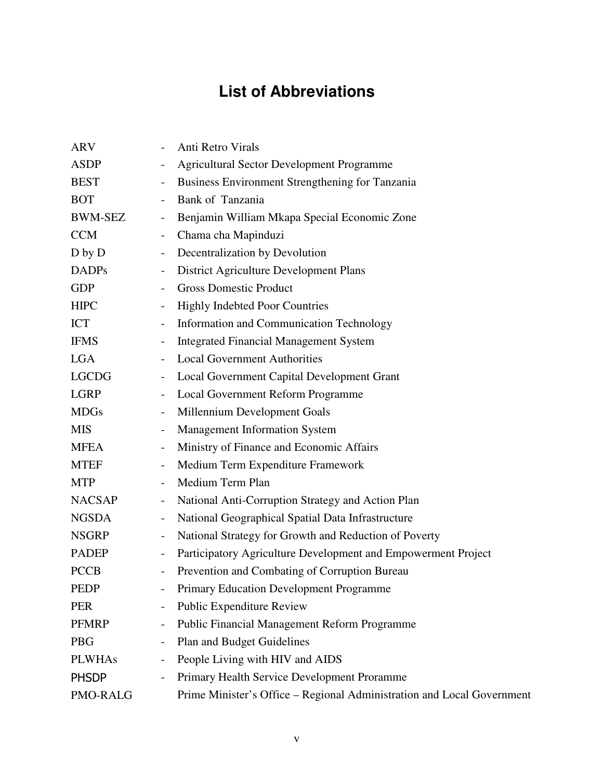# **List of Abbreviations**

| <b>Agricultural Sector Development Programme</b>                       |
|------------------------------------------------------------------------|
| Business Environment Strengthening for Tanzania                        |
| Bank of Tanzania                                                       |
| Benjamin William Mkapa Special Economic Zone                           |
| Chama cha Mapinduzi                                                    |
| Decentralization by Devolution                                         |
| <b>District Agriculture Development Plans</b>                          |
| <b>Gross Domestic Product</b>                                          |
| <b>Highly Indebted Poor Countries</b>                                  |
| Information and Communication Technology                               |
| <b>Integrated Financial Management System</b>                          |
| <b>Local Government Authorities</b>                                    |
| Local Government Capital Development Grant                             |
| Local Government Reform Programme                                      |
| Millennium Development Goals                                           |
| <b>Management Information System</b>                                   |
| Ministry of Finance and Economic Affairs                               |
| Medium Term Expenditure Framework                                      |
| Medium Term Plan                                                       |
| National Anti-Corruption Strategy and Action Plan                      |
| National Geographical Spatial Data Infrastructure                      |
| National Strategy for Growth and Reduction of Poverty                  |
| Participatory Agriculture Development and Empowerment Project          |
| Prevention and Combating of Corruption Bureau                          |
| Primary Education Development Programme                                |
| <b>Public Expenditure Review</b>                                       |
| <b>Public Financial Management Reform Programme</b>                    |
| Plan and Budget Guidelines                                             |
| People Living with HIV and AIDS                                        |
| Primary Health Service Development Proramme                            |
| Prime Minister's Office – Regional Administration and Local Government |
|                                                                        |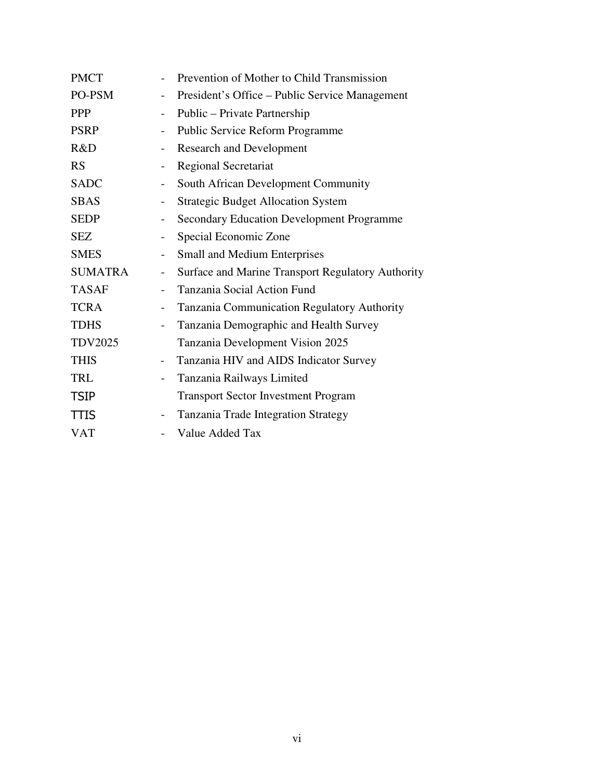| <b>PMCT</b>    |                          | Prevention of Mother to Child Transmission        |
|----------------|--------------------------|---------------------------------------------------|
| PO-PSM         | $\qquad \qquad -$        | President's Office – Public Service Management    |
| <b>PPP</b>     |                          | Public – Private Partnership                      |
| <b>PSRP</b>    | $\qquad \qquad -$        | Public Service Reform Programme                   |
| R&D            |                          | <b>Research and Development</b>                   |
| <b>RS</b>      | $\qquad \qquad -$        | <b>Regional Secretariat</b>                       |
| <b>SADC</b>    | $\qquad \qquad -$        | South African Development Community               |
| <b>SBAS</b>    | $\overline{\phantom{a}}$ | <b>Strategic Budget Allocation System</b>         |
| <b>SEDP</b>    | $\qquad \qquad -$        | <b>Secondary Education Development Programme</b>  |
| <b>SEZ</b>     |                          | Special Economic Zone                             |
| <b>SMES</b>    | $\qquad \qquad -$        | <b>Small and Medium Enterprises</b>               |
| <b>SUMATRA</b> | $\overline{\phantom{0}}$ | Surface and Marine Transport Regulatory Authority |
| <b>TASAF</b>   | $-$                      | Tanzania Social Action Fund                       |
| <b>TCRA</b>    |                          | Tanzania Communication Regulatory Authority       |
| <b>TDHS</b>    |                          | Tanzania Demographic and Health Survey            |
| <b>TDV2025</b> |                          | Tanzania Development Vision 2025                  |
| <b>THIS</b>    | $\overline{\phantom{0}}$ | Tanzania HIV and AIDS Indicator Survey            |
| TRL            | $\overline{\phantom{a}}$ | Tanzania Railways Limited                         |
| <b>TSIP</b>    |                          | <b>Transport Sector Investment Program</b>        |
| <b>TTIS</b>    |                          | Tanzania Trade Integration Strategy               |
| <b>VAT</b>     |                          | Value Added Tax                                   |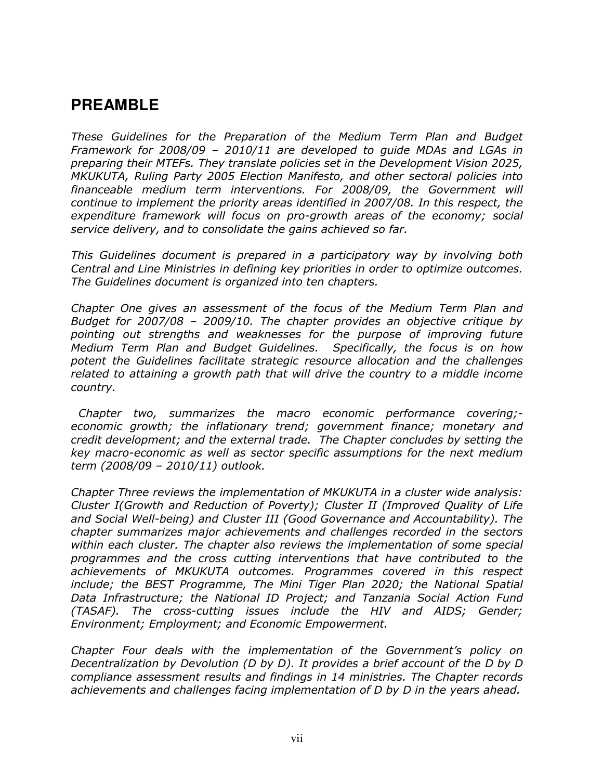# **PREAMBLE**

These Guidelines for the Preparation of the Medium Term Plan and Budget Framework for 2008/09 – 2010/11 are developed to guide MDAs and LGAs in preparing their MTEFs. They translate policies set in the Development Vision 2025, MKUKUTA, Ruling Party 2005 Election Manifesto, and other sectoral policies into financeable medium term interventions. For 2008/09, the Government will continue to implement the priority areas identified in 2007/08. In this respect, the expenditure framework will focus on pro-growth areas of the economy; social service delivery, and to consolidate the gains achieved so far.

This Guidelines document is prepared in a participatory way by involving both Central and Line Ministries in defining key priorities in order to optimize outcomes. The Guidelines document is organized into ten chapters.

Chapter One gives an assessment of the focus of the Medium Term Plan and Budget for 2007/08 – 2009/10. The chapter provides an objective critique by pointing out strengths and weaknesses for the purpose of improving future Medium Term Plan and Budget Guidelines. Specifically, the focus is on how potent the Guidelines facilitate strategic resource allocation and the challenges related to attaining a growth path that will drive the country to a middle income country.

 Chapter two, summarizes the macro economic performance covering; economic growth; the inflationary trend; government finance; monetary and credit development; and the external trade. The Chapter concludes by setting the key macro-economic as well as sector specific assumptions for the next medium term (2008/09 – 2010/11) outlook.

Chapter Three reviews the implementation of MKUKUTA in a cluster wide analysis: Cluster I(Growth and Reduction of Poverty); Cluster II (Improved Quality of Life and Social Well-being) and Cluster III (Good Governance and Accountability). The chapter summarizes major achievements and challenges recorded in the sectors within each cluster. The chapter also reviews the implementation of some special programmes and the cross cutting interventions that have contributed to the achievements of MKUKUTA outcomes. Programmes covered in this respect include; the BEST Programme, The Mini Tiger Plan 2020; the National Spatial Data Infrastructure; the National ID Project; and Tanzania Social Action Fund (TASAF). The cross-cutting issues include the HIV and AIDS; Gender; Environment; Employment; and Economic Empowerment.

Chapter Four deals with the implementation of the Government's policy on Decentralization by Devolution (D by D). It provides a brief account of the D by D compliance assessment results and findings in 14 ministries. The Chapter records achievements and challenges facing implementation of D by D in the years ahead.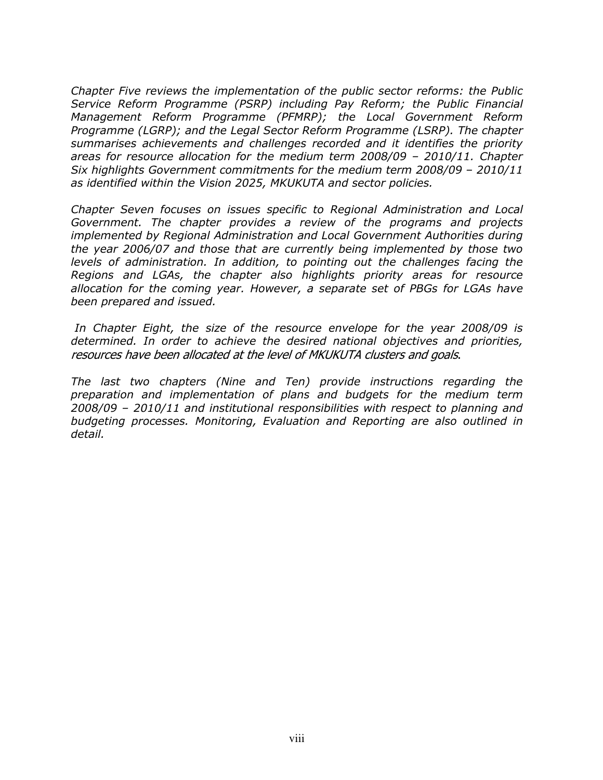Chapter Five reviews the implementation of the public sector reforms: the Public Service Reform Programme (PSRP) including Pay Reform; the Public Financial Management Reform Programme (PFMRP); the Local Government Reform Programme (LGRP); and the Legal Sector Reform Programme (LSRP). The chapter summarises achievements and challenges recorded and it identifies the priority areas for resource allocation for the medium term 2008/09 – 2010/11. Chapter Six highlights Government commitments for the medium term 2008/09 – 2010/11 as identified within the Vision 2025, MKUKUTA and sector policies.

Chapter Seven focuses on issues specific to Regional Administration and Local Government. The chapter provides a review of the programs and projects implemented by Regional Administration and Local Government Authorities during the year 2006/07 and those that are currently being implemented by those two levels of administration. In addition, to pointing out the challenges facing the Regions and LGAs, the chapter also highlights priority areas for resource allocation for the coming year. However, a separate set of PBGs for LGAs have been prepared and issued.

 In Chapter Eight, the size of the resource envelope for the year 2008/09 is determined. In order to achieve the desired national objectives and priorities, resources have been allocated at the level of MKUKUTA clusters and goals.

The last two chapters (Nine and Ten) provide instructions regarding the preparation and implementation of plans and budgets for the medium term 2008/09 – 2010/11 and institutional responsibilities with respect to planning and budgeting processes. Monitoring, Evaluation and Reporting are also outlined in detail.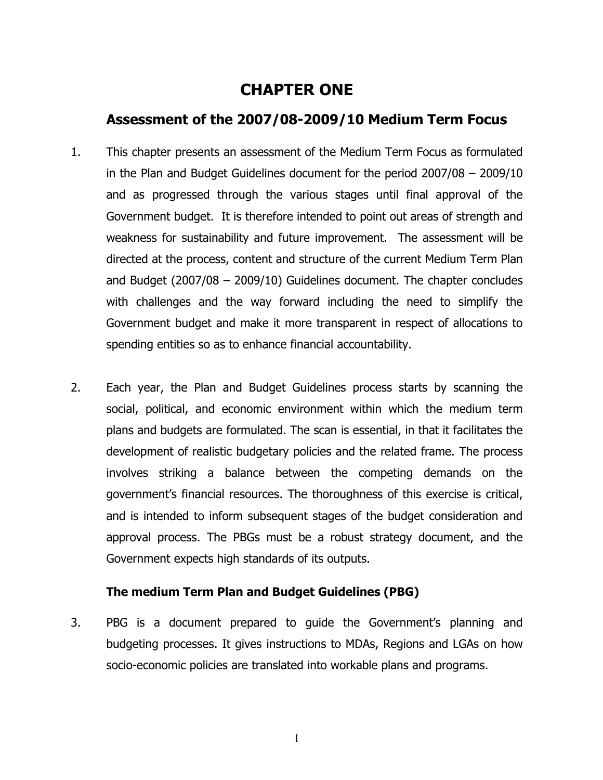# CHAPTER ONE

# Assessment of the 2007/08-2009/10 Medium Term Focus

- 1. This chapter presents an assessment of the Medium Term Focus as formulated in the Plan and Budget Guidelines document for the period 2007/08 – 2009/10 and as progressed through the various stages until final approval of the Government budget. It is therefore intended to point out areas of strength and weakness for sustainability and future improvement. The assessment will be directed at the process, content and structure of the current Medium Term Plan and Budget (2007/08 – 2009/10) Guidelines document. The chapter concludes with challenges and the way forward including the need to simplify the Government budget and make it more transparent in respect of allocations to spending entities so as to enhance financial accountability.
- 2. Each year, the Plan and Budget Guidelines process starts by scanning the social, political, and economic environment within which the medium term plans and budgets are formulated. The scan is essential, in that it facilitates the development of realistic budgetary policies and the related frame. The process involves striking a balance between the competing demands on the government's financial resources. The thoroughness of this exercise is critical, and is intended to inform subsequent stages of the budget consideration and approval process. The PBGs must be a robust strategy document, and the Government expects high standards of its outputs.

#### The medium Term Plan and Budget Guidelines (PBG)

3. PBG is a document prepared to guide the Government's planning and budgeting processes. It gives instructions to MDAs, Regions and LGAs on how socio-economic policies are translated into workable plans and programs.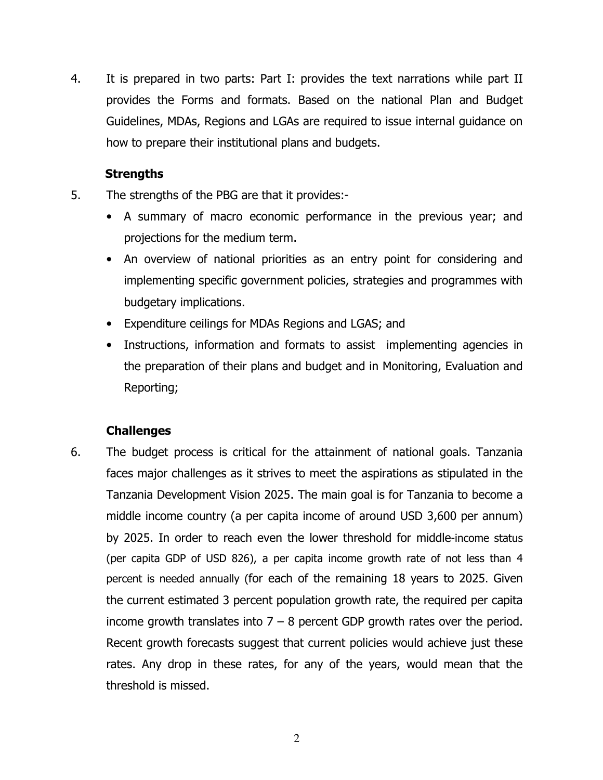4. It is prepared in two parts: Part I: provides the text narrations while part II provides the Forms and formats. Based on the national Plan and Budget Guidelines, MDAs, Regions and LGAs are required to issue internal guidance on how to prepare their institutional plans and budgets.

#### **Strengths**

- 5. The strengths of the PBG are that it provides:-
	- A summary of macro economic performance in the previous year; and projections for the medium term.
	- An overview of national priorities as an entry point for considering and implementing specific government policies, strategies and programmes with budgetary implications.
	- Expenditure ceilings for MDAs Regions and LGAS; and
	- Instructions, information and formats to assist implementing agencies in the preparation of their plans and budget and in Monitoring, Evaluation and Reporting;

#### Challenges

6. The budget process is critical for the attainment of national goals. Tanzania faces major challenges as it strives to meet the aspirations as stipulated in the Tanzania Development Vision 2025. The main goal is for Tanzania to become a middle income country (a per capita income of around USD 3,600 per annum) by 2025. In order to reach even the lower threshold for middle-income status (per capita GDP of USD 826), a per capita income growth rate of not less than 4 percent is needed annually (for each of the remaining 18 years to 2025. Given the current estimated 3 percent population growth rate, the required per capita income growth translates into  $7 - 8$  percent GDP growth rates over the period. Recent growth forecasts suggest that current policies would achieve just these rates. Any drop in these rates, for any of the years, would mean that the threshold is missed.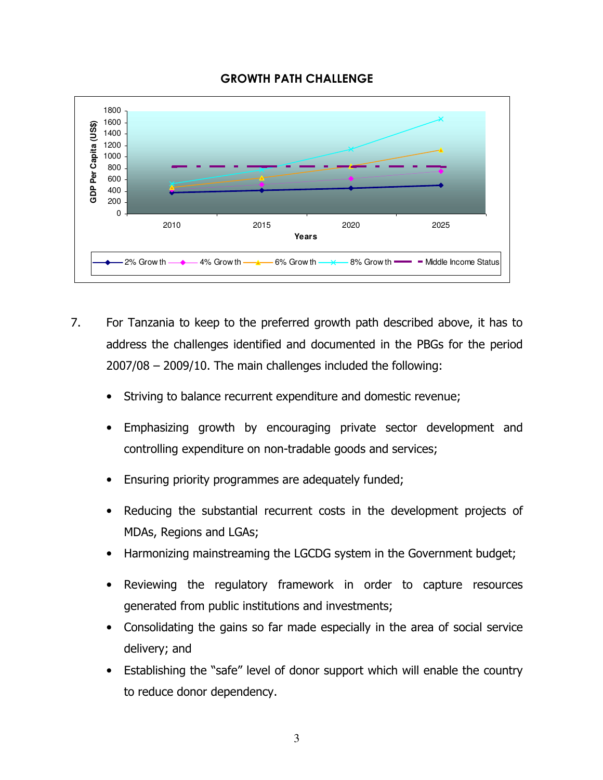



- 7. For Tanzania to keep to the preferred growth path described above, it has to address the challenges identified and documented in the PBGs for the period 2007/08 – 2009/10. The main challenges included the following:
	- Striving to balance recurrent expenditure and domestic revenue;
	- Emphasizing growth by encouraging private sector development and controlling expenditure on non-tradable goods and services;
	- Ensuring priority programmes are adequately funded;
	- Reducing the substantial recurrent costs in the development projects of MDAs, Regions and LGAs;
	- Harmonizing mainstreaming the LGCDG system in the Government budget;
	- Reviewing the regulatory framework in order to capture resources generated from public institutions and investments;
	- Consolidating the gains so far made especially in the area of social service delivery; and
	- Establishing the "safe" level of donor support which will enable the country to reduce donor dependency.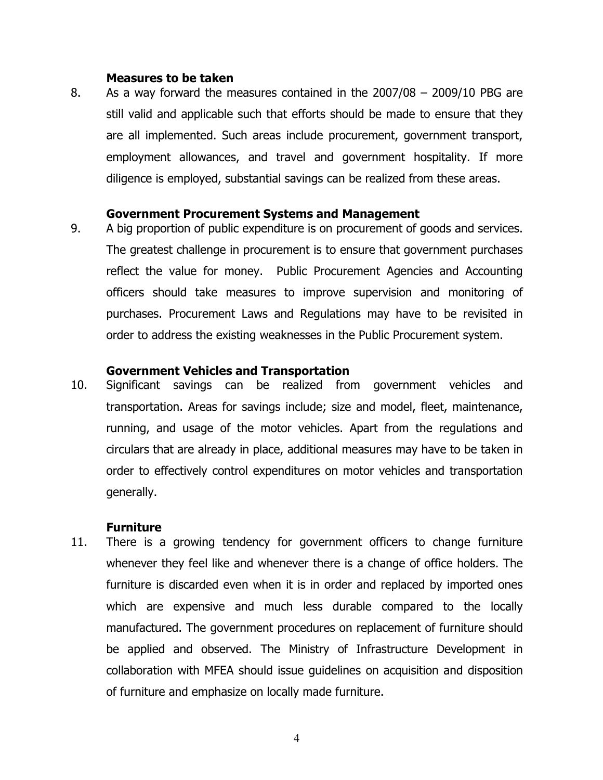#### Measures to be taken

8. As a way forward the measures contained in the 2007/08 – 2009/10 PBG are still valid and applicable such that efforts should be made to ensure that they are all implemented. Such areas include procurement, government transport, employment allowances, and travel and government hospitality. If more diligence is employed, substantial savings can be realized from these areas.

#### Government Procurement Systems and Management

9. A big proportion of public expenditure is on procurement of goods and services. The greatest challenge in procurement is to ensure that government purchases reflect the value for money. Public Procurement Agencies and Accounting officers should take measures to improve supervision and monitoring of purchases. Procurement Laws and Regulations may have to be revisited in order to address the existing weaknesses in the Public Procurement system.

#### Government Vehicles and Transportation

10. Significant savings can be realized from government vehicles and transportation. Areas for savings include; size and model, fleet, maintenance, running, and usage of the motor vehicles. Apart from the regulations and circulars that are already in place, additional measures may have to be taken in order to effectively control expenditures on motor vehicles and transportation generally.

#### **Furniture**

11. There is a growing tendency for government officers to change furniture whenever they feel like and whenever there is a change of office holders. The furniture is discarded even when it is in order and replaced by imported ones which are expensive and much less durable compared to the locally manufactured. The government procedures on replacement of furniture should be applied and observed. The Ministry of Infrastructure Development in collaboration with MFEA should issue guidelines on acquisition and disposition of furniture and emphasize on locally made furniture.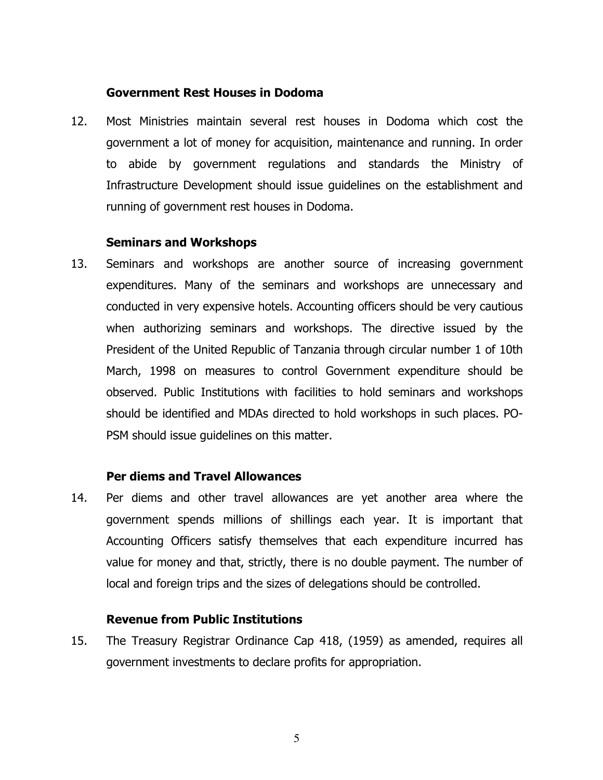#### Government Rest Houses in Dodoma

12. Most Ministries maintain several rest houses in Dodoma which cost the government a lot of money for acquisition, maintenance and running. In order to abide by government regulations and standards the Ministry of Infrastructure Development should issue guidelines on the establishment and running of government rest houses in Dodoma.

#### Seminars and Workshops

13. Seminars and workshops are another source of increasing government expenditures. Many of the seminars and workshops are unnecessary and conducted in very expensive hotels. Accounting officers should be very cautious when authorizing seminars and workshops. The directive issued by the President of the United Republic of Tanzania through circular number 1 of 10th March, 1998 on measures to control Government expenditure should be observed. Public Institutions with facilities to hold seminars and workshops should be identified and MDAs directed to hold workshops in such places. PO-PSM should issue guidelines on this matter.

#### Per diems and Travel Allowances

14. Per diems and other travel allowances are yet another area where the government spends millions of shillings each year. It is important that Accounting Officers satisfy themselves that each expenditure incurred has value for money and that, strictly, there is no double payment. The number of local and foreign trips and the sizes of delegations should be controlled.

#### Revenue from Public Institutions

15. The Treasury Registrar Ordinance Cap 418, (1959) as amended, requires all government investments to declare profits for appropriation.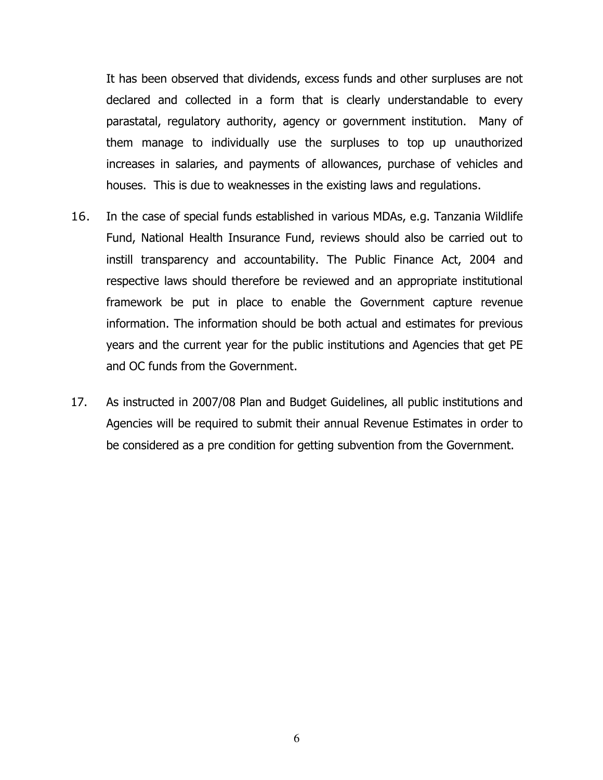It has been observed that dividends, excess funds and other surpluses are not declared and collected in a form that is clearly understandable to every parastatal, regulatory authority, agency or government institution. Many of them manage to individually use the surpluses to top up unauthorized increases in salaries, and payments of allowances, purchase of vehicles and houses. This is due to weaknesses in the existing laws and regulations.

- 16. In the case of special funds established in various MDAs, e.g. Tanzania Wildlife Fund, National Health Insurance Fund, reviews should also be carried out to instill transparency and accountability. The Public Finance Act, 2004 and respective laws should therefore be reviewed and an appropriate institutional framework be put in place to enable the Government capture revenue information. The information should be both actual and estimates for previous years and the current year for the public institutions and Agencies that get PE and OC funds from the Government.
- 17. As instructed in 2007/08 Plan and Budget Guidelines, all public institutions and Agencies will be required to submit their annual Revenue Estimates in order to be considered as a pre condition for getting subvention from the Government.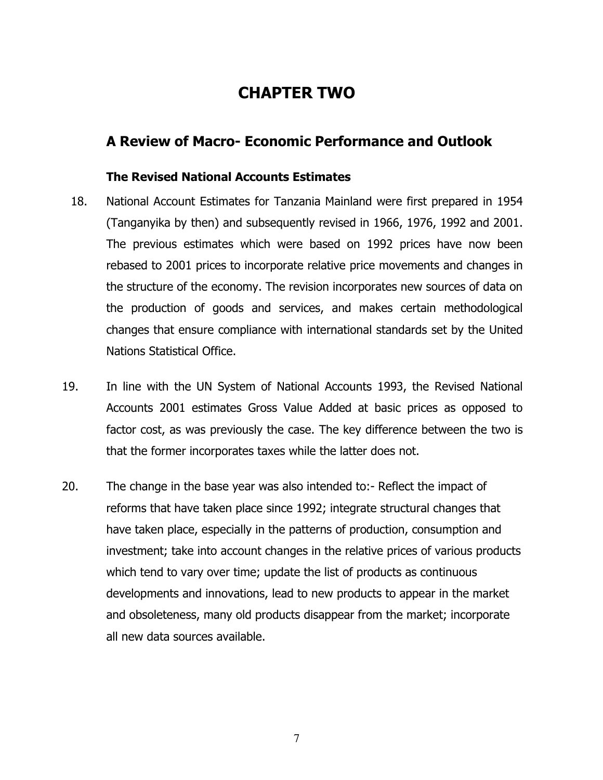# CHAPTER TWO

# A Review of Macro- Economic Performance and Outlook

#### The Revised National Accounts Estimates

- 18. National Account Estimates for Tanzania Mainland were first prepared in 1954 (Tanganyika by then) and subsequently revised in 1966, 1976, 1992 and 2001. The previous estimates which were based on 1992 prices have now been rebased to 2001 prices to incorporate relative price movements and changes in the structure of the economy. The revision incorporates new sources of data on the production of goods and services, and makes certain methodological changes that ensure compliance with international standards set by the United Nations Statistical Office.
- 19. In line with the UN System of National Accounts 1993, the Revised National Accounts 2001 estimates Gross Value Added at basic prices as opposed to factor cost, as was previously the case. The key difference between the two is that the former incorporates taxes while the latter does not.
- 20. The change in the base year was also intended to:- Reflect the impact of reforms that have taken place since 1992; integrate structural changes that have taken place, especially in the patterns of production, consumption and investment; take into account changes in the relative prices of various products which tend to vary over time; update the list of products as continuous developments and innovations, lead to new products to appear in the market and obsoleteness, many old products disappear from the market; incorporate all new data sources available.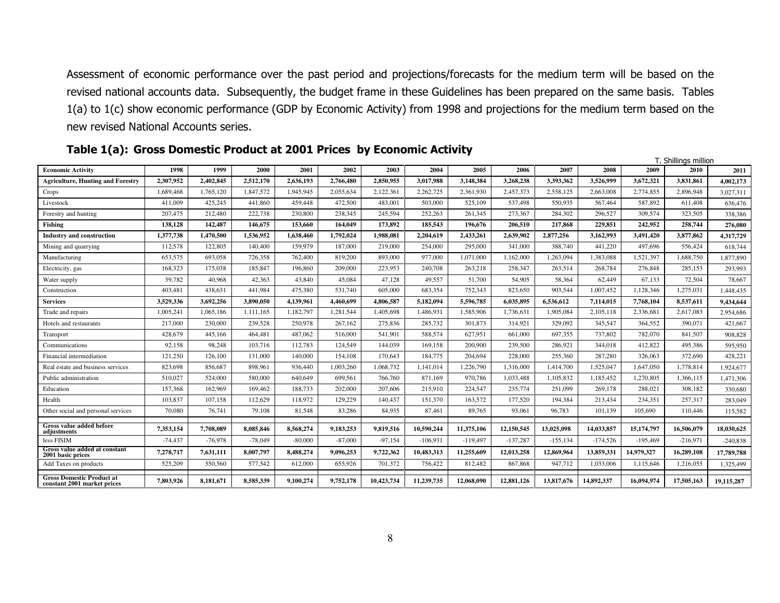Assessment of economic performance over the past period and projections/forecasts for the medium term will be based on the revised national accounts data. Subsequently, the budget frame in these Guidelines has been prepared on the same basis. Tables 1(a) to 1(c) show economic performance (GDP by Economic Activity) from 1998 and projections for the medium term based on the new revised National Accounts series.

|                                                                 |           |           |           |           |           |            |            |            |            |             |            |            | T. Shillings million |            |
|-----------------------------------------------------------------|-----------|-----------|-----------|-----------|-----------|------------|------------|------------|------------|-------------|------------|------------|----------------------|------------|
| <b>Economic Activity</b>                                        | 1998      | 1999      | 2000      | 2001      | 2002      | 2003       | 2004       | 2005       | 2006       | 2007        | 2008       | 2009       | 2010                 | 2011       |
| <b>Agriculture, Hunting and Forestry</b>                        | 2,307,952 | 2,402,845 | 2,512,170 | 2,636,193 | 2,766,480 | 2,850,955  | 3,017,988  | 3,148,384  | 3,268,238  | 3,393,362   | 3,526,999  | 3,672,321  | 3,831,861            | 4,002,173  |
| Crops                                                           | 1,689,468 | 1,765,120 | 1,847,572 | 1,945,945 | 2,055,634 | 2,122,361  | 2,262,725  | 2,361,930  | 2,457,373  | 2,558,125   | 2,663,008  | 2,774,855  | 2,896,948            | 3,027,311  |
| Livestock                                                       | 411,009   | 425,245   | 441,860   | 459,448   | 472,500   | 483,001    | 503,000    | 525,109    | 537,498    | 550,935     | 567,464    | 587,892    | 611,408              | 636,476    |
| Forestry and hunting                                            | 207,475   | 212,480   | 222,738   | 230,800   | 238,345   | 245,594    | 252,263    | 261,345    | 273,367    | 284,302     | 296,527    | 309,574    | 323,505              | 338,386    |
| Fishing                                                         | 138,128   | 142,487   | 146,675   | 153,660   | 164,049   | 173,892    | 185,543    | 196,676    | 206,510    | 217,868     | 229,851    | 242,952    | 258,744              | 276,080    |
| <b>Industry and construction</b>                                | 1,377,738 | 1,470,500 | 1,536,952 | 1,638,460 | 1,792,024 | 1,988,081  | 2,204,619  | 2,433,261  | 2,639,902  | 2,877,256   | 3,162,993  | 3,491,420  | 3,877,862            | 4,317,729  |
| Mining and quarrying                                            | 112,578   | 122,805   | 140,400   | 159,979   | 187,000   | 219,000    | 254,000    | 295,000    | 341,000    | 388,740     | 441,220    | 497,696    | 556,424              | 618,744    |
| Manufacturing                                                   | 653,575   | 693,058   | 726,358   | 762,400   | 819,200   | 893,000    | 977,000    | 1,071,000  | 1,162,000  | 1,263,094   | 1,383,088  | 1,521,397  | 1,688,750            | 1,877,890  |
| Electricity, gas                                                | 168,323   | 175,038   | 185,847   | 196,860   | 209,000   | 223,953    | 240,708    | 263,218    | 258,347    | 263,514     | 268,784    | 276,848    | 285.153              | 293,993    |
| Water supply                                                    | 39,782    | 40,968    | 42,363    | 43,840    | 45,084    | 47,128     | 49,557     | 51,700     | 54,905     | 58,364      | 62,449     | 67,133     | 72,504               | 78,667     |
| Construction                                                    | 403,481   | 438,631   | 441,984   | 475,380   | 531,740   | 605,000    | 683,354    | 752,343    | 823,650    | 903,544     | 1,007,452  | 1,128,346  | 1,275,031            | 1,448,435  |
| <b>Services</b>                                                 | 3,529,336 | 3,692,256 | 3,890,050 | 4.139.961 | 4.460.699 | 4,806,587  | 5,182,094  | 5.596.785  | 6.035.895  | 6,536,612   | 7,114,015  | 7,768,104  | 8,537,611            | 9,434,644  |
| Trade and repairs                                               | 1,005,241 | 1,065,186 | 1,111,165 | 1,182,797 | 1,281,544 | 1,405,698  | 1,486,931  | 1,585,906  | 1,736,631  | 1,905,084   | 2,105,118  | 2,336,681  | 2,617,083            | 2,954,686  |
| Hotels and restaurants                                          | 217,000   | 230,000   | 239,528   | 250,978   | 267,162   | 275,836    | 285,732    | 301.873    | 314,921    | 329,092     | 345,547    | 364,552    | 390,071              | 421,667    |
| Transport                                                       | 428,679   | 445,166   | 464,481   | 487,062   | 516,000   | 541,901    | 588,574    | 627,951    | 661,000    | 697,355     | 737,802    | 782,070    | 841,507              | 908,828    |
| Communications                                                  | 92,158    | 98,248    | 103,716   | 112,783   | 124,549   | 144,039    | 169,158    | 200,900    | 239,500    | 286,921     | 344,018    | 412,822    | 495,386              | 595,950    |
| Financial intermediation                                        | 121,250   | 126,100   | 131,000   | 140,000   | 154,108   | 170,643    | 184,775    | 204,694    | 228,000    | 255,360     | 287,280    | 326,063    | 372,690              | 428,221    |
| Real estate and business services                               | 823,698   | 856,687   | 898,961   | 936,440   | 1,003,260 | 1,068,732  | 1,141,014  | 1,226,790  | 1,316,000  | 1,414,700   | 1,525,047  | 1,647,050  | 1,778,814            | 1,924,677  |
| Public administration                                           | 510,027   | 524,000   | 580,000   | 640,649   | 699.561   | 766,760    | 871.169    | 970,786    | 1,033,488  | 1,105,832   | 1,185,452  | 1.270.805  | 1.366.115            | 1,471,306  |
| Education                                                       | 157,368   | 162,969   | 169,462   | 188,733   | 202,000   | 207,606    | 215,910    | 224,547    | 235,774    | 251,099     | 269,178    | 288,021    | 308,182              | 330,680    |
| Health                                                          | 103,837   | 107,158   | 112,629   | 118,972   | 129,229   | 140,437    | 151,370    | 163,572    | 177,520    | 194,384     | 213,434    | 234,351    | 257,317              | 283,049    |
| Other social and personal services                              | 70,080    | 76.741    | 79,108    | 81,548    | 83,286    | 84,935     | 87,461     | 89,765     | 93,061     | 96.783      | 101.139    | 105,690    | 110,446              | 115,582    |
| Gross value added before<br>adjustments                         | 7,353,154 | 7,708,089 | 8,085,846 | 8,568,274 | 9,183,253 | 9,819,516  | 10,590,244 | 11,375,106 | 12,150,545 | 13,025,098  | 14,033,857 | 15,174,797 | 16,506,079           | 18,030,625 |
| less FISIM                                                      | $-74,437$ | $-76.978$ | $-78,049$ | $-80,000$ | $-87,000$ | $-97.154$  | $-106,931$ | $-119,497$ | $-137,287$ | $-155, 134$ | $-174,526$ | $-195,469$ | $-216,971$           | $-240,838$ |
| Gross value added at constant<br>2001 basic prices              | 7,278,717 | 7,631,111 | 8,007,797 | 8,488,274 | 9,096,253 | 9,722,362  | 10,483,313 | 11,255,609 | 12,013,258 | 12,869,964  | 13,859,331 | 14,979,327 | 16,289,108           | 17,789,788 |
| Add Taxes on products                                           | 525,209   | 550,560   | 577,542   | 612,000   | 655,926   | 701,372    | 756,422    | 812,482    | 867,868    | 947,712     | 1,033,006  | 1,115,646  | 1,216,055            | 1,325,499  |
| <b>Gross Domestic Product at</b><br>constant 2001 market prices | 7,803,926 | 8,181,671 | 8,585,339 | 9,100,274 | 9,752,178 | 10,423,734 | 11,239,735 | 12,068,090 | 12,881,126 | 13,817,676  | 14,892,337 | 16,094,974 | 17,505,163           | 19,115,287 |

Table 1(a): Gross Domestic Product at 2001 Prices by Economic Activity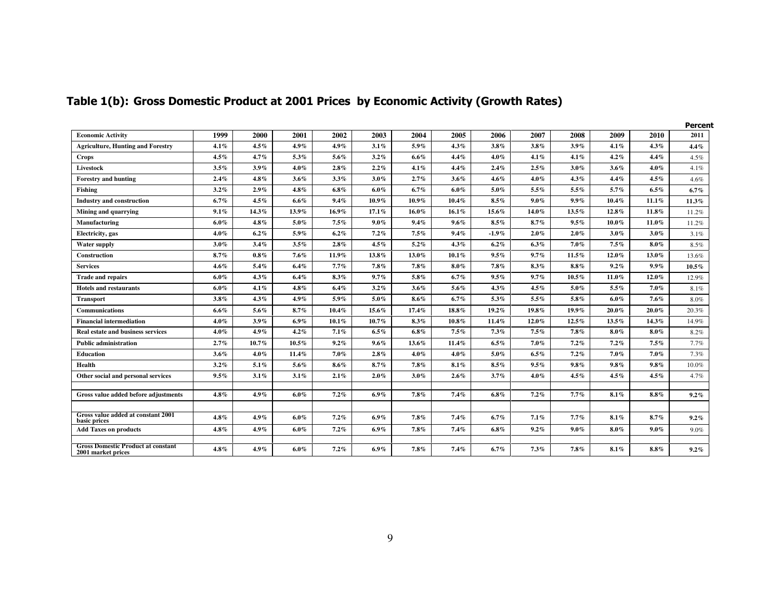|                                                    |         |         |           |          |           |          |          |          |          |          |          |          | <b>Percent</b> |
|----------------------------------------------------|---------|---------|-----------|----------|-----------|----------|----------|----------|----------|----------|----------|----------|----------------|
| <b>Economic Activity</b>                           | 1999    | 2000    | 2001      | 2002     | 2003      | 2004     | 2005     | 2006     | 2007     | 2008     | 2009     | 2010     | 2011           |
| <b>Agriculture, Hunting and Forestry</b>           | 4.1%    | 4.5%    | $4.9\%$   | $4.9\%$  | 3.1%      | $5.9\%$  | $4.3\%$  | 3.8%     | 3.8%     | 3.9%     | 4.1%     | 4.3%     | $4.4\%$        |
| Crops                                              | 4.5%    | 4.7%    | 5.3%      | 5.6%     | $3.2\%$   | $6.6\%$  | 4.4%     | $4.0\%$  | 4.1%     | 4.1%     | 4.2%     | 4.4%     | 4.5%           |
| Livestock                                          | 3.5%    | 3.9%    | $4.0\%$   | 2.8%     | 2.2%      | 4.1%     | 4.4%     | 2.4%     | 2.5%     | $3.0\%$  | $3.6\%$  | $4.0\%$  | 4.1%           |
| <b>Forestry and hunting</b>                        | 2.4%    | 4.8%    | 3.6%      | $3.3\%$  | $3.0\%$   | 2.7%     | 3.6%     | $4.6\%$  | 4.0%     | $4.3\%$  | 4.4%     | 4.5%     | 4.6%           |
| <b>Fishing</b>                                     | 3.2%    | 2.9%    | $4.8\%$   | $6.8\%$  | $6.0\%$   | 6.7%     | $6.0\%$  | $5.0\%$  | 5.5%     | 5.5%     | 5.7%     | $6.5\%$  | 6.7%           |
| <b>Industry and construction</b>                   | $6.7\%$ | 4.5%    | $6.6\%$   | 9.4%     | $10.9\%$  | $10.9\%$ | $10.4\%$ | 8.5%     | $9.0\%$  | $9.9\%$  | 10.4%    | 11.1%    | 11.3%          |
| Mining and quarrying                               | 9.1%    | 14.3%   | 13.9%     | 16.9%    | $17.1\%$  | $16.0\%$ | 16.1%    | 15.6%    | 14.0%    | 13.5%    | 12.8%    | 11.8%    | 11.2%          |
| Manufacturing                                      | $6.0\%$ | 4.8%    | $5.0\,\%$ | 7.5%     | $9.0\,\%$ | 9.4%     | $9.6\%$  | $8.5\%$  | 8.7%     | 9.5%     | $10.0\%$ | $11.0\%$ | 11.2%          |
| Electricity, gas                                   | $4.0\%$ | 6.2%    | $5.9\%$   | 6.2%     | 7.2%      | 7.5%     | 9.4%     | $-1.9\%$ | $2.0\%$  | $2.0\%$  | $3.0\%$  | $3.0\%$  | 3.1%           |
| Water supply                                       | 3.0%    | 3.4%    | $3.5\%$   | $2.8\%$  | 4.5%      | 5.2%     | 4.3%     | 6.2%     | 6.3%     | $7.0\%$  | 7.5%     | $8.0\%$  | 8.5%           |
| Construction                                       | 8.7%    | $0.8\%$ | 7.6%      | 11.9%    | 13.8%     | 13.0%    | $10.1\%$ | 9.5%     | 9.7%     | 11.5%    | 12.0%    | 13.0%    | 13.6%          |
| <b>Services</b>                                    | $4.6\%$ | 5.4%    | 6.4%      | 7.7%     | $7.8\%$   | $7.8\%$  | $8.0\%$  | 7.8%     | 8.3%     | $8.8\%$  | 9.2%     | $9.9\%$  | $10.5\%$       |
| <b>Trade and repairs</b>                           | $6.0\%$ | 4.3%    | 6.4%      | 8.3%     | 9.7%      | 5.8%     | 6.7%     | 9.5%     | 9.7%     | $10.5\%$ | 11.0%    | $12.0\%$ | 12.9%          |
| <b>Hotels and restaurants</b>                      | $6.0\%$ | $4.1\%$ | $4.8\%$   | 6.4%     | $3.2\%$   | $3.6\%$  | 5.6%     | 4.3%     | 4.5%     | $5.0\%$  | 5.5%     | $7.0\%$  | 8.1%           |
| <b>Transport</b>                                   | $3.8\%$ | 4.3%    | $4.9\%$   | 5.9%     | 5.0%      | $8.6\%$  | 6.7%     | 5.3%     | 5.5%     | 5.8%     | $6.0\%$  | 7.6%     | 8.0%           |
| <b>Communications</b>                              | $6.6\%$ | 5.6%    | 8.7%      | 10.4%    | 15.6%     | 17.4%    | 18.8%    | 19.2%    | 19.8%    | 19.9%    | 20.0%    | $20.0\%$ | 20.3%          |
| <b>Financial intermediation</b>                    | $4.0\%$ | 3.9%    | $6.9\%$   | $10.1\%$ | $10.7\%$  | 8.3%     | $10.8\%$ | 11.4%    | $12.0\%$ | 12.5%    | 13.5%    | 14.3%    | 14.9%          |
| <b>Real estate and business services</b>           | $4.0\%$ | $4.9\%$ | 4.2%      | 7.1%     | $6.5\%$   | 6.8%     | 7.5%     | 7.3%     | 7.5%     | 7.8%     | $8.0\%$  | $8.0\%$  | 8.2%           |
| <b>Public administration</b>                       | 2.7%    | 10.7%   | 10.5%     | $9.2\%$  | $9.6\%$   | 13.6%    | 11.4%    | $6.5\%$  | $7.0\%$  | 7.2%     | 7.2%     | $7.5\%$  | 7.7%           |
| <b>Education</b>                                   | 3.6%    | 4.0%    | 11.4%     | $7.0\%$  | 2.8%      | $4.0\%$  | $4.0\%$  | $5.0\%$  | $6.5\%$  | 7.2%     | 7.0%     | $7.0\%$  | 7.3%           |
| Health                                             | 3.2%    | 5.1%    | $5.6\%$   | $8.6\%$  | 8.7%      | 7.8%     | $8.1\%$  | 8.5%     | 9.5%     | 9.8%     | $9.8\%$  | 9.8%     | 10.0%          |
| Other social and personal services                 | 9.5%    | 3.1%    | 3.1%      | 2.1%     | $2.0\%$   | $3.0\%$  | 2.6%     | 3.7%     | 4.0%     | 4.5%     | 4.5%     | $4.5\%$  | 4.7%           |
|                                                    |         |         |           |          |           |          |          |          |          |          |          |          |                |
| Gross value added before adjustments               | 4.8%    | $4.9\%$ | $6.0\%$   | 7.2%     | $6.9\%$   | 7.8%     | 7.4%     | $6.8\%$  | 7.2%     | 7.7%     | 8.1%     | $8.8\%$  | 9.2%           |
|                                                    |         |         |           |          |           |          |          |          |          |          |          |          |                |
| Gross value added at constant 2001<br>basic prices | $4.8\%$ | 4.9%    | $6.0\%$   | 7.2%     | $6.9\%$   | 7.8%     | 7.4%     | 6.7%     | 7.1%     | 7.7%     | $8.1\%$  | $8.7\%$  | $9.2\%$        |
| <b>Add Taxes on products</b>                       | 4.8%    | 4.9%    | $6.0\%$   | 7.2%     | $6.9\%$   | $7.8\%$  | 7.4%     | $6.8\%$  | 9.2%     | $9.0\%$  | $8.0\%$  | $9.0\%$  | 9.0%           |
| <b>Gross Domestic Product at constant</b>          |         |         |           |          |           |          |          |          |          |          |          |          |                |
| 2001 market prices                                 | 4.8%    | 4.9%    | $6.0\%$   | 7.2%     | $6.9\%$   | 7.8%     | 7.4%     | 6.7%     | 7.3%     | $7.8\%$  | $8.1\%$  | $8.8\%$  | 9.2%           |

## Table 1(b): Gross Domestic Product at 2001 Prices by Economic Activity (Growth Rates)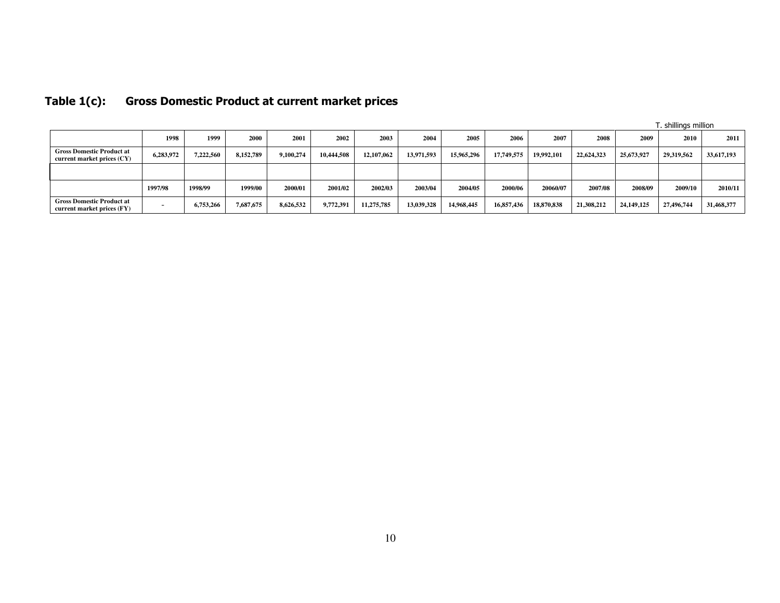|                                                                |                          |           |           |           |            |            |            |            |            |            |            |              | . shillings million |            |
|----------------------------------------------------------------|--------------------------|-----------|-----------|-----------|------------|------------|------------|------------|------------|------------|------------|--------------|---------------------|------------|
|                                                                | 1998                     | 1999      | 2000      | 2001      | 2002       | 2003       | 2004       | 2005       | 2006       | 2007       | 2008       | 2009         | 2010                | 2011       |
| <b>Gross Domestic Product at</b><br>current market prices (CY) | 6,283,972                | 7,222,560 | 8.152.789 | 9.100.274 | 10,444,508 | 12,107,062 | 13,971,593 | 15,965,296 | 17,749.575 | 19.992.101 | 22,624,323 | 25,673,927   | 29,319,562          | 33,617,193 |
|                                                                |                          |           |           |           |            |            |            |            |            |            |            |              |                     |            |
|                                                                | 1997/98                  | 1998/99   | 1999/00   | 2000/01   | 2001/02    | 2002/03    | 2003/04    | 2004/05    | 2000/06    | 20060/07   | 2007/08    | 2008/09      | 2009/10             | 2010/11    |
| <b>Gross Domestic Product at</b><br>current market prices (FY) | $\overline{\phantom{a}}$ | 6,753,266 | 7,687,675 | 8,626,532 | 9,772,391  | 11,275,785 | 13,039,328 | 14,968,445 | 16,857,436 | 18,870,838 | 21,308,212 | 24, 149, 125 | 27,496,744          | 31,468,377 |

#### Table 1(c): Gross Domestic Product at current market prices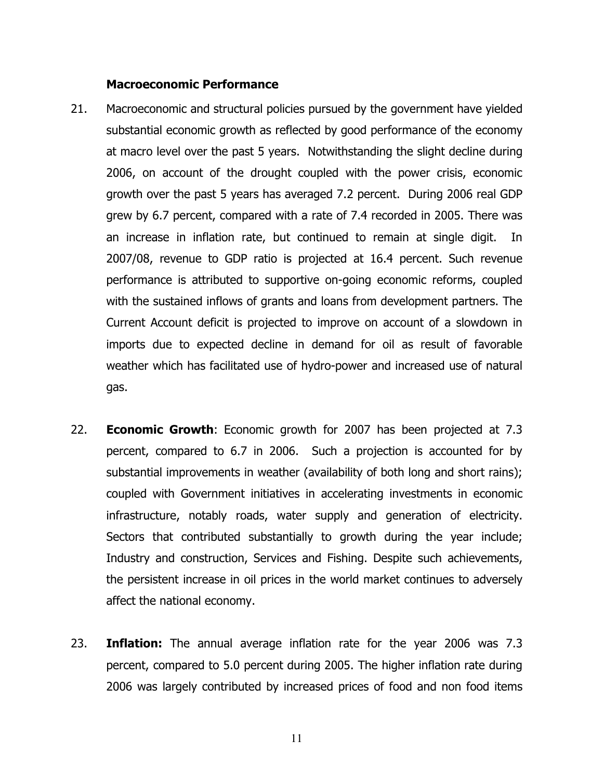#### Macroeconomic Performance

- 21. Macroeconomic and structural policies pursued by the government have yielded substantial economic growth as reflected by good performance of the economy at macro level over the past 5 years. Notwithstanding the slight decline during 2006, on account of the drought coupled with the power crisis, economic growth over the past 5 years has averaged 7.2 percent. During 2006 real GDP grew by 6.7 percent, compared with a rate of 7.4 recorded in 2005. There was an increase in inflation rate, but continued to remain at single digit. In 2007/08, revenue to GDP ratio is projected at 16.4 percent. Such revenue performance is attributed to supportive on-going economic reforms, coupled with the sustained inflows of grants and loans from development partners. The Current Account deficit is projected to improve on account of a slowdown in imports due to expected decline in demand for oil as result of favorable weather which has facilitated use of hydro-power and increased use of natural gas.
- 22. **Economic Growth**: Economic growth for 2007 has been projected at 7.3 percent, compared to 6.7 in 2006. Such a projection is accounted for by substantial improvements in weather (availability of both long and short rains); coupled with Government initiatives in accelerating investments in economic infrastructure, notably roads, water supply and generation of electricity. Sectors that contributed substantially to growth during the year include; Industry and construction, Services and Fishing. Despite such achievements, the persistent increase in oil prices in the world market continues to adversely affect the national economy.
- 23. **Inflation:** The annual average inflation rate for the year 2006 was 7.3 percent, compared to 5.0 percent during 2005. The higher inflation rate during 2006 was largely contributed by increased prices of food and non food items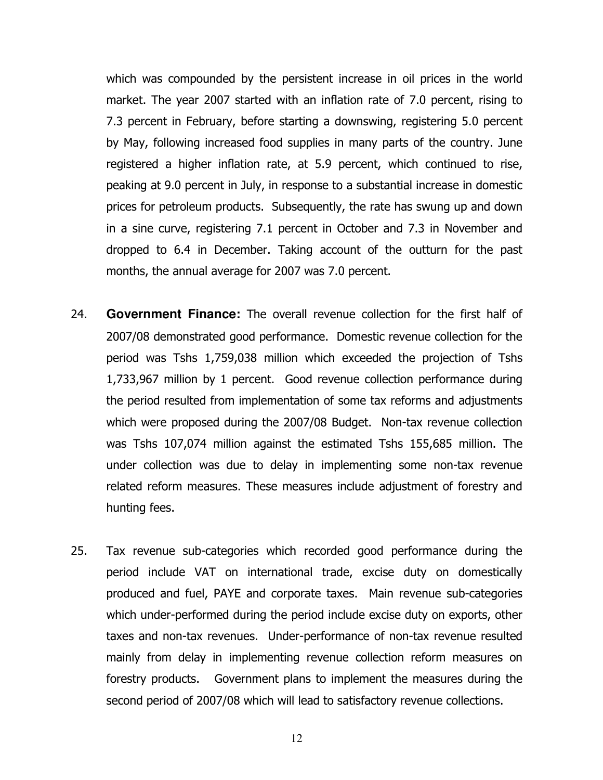which was compounded by the persistent increase in oil prices in the world market. The year 2007 started with an inflation rate of 7.0 percent, rising to 7.3 percent in February, before starting a downswing, registering 5.0 percent by May, following increased food supplies in many parts of the country. June registered a higher inflation rate, at 5.9 percent, which continued to rise, peaking at 9.0 percent in July, in response to a substantial increase in domestic prices for petroleum products. Subsequently, the rate has swung up and down in a sine curve, registering 7.1 percent in October and 7.3 in November and dropped to 6.4 in December. Taking account of the outturn for the past months, the annual average for 2007 was 7.0 percent.

- 24. **Government Finance:** The overall revenue collection for the first half of 2007/08 demonstrated good performance. Domestic revenue collection for the period was Tshs 1,759,038 million which exceeded the projection of Tshs 1,733,967 million by 1 percent. Good revenue collection performance during the period resulted from implementation of some tax reforms and adjustments which were proposed during the 2007/08 Budget. Non-tax revenue collection was Tshs 107,074 million against the estimated Tshs 155,685 million. The under collection was due to delay in implementing some non-tax revenue related reform measures. These measures include adjustment of forestry and hunting fees.
- 25. Tax revenue sub-categories which recorded good performance during the period include VAT on international trade, excise duty on domestically produced and fuel, PAYE and corporate taxes. Main revenue sub-categories which under-performed during the period include excise duty on exports, other taxes and non-tax revenues. Under-performance of non-tax revenue resulted mainly from delay in implementing revenue collection reform measures on forestry products. Government plans to implement the measures during the second period of 2007/08 which will lead to satisfactory revenue collections.

12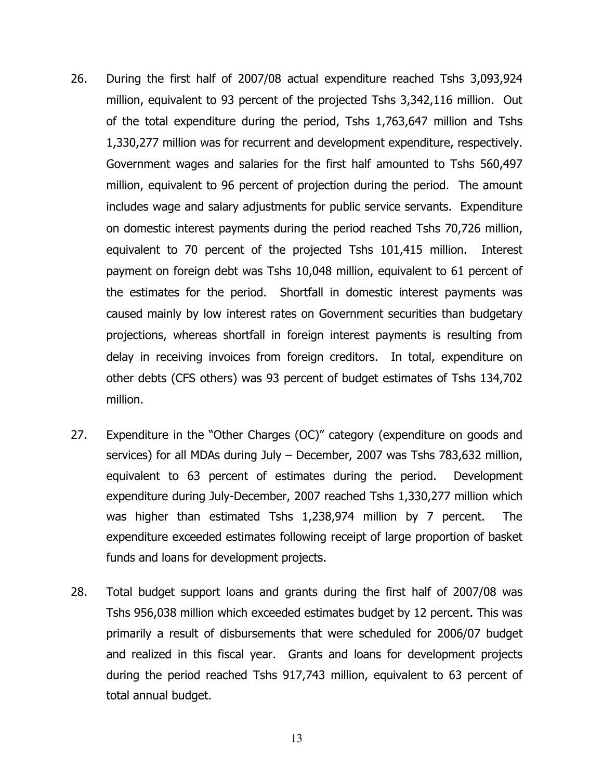- 26. During the first half of 2007/08 actual expenditure reached Tshs 3,093,924 million, equivalent to 93 percent of the projected Tshs 3,342,116 million. Out of the total expenditure during the period, Tshs 1,763,647 million and Tshs 1,330,277 million was for recurrent and development expenditure, respectively. Government wages and salaries for the first half amounted to Tshs 560,497 million, equivalent to 96 percent of projection during the period. The amount includes wage and salary adjustments for public service servants. Expenditure on domestic interest payments during the period reached Tshs 70,726 million, equivalent to 70 percent of the projected Tshs 101,415 million. Interest payment on foreign debt was Tshs 10,048 million, equivalent to 61 percent of the estimates for the period. Shortfall in domestic interest payments was caused mainly by low interest rates on Government securities than budgetary projections, whereas shortfall in foreign interest payments is resulting from delay in receiving invoices from foreign creditors. In total, expenditure on other debts (CFS others) was 93 percent of budget estimates of Tshs 134,702 million.
- 27. Expenditure in the "Other Charges (OC)" category (expenditure on goods and services) for all MDAs during July – December, 2007 was Tshs 783,632 million, equivalent to 63 percent of estimates during the period. Development expenditure during July-December, 2007 reached Tshs 1,330,277 million which was higher than estimated Tshs 1,238,974 million by 7 percent. The expenditure exceeded estimates following receipt of large proportion of basket funds and loans for development projects.
- 28. Total budget support loans and grants during the first half of 2007/08 was Tshs 956,038 million which exceeded estimates budget by 12 percent. This was primarily a result of disbursements that were scheduled for 2006/07 budget and realized in this fiscal year. Grants and loans for development projects during the period reached Tshs 917,743 million, equivalent to 63 percent of total annual budget.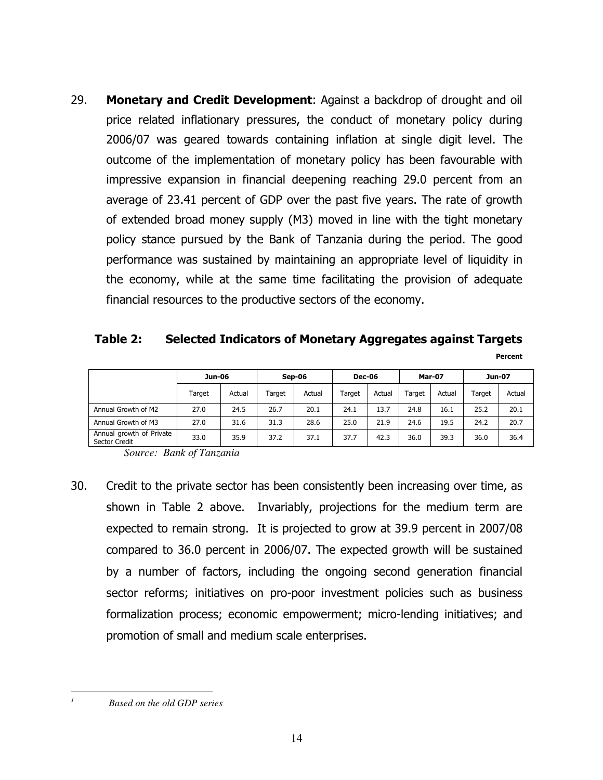29. Monetary and Credit Development: Against a backdrop of drought and oil price related inflationary pressures, the conduct of monetary policy during 2006/07 was geared towards containing inflation at single digit level. The outcome of the implementation of monetary policy has been favourable with impressive expansion in financial deepening reaching 29.0 percent from an average of 23.41 percent of GDP over the past five years. The rate of growth of extended broad money supply (M3) moved in line with the tight monetary policy stance pursued by the Bank of Tanzania during the period. The good performance was sustained by maintaining an appropriate level of liquidity in the economy, while at the same time facilitating the provision of adequate financial resources to the productive sectors of the economy.

# Table 2: Selected Indicators of Monetary Aggregates against Targets Percent

|                                           | <b>Jun-06</b> |        | Sep-06 |        | <b>Dec-06</b> |        | <b>Mar-07</b> |        | Jun-07 |        |
|-------------------------------------------|---------------|--------|--------|--------|---------------|--------|---------------|--------|--------|--------|
|                                           | Target        | Actual | Target | Actual | Target        | Actual | Target        | Actual | Target | Actual |
| Annual Growth of M2                       | 27.0          | 24.5   | 26.7   | 20.1   | 24.1          | 13.7   | 24.8          | 16.1   | 25.2   | 20.1   |
| Annual Growth of M3                       | 27.0          | 31.6   | 31.3   | 28.6   | 25.0          | 21.9   | 24.6          | 19.5   | 24.2   | 20.7   |
| Annual growth of Private<br>Sector Credit | 33.0          | 35.9   | 37.2   | 37.1   | 37.7          | 42.3   | 36.0          | 39.3   | 36.0   | 36.4   |

*Source: Bank of Tanzania* 

30. Credit to the private sector has been consistently been increasing over time, as shown in Table 2 above. Invariably, projections for the medium term are expected to remain strong. It is projected to grow at 39.9 percent in 2007/08 compared to 36.0 percent in 2006/07. The expected growth will be sustained by a number of factors, including the ongoing second generation financial sector reforms; initiatives on pro-poor investment policies such as business formalization process; economic empowerment; micro-lending initiatives; and promotion of small and medium scale enterprises.

*1*

*Based on the old GDP series*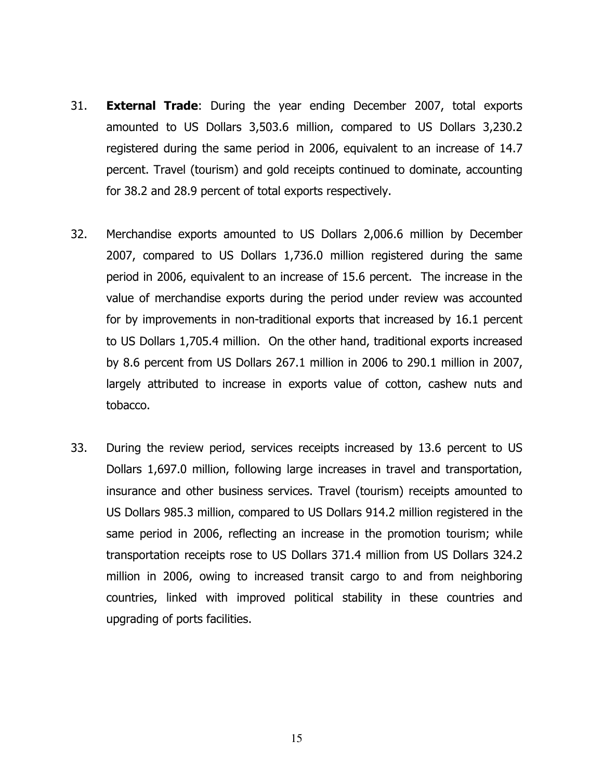- 31. **External Trade:** During the year ending December 2007, total exports amounted to US Dollars 3,503.6 million, compared to US Dollars 3,230.2 registered during the same period in 2006, equivalent to an increase of 14.7 percent. Travel (tourism) and gold receipts continued to dominate, accounting for 38.2 and 28.9 percent of total exports respectively.
- 32. Merchandise exports amounted to US Dollars 2,006.6 million by December 2007, compared to US Dollars 1,736.0 million registered during the same period in 2006, equivalent to an increase of 15.6 percent. The increase in the value of merchandise exports during the period under review was accounted for by improvements in non-traditional exports that increased by 16.1 percent to US Dollars 1,705.4 million. On the other hand, traditional exports increased by 8.6 percent from US Dollars 267.1 million in 2006 to 290.1 million in 2007, largely attributed to increase in exports value of cotton, cashew nuts and tobacco.
- 33. During the review period, services receipts increased by 13.6 percent to US Dollars 1,697.0 million, following large increases in travel and transportation, insurance and other business services. Travel (tourism) receipts amounted to US Dollars 985.3 million, compared to US Dollars 914.2 million registered in the same period in 2006, reflecting an increase in the promotion tourism; while transportation receipts rose to US Dollars 371.4 million from US Dollars 324.2 million in 2006, owing to increased transit cargo to and from neighboring countries, linked with improved political stability in these countries and upgrading of ports facilities.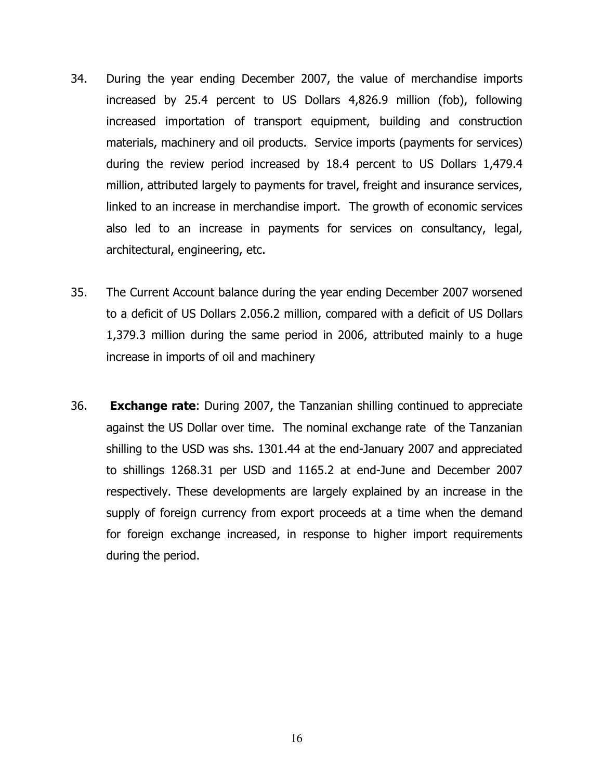- 34. During the year ending December 2007, the value of merchandise imports increased by 25.4 percent to US Dollars 4,826.9 million (fob), following increased importation of transport equipment, building and construction materials, machinery and oil products. Service imports (payments for services) during the review period increased by 18.4 percent to US Dollars 1,479.4 million, attributed largely to payments for travel, freight and insurance services, linked to an increase in merchandise import. The growth of economic services also led to an increase in payments for services on consultancy, legal, architectural, engineering, etc.
- 35. The Current Account balance during the year ending December 2007 worsened to a deficit of US Dollars 2.056.2 million, compared with a deficit of US Dollars 1,379.3 million during the same period in 2006, attributed mainly to a huge increase in imports of oil and machinery
- 36. **Exchange rate:** During 2007, the Tanzanian shilling continued to appreciate against the US Dollar over time. The nominal exchange rate of the Tanzanian shilling to the USD was shs. 1301.44 at the end-January 2007 and appreciated to shillings 1268.31 per USD and 1165.2 at end-June and December 2007 respectively. These developments are largely explained by an increase in the supply of foreign currency from export proceeds at a time when the demand for foreign exchange increased, in response to higher import requirements during the period.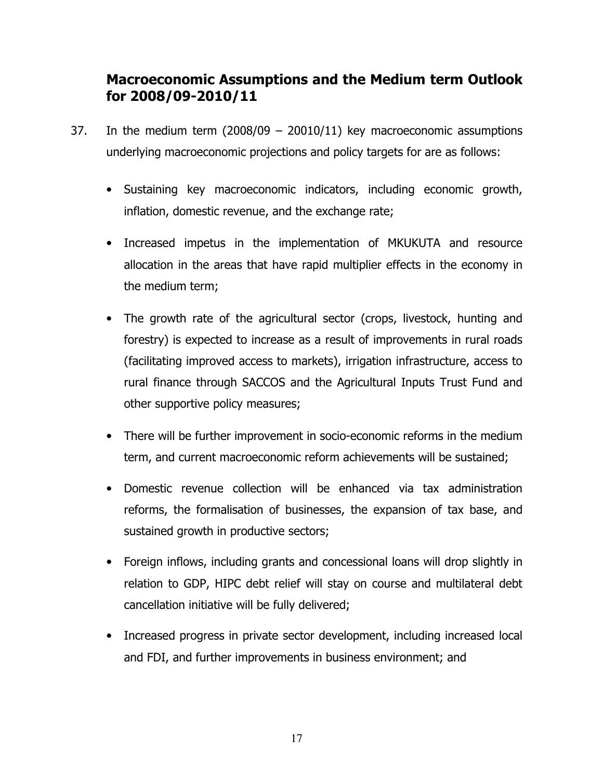# Macroeconomic Assumptions and the Medium term Outlook for 2008/09-2010/11

- 37. In the medium term  $(2008/09 20010/11)$  key macroeconomic assumptions underlying macroeconomic projections and policy targets for are as follows:
	- Sustaining key macroeconomic indicators, including economic growth, inflation, domestic revenue, and the exchange rate;
	- Increased impetus in the implementation of MKUKUTA and resource allocation in the areas that have rapid multiplier effects in the economy in the medium term;
	- The growth rate of the agricultural sector (crops, livestock, hunting and forestry) is expected to increase as a result of improvements in rural roads (facilitating improved access to markets), irrigation infrastructure, access to rural finance through SACCOS and the Agricultural Inputs Trust Fund and other supportive policy measures;
	- There will be further improvement in socio-economic reforms in the medium term, and current macroeconomic reform achievements will be sustained;
	- Domestic revenue collection will be enhanced via tax administration reforms, the formalisation of businesses, the expansion of tax base, and sustained growth in productive sectors;
	- Foreign inflows, including grants and concessional loans will drop slightly in relation to GDP, HIPC debt relief will stay on course and multilateral debt cancellation initiative will be fully delivered;
	- Increased progress in private sector development, including increased local and FDI, and further improvements in business environment; and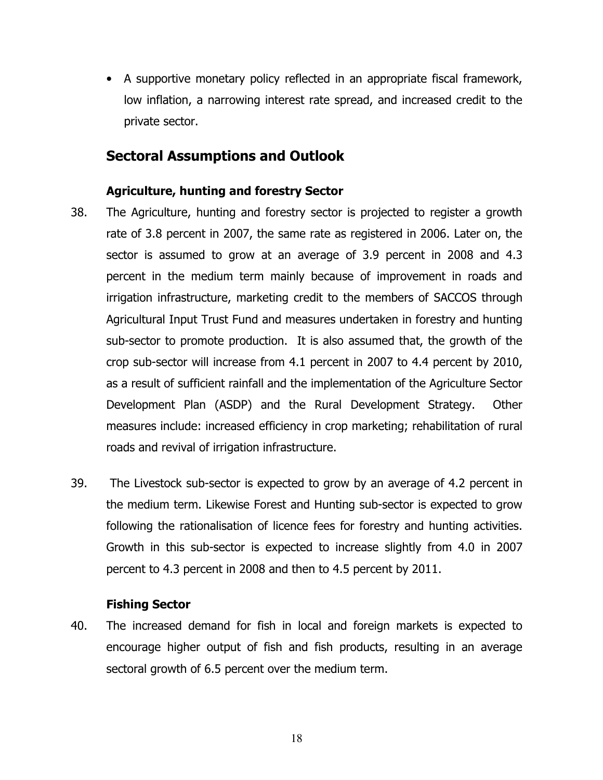• A supportive monetary policy reflected in an appropriate fiscal framework, low inflation, a narrowing interest rate spread, and increased credit to the private sector.

# Sectoral Assumptions and Outlook

#### Agriculture, hunting and forestry Sector

- 38. The Agriculture, hunting and forestry sector is projected to register a growth rate of 3.8 percent in 2007, the same rate as registered in 2006. Later on, the sector is assumed to grow at an average of 3.9 percent in 2008 and 4.3 percent in the medium term mainly because of improvement in roads and irrigation infrastructure, marketing credit to the members of SACCOS through Agricultural Input Trust Fund and measures undertaken in forestry and hunting sub-sector to promote production. It is also assumed that, the growth of the crop sub-sector will increase from 4.1 percent in 2007 to 4.4 percent by 2010, as a result of sufficient rainfall and the implementation of the Agriculture Sector Development Plan (ASDP) and the Rural Development Strategy. Other measures include: increased efficiency in crop marketing; rehabilitation of rural roads and revival of irrigation infrastructure.
- 39. The Livestock sub-sector is expected to grow by an average of 4.2 percent in the medium term. Likewise Forest and Hunting sub-sector is expected to grow following the rationalisation of licence fees for forestry and hunting activities. Growth in this sub-sector is expected to increase slightly from 4.0 in 2007 percent to 4.3 percent in 2008 and then to 4.5 percent by 2011.

#### Fishing Sector

40. The increased demand for fish in local and foreign markets is expected to encourage higher output of fish and fish products, resulting in an average sectoral growth of 6.5 percent over the medium term.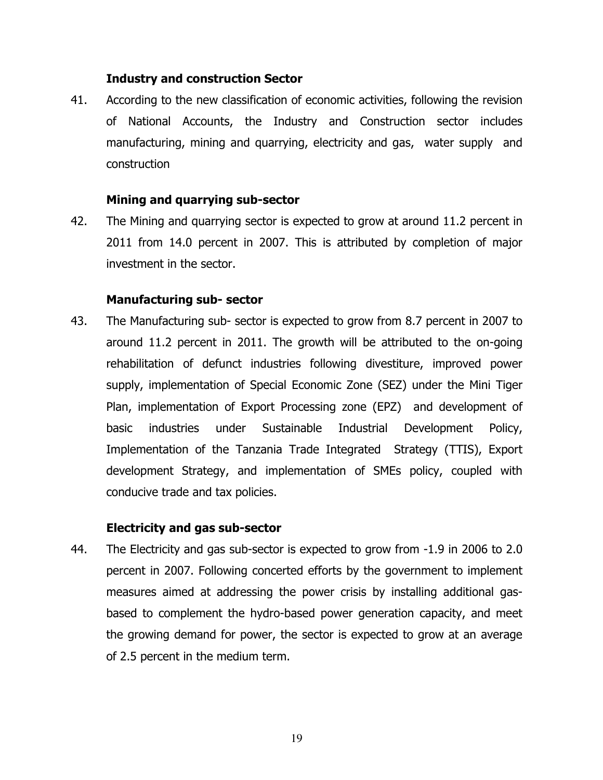#### Industry and construction Sector

41. According to the new classification of economic activities, following the revision of National Accounts, the Industry and Construction sector includes manufacturing, mining and quarrying, electricity and gas, water supply and construction

#### Mining and quarrying sub-sector

42. The Mining and quarrying sector is expected to grow at around 11.2 percent in 2011 from 14.0 percent in 2007. This is attributed by completion of major investment in the sector.

#### Manufacturing sub- sector

43. The Manufacturing sub- sector is expected to grow from 8.7 percent in 2007 to around 11.2 percent in 2011. The growth will be attributed to the on-going rehabilitation of defunct industries following divestiture, improved power supply, implementation of Special Economic Zone (SEZ) under the Mini Tiger Plan, implementation of Export Processing zone (EPZ) and development of basic industries under Sustainable Industrial Development Policy, Implementation of the Tanzania Trade Integrated Strategy (TTIS), Export development Strategy, and implementation of SMEs policy, coupled with conducive trade and tax policies.

#### Electricity and gas sub-sector

44. The Electricity and gas sub-sector is expected to grow from -1.9 in 2006 to 2.0 percent in 2007. Following concerted efforts by the government to implement measures aimed at addressing the power crisis by installing additional gasbased to complement the hydro-based power generation capacity, and meet the growing demand for power, the sector is expected to grow at an average of 2.5 percent in the medium term.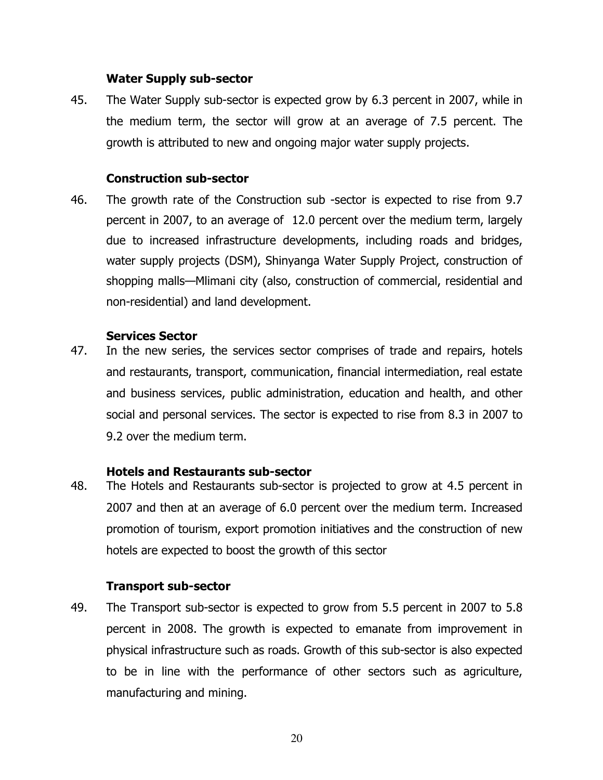#### Water Supply sub-sector

45. The Water Supply sub-sector is expected grow by 6.3 percent in 2007, while in the medium term, the sector will grow at an average of 7.5 percent. The growth is attributed to new and ongoing major water supply projects.

#### Construction sub-sector

46. The growth rate of the Construction sub -sector is expected to rise from 9.7 percent in 2007, to an average of 12.0 percent over the medium term, largely due to increased infrastructure developments, including roads and bridges, water supply projects (DSM), Shinyanga Water Supply Project, construction of shopping malls—Mlimani city (also, construction of commercial, residential and non-residential) and land development.

#### Services Sector

47. In the new series, the services sector comprises of trade and repairs, hotels and restaurants, transport, communication, financial intermediation, real estate and business services, public administration, education and health, and other social and personal services. The sector is expected to rise from 8.3 in 2007 to 9.2 over the medium term.

#### Hotels and Restaurants sub-sector

48. The Hotels and Restaurants sub-sector is projected to grow at 4.5 percent in 2007 and then at an average of 6.0 percent over the medium term. Increased promotion of tourism, export promotion initiatives and the construction of new hotels are expected to boost the growth of this sector

#### Transport sub-sector

49. The Transport sub-sector is expected to grow from 5.5 percent in 2007 to 5.8 percent in 2008. The growth is expected to emanate from improvement in physical infrastructure such as roads. Growth of this sub-sector is also expected to be in line with the performance of other sectors such as agriculture, manufacturing and mining.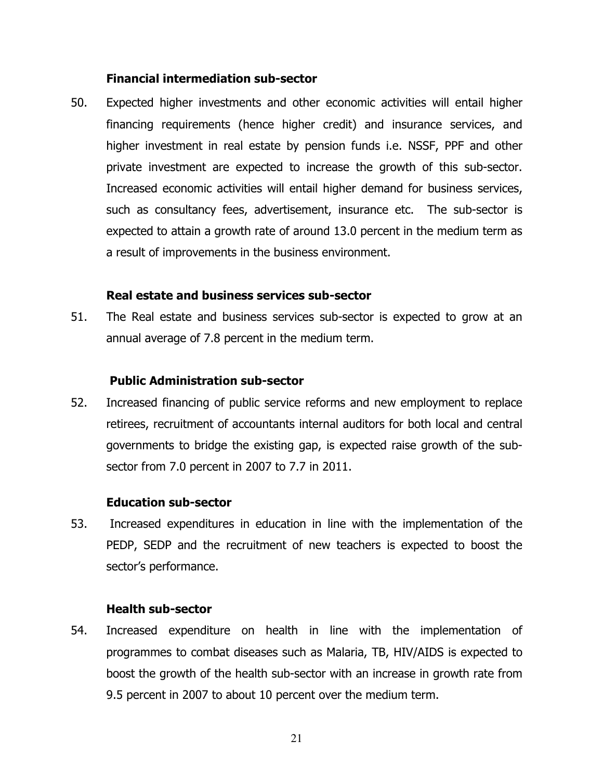#### Financial intermediation sub-sector

50. Expected higher investments and other economic activities will entail higher financing requirements (hence higher credit) and insurance services, and higher investment in real estate by pension funds i.e. NSSF, PPF and other private investment are expected to increase the growth of this sub-sector. Increased economic activities will entail higher demand for business services, such as consultancy fees, advertisement, insurance etc. The sub-sector is expected to attain a growth rate of around 13.0 percent in the medium term as a result of improvements in the business environment.

#### Real estate and business services sub-sector

51. The Real estate and business services sub-sector is expected to grow at an annual average of 7.8 percent in the medium term.

#### Public Administration sub-sector

52. Increased financing of public service reforms and new employment to replace retirees, recruitment of accountants internal auditors for both local and central governments to bridge the existing gap, is expected raise growth of the subsector from 7.0 percent in 2007 to 7.7 in 2011.

#### Education sub-sector

53. Increased expenditures in education in line with the implementation of the PEDP, SEDP and the recruitment of new teachers is expected to boost the sector's performance.

#### Health sub-sector

54. Increased expenditure on health in line with the implementation of programmes to combat diseases such as Malaria, TB, HIV/AIDS is expected to boost the growth of the health sub-sector with an increase in growth rate from 9.5 percent in 2007 to about 10 percent over the medium term.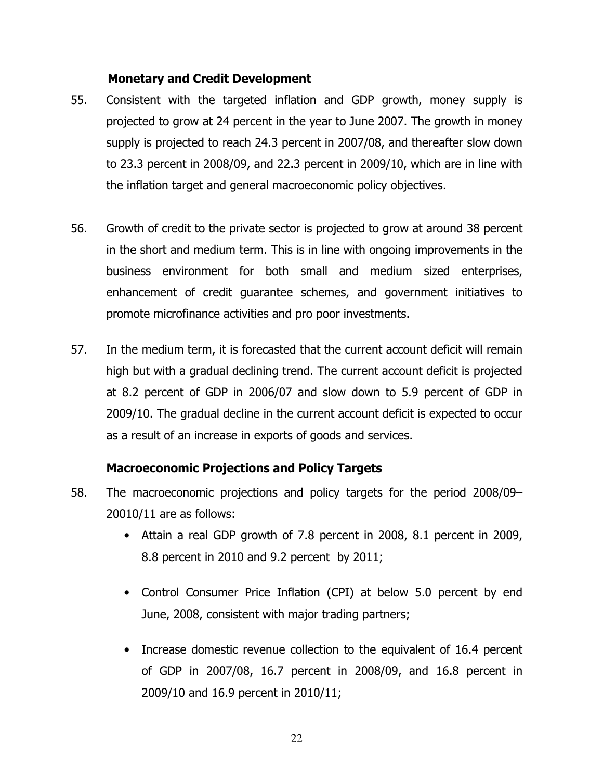#### Monetary and Credit Development

- 55. Consistent with the targeted inflation and GDP growth, money supply is projected to grow at 24 percent in the year to June 2007. The growth in money supply is projected to reach 24.3 percent in 2007/08, and thereafter slow down to 23.3 percent in 2008/09, and 22.3 percent in 2009/10, which are in line with the inflation target and general macroeconomic policy objectives.
- 56. Growth of credit to the private sector is projected to grow at around 38 percent in the short and medium term. This is in line with ongoing improvements in the business environment for both small and medium sized enterprises, enhancement of credit guarantee schemes, and government initiatives to promote microfinance activities and pro poor investments.
- 57. In the medium term, it is forecasted that the current account deficit will remain high but with a gradual declining trend. The current account deficit is projected at 8.2 percent of GDP in 2006/07 and slow down to 5.9 percent of GDP in 2009/10. The gradual decline in the current account deficit is expected to occur as a result of an increase in exports of goods and services.

#### Macroeconomic Projections and Policy Targets

- 58. The macroeconomic projections and policy targets for the period 2008/09– 20010/11 are as follows:
	- Attain a real GDP growth of 7.8 percent in 2008, 8.1 percent in 2009, 8.8 percent in 2010 and 9.2 percent by 2011;
	- Control Consumer Price Inflation (CPI) at below 5.0 percent by end June, 2008, consistent with major trading partners;
	- Increase domestic revenue collection to the equivalent of 16.4 percent of GDP in 2007/08, 16.7 percent in 2008/09, and 16.8 percent in 2009/10 and 16.9 percent in 2010/11;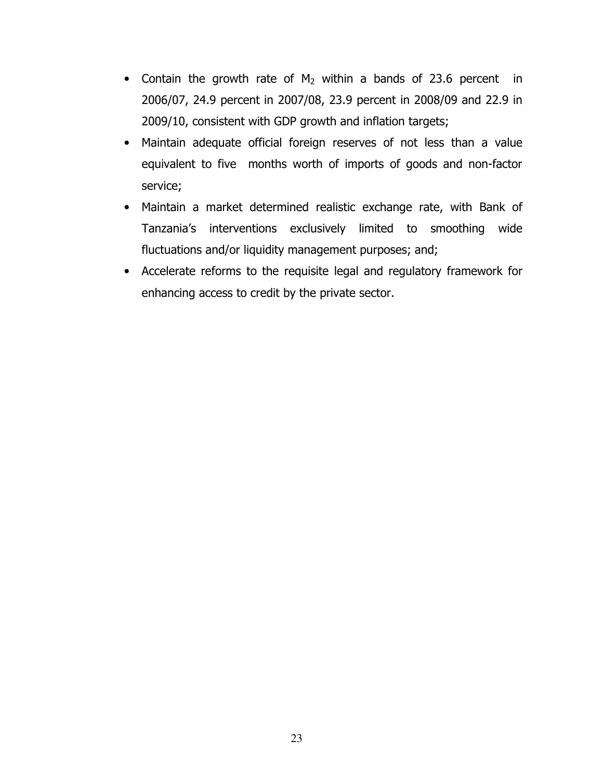- Contain the growth rate of  $M_2$  within a bands of 23.6 percent in 2006/07, 24.9 percent in 2007/08, 23.9 percent in 2008/09 and 22.9 in 2009/10, consistent with GDP growth and inflation targets;
- Maintain adequate official foreign reserves of not less than a value equivalent to five months worth of imports of goods and non-factor service;
- Maintain a market determined realistic exchange rate, with Bank of Tanzania's interventions exclusively limited to smoothing wide fluctuations and/or liquidity management purposes; and;
- Accelerate reforms to the requisite legal and regulatory framework for enhancing access to credit by the private sector.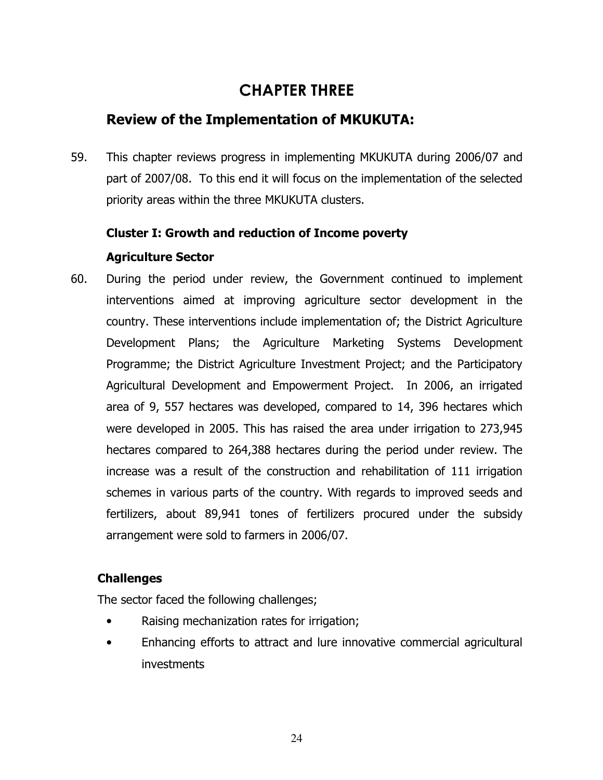# CHAPTER THREE

# Review of the Implementation of MKUKUTA:

59. This chapter reviews progress in implementing MKUKUTA during 2006/07 and part of 2007/08. To this end it will focus on the implementation of the selected priority areas within the three MKUKUTA clusters.

# Cluster I: Growth and reduction of Income poverty

# Agriculture Sector

60. During the period under review, the Government continued to implement interventions aimed at improving agriculture sector development in the country. These interventions include implementation of; the District Agriculture Development Plans; the Agriculture Marketing Systems Development Programme; the District Agriculture Investment Project; and the Participatory Agricultural Development and Empowerment Project. In 2006, an irrigated area of 9, 557 hectares was developed, compared to 14, 396 hectares which were developed in 2005. This has raised the area under irrigation to 273,945 hectares compared to 264,388 hectares during the period under review. The increase was a result of the construction and rehabilitation of 111 irrigation schemes in various parts of the country. With regards to improved seeds and fertilizers, about 89,941 tones of fertilizers procured under the subsidy arrangement were sold to farmers in 2006/07.

# Challenges

The sector faced the following challenges;

- Raising mechanization rates for irrigation;
- Enhancing efforts to attract and lure innovative commercial agricultural investments

24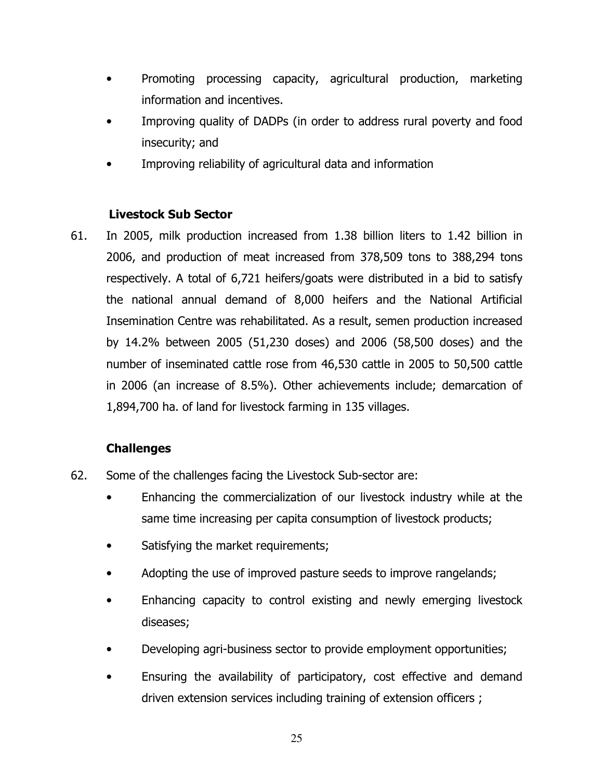- Promoting processing capacity, agricultural production, marketing information and incentives.
- Improving quality of DADPs (in order to address rural poverty and food insecurity; and
- Improving reliability of agricultural data and information

## Livestock Sub Sector

61. In 2005, milk production increased from 1.38 billion liters to 1.42 billion in 2006, and production of meat increased from 378,509 tons to 388,294 tons respectively. A total of 6,721 heifers/goats were distributed in a bid to satisfy the national annual demand of 8,000 heifers and the National Artificial Insemination Centre was rehabilitated. As a result, semen production increased by 14.2% between 2005 (51,230 doses) and 2006 (58,500 doses) and the number of inseminated cattle rose from 46,530 cattle in 2005 to 50,500 cattle in 2006 (an increase of 8.5%). Other achievements include; demarcation of 1,894,700 ha. of land for livestock farming in 135 villages.

# Challenges

- 62. Some of the challenges facing the Livestock Sub-sector are:
	- Enhancing the commercialization of our livestock industry while at the same time increasing per capita consumption of livestock products;
	- Satisfying the market requirements;
	- Adopting the use of improved pasture seeds to improve rangelands;
	- Enhancing capacity to control existing and newly emerging livestock diseases;
	- Developing agri-business sector to provide employment opportunities;
	- Ensuring the availability of participatory, cost effective and demand driven extension services including training of extension officers ;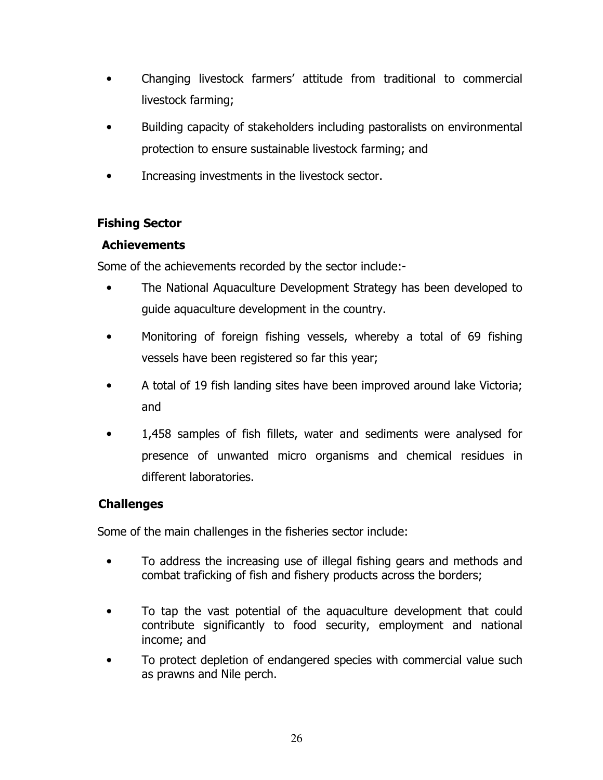- Changing livestock farmers' attitude from traditional to commercial livestock farming;
- Building capacity of stakeholders including pastoralists on environmental protection to ensure sustainable livestock farming; and
- Increasing investments in the livestock sector.

## Fishing Sector

#### Achievements

Some of the achievements recorded by the sector include:-

- The National Aquaculture Development Strategy has been developed to guide aquaculture development in the country.
- Monitoring of foreign fishing vessels, whereby a total of 69 fishing vessels have been registered so far this year;
- A total of 19 fish landing sites have been improved around lake Victoria; and
- 1,458 samples of fish fillets, water and sediments were analysed for presence of unwanted micro organisms and chemical residues in different laboratories.

# **Challenges**

Some of the main challenges in the fisheries sector include:

- To address the increasing use of illegal fishing gears and methods and combat traficking of fish and fishery products across the borders;
- To tap the vast potential of the aquaculture development that could contribute significantly to food security, employment and national income; and
- To protect depletion of endangered species with commercial value such as prawns and Nile perch.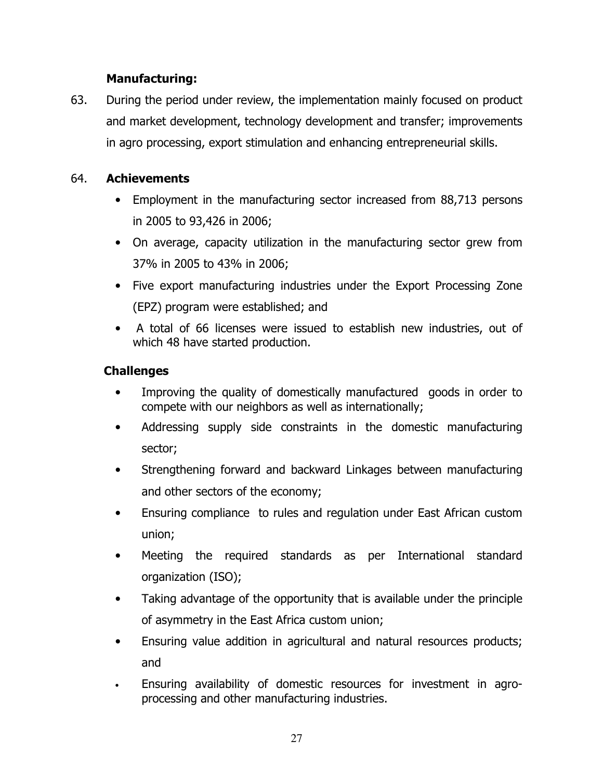# Manufacturing:

63. During the period under review, the implementation mainly focused on product and market development, technology development and transfer; improvements in agro processing, export stimulation and enhancing entrepreneurial skills.

# 64. Achievements

- Employment in the manufacturing sector increased from 88,713 persons in 2005 to 93,426 in 2006;
- On average, capacity utilization in the manufacturing sector grew from 37% in 2005 to 43% in 2006;
- Five export manufacturing industries under the Export Processing Zone (EPZ) program were established; and
- A total of 66 licenses were issued to establish new industries, out of which 48 have started production.

# **Challenges**

- Improving the quality of domestically manufactured goods in order to compete with our neighbors as well as internationally;
- Addressing supply side constraints in the domestic manufacturing sector;
- Strengthening forward and backward Linkages between manufacturing and other sectors of the economy;
- Ensuring compliance to rules and regulation under East African custom union;
- Meeting the required standards as per International standard organization (ISO);
- Taking advantage of the opportunity that is available under the principle of asymmetry in the East Africa custom union;
- Ensuring value addition in agricultural and natural resources products; and
- Ensuring availability of domestic resources for investment in agroprocessing and other manufacturing industries.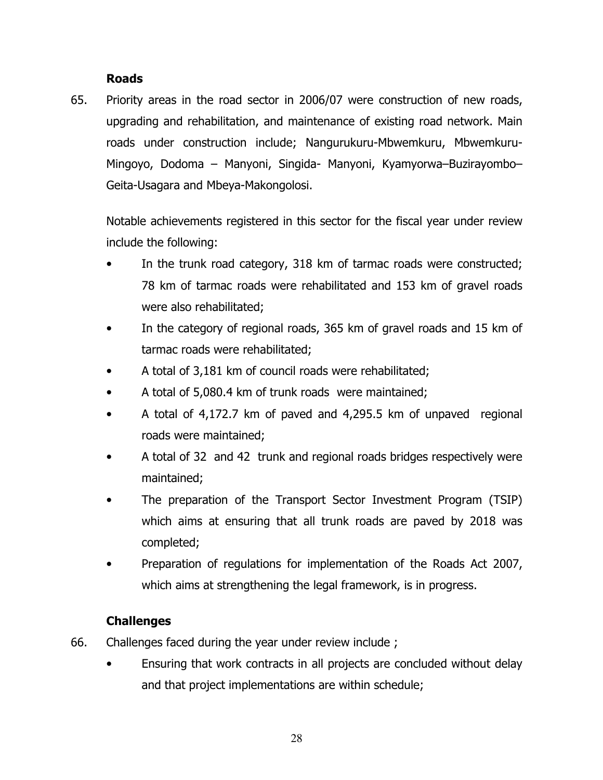#### Roads

65. Priority areas in the road sector in 2006/07 were construction of new roads, upgrading and rehabilitation, and maintenance of existing road network. Main roads under construction include; Nangurukuru-Mbwemkuru, Mbwemkuru-Mingoyo, Dodoma – Manyoni, Singida- Manyoni, Kyamyorwa–Buzirayombo– Geita-Usagara and Mbeya-Makongolosi.

Notable achievements registered in this sector for the fiscal year under review include the following:

- In the trunk road category, 318 km of tarmac roads were constructed; 78 km of tarmac roads were rehabilitated and 153 km of gravel roads were also rehabilitated;
- In the category of regional roads, 365 km of gravel roads and 15 km of tarmac roads were rehabilitated;
- A total of 3,181 km of council roads were rehabilitated;
- A total of 5,080.4 km of trunk roads were maintained;
- A total of 4,172.7 km of paved and 4,295.5 km of unpaved regional roads were maintained;
- A total of 32 and 42 trunk and regional roads bridges respectively were maintained;
- The preparation of the Transport Sector Investment Program (TSIP) which aims at ensuring that all trunk roads are paved by 2018 was completed;
- Preparation of regulations for implementation of the Roads Act 2007, which aims at strengthening the legal framework, is in progress.

#### Challenges

- 66. Challenges faced during the year under review include ;
	- Ensuring that work contracts in all projects are concluded without delay and that project implementations are within schedule;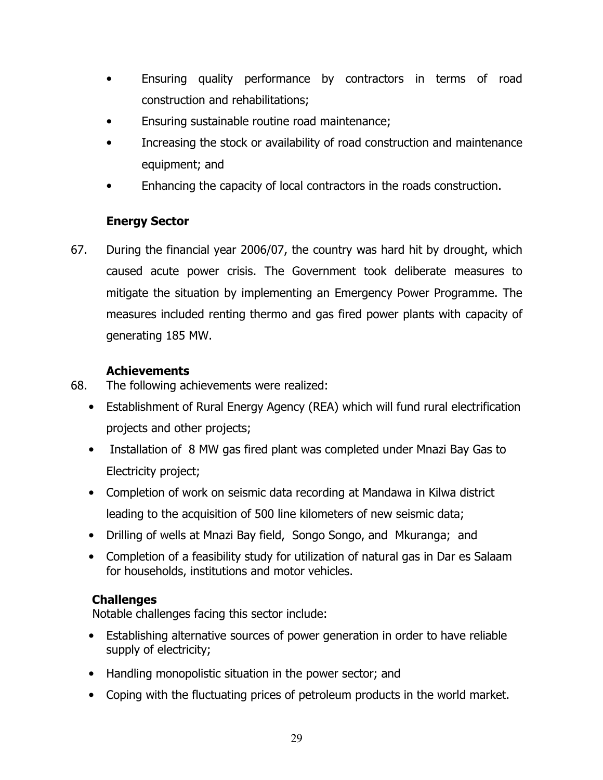- Ensuring quality performance by contractors in terms of road construction and rehabilitations;
- Ensuring sustainable routine road maintenance;
- Increasing the stock or availability of road construction and maintenance equipment; and
- Enhancing the capacity of local contractors in the roads construction.

# Energy Sector

67. During the financial year 2006/07, the country was hard hit by drought, which caused acute power crisis. The Government took deliberate measures to mitigate the situation by implementing an Emergency Power Programme. The measures included renting thermo and gas fired power plants with capacity of generating 185 MW.

# Achievements

- 68. The following achievements were realized:
	- Establishment of Rural Energy Agency (REA) which will fund rural electrification projects and other projects;
	- Installation of 8 MW gas fired plant was completed under Mnazi Bay Gas to Electricity project;
	- Completion of work on seismic data recording at Mandawa in Kilwa district leading to the acquisition of 500 line kilometers of new seismic data;
	- Drilling of wells at Mnazi Bay field, Songo Songo, and Mkuranga; and
	- Completion of a feasibility study for utilization of natural gas in Dar es Salaam for households, institutions and motor vehicles.

# **Challenges**

Notable challenges facing this sector include:

- Establishing alternative sources of power generation in order to have reliable supply of electricity;
- Handling monopolistic situation in the power sector; and
- Coping with the fluctuating prices of petroleum products in the world market.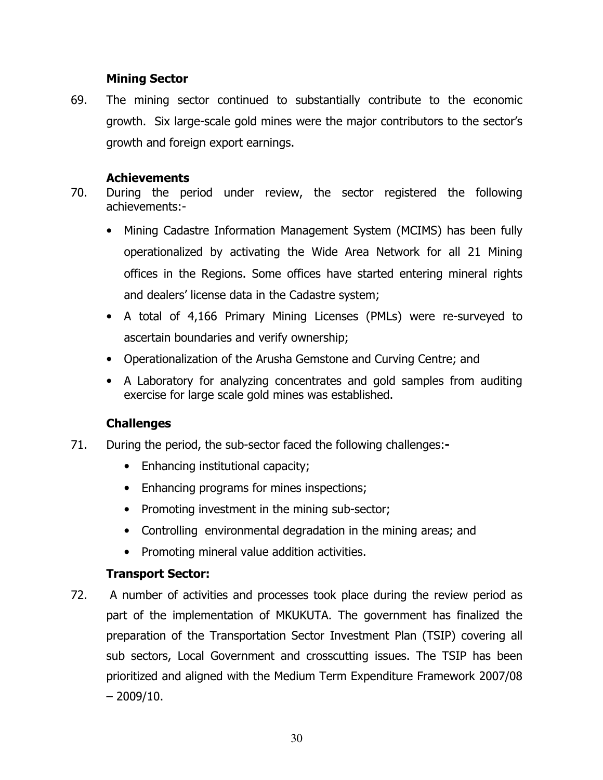#### Mining Sector

69. The mining sector continued to substantially contribute to the economic growth. Six large-scale gold mines were the major contributors to the sector's growth and foreign export earnings.

#### Achievements

- 70. During the period under review, the sector registered the following achievements:-
	- Mining Cadastre Information Management System (MCIMS) has been fully operationalized by activating the Wide Area Network for all 21 Mining offices in the Regions. Some offices have started entering mineral rights and dealers' license data in the Cadastre system;
	- A total of 4,166 Primary Mining Licenses (PMLs) were re-surveyed to ascertain boundaries and verify ownership;
	- Operationalization of the Arusha Gemstone and Curving Centre; and
	- A Laboratory for analyzing concentrates and gold samples from auditing exercise for large scale gold mines was established.

# **Challenges**

- 71. During the period, the sub-sector faced the following challenges:-
	- Enhancing institutional capacity;
	- Enhancing programs for mines inspections;
	- Promoting investment in the mining sub-sector;
	- Controlling environmental degradation in the mining areas; and
	- Promoting mineral value addition activities.

# Transport Sector:

72. A number of activities and processes took place during the review period as part of the implementation of MKUKUTA. The government has finalized the preparation of the Transportation Sector Investment Plan (TSIP) covering all sub sectors, Local Government and crosscutting issues. The TSIP has been prioritized and aligned with the Medium Term Expenditure Framework 2007/08  $-2009/10.$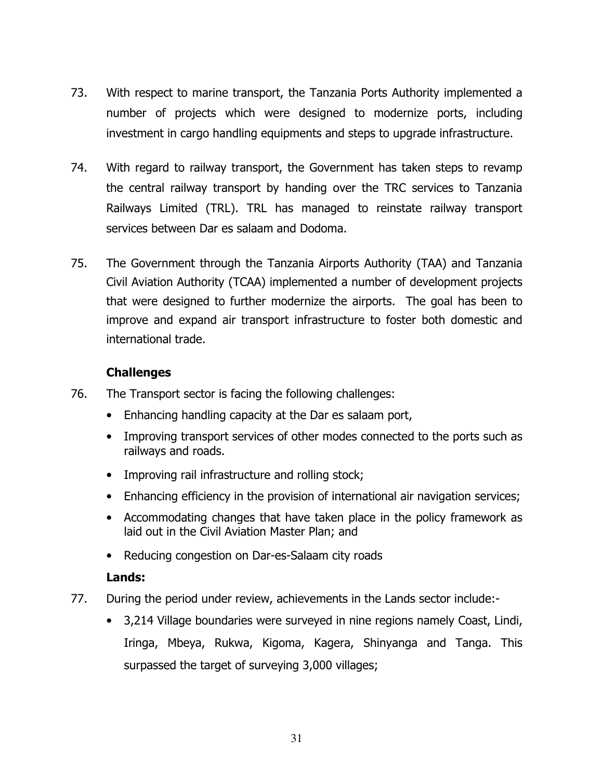- 73. With respect to marine transport, the Tanzania Ports Authority implemented a number of projects which were designed to modernize ports, including investment in cargo handling equipments and steps to upgrade infrastructure.
- 74. With regard to railway transport, the Government has taken steps to revamp the central railway transport by handing over the TRC services to Tanzania Railways Limited (TRL). TRL has managed to reinstate railway transport services between Dar es salaam and Dodoma.
- 75. The Government through the Tanzania Airports Authority (TAA) and Tanzania Civil Aviation Authority (TCAA) implemented a number of development projects that were designed to further modernize the airports. The goal has been to improve and expand air transport infrastructure to foster both domestic and international trade.

- 76. The Transport sector is facing the following challenges:
	- Enhancing handling capacity at the Dar es salaam port,
	- Improving transport services of other modes connected to the ports such as railways and roads.
	- Improving rail infrastructure and rolling stock;
	- Enhancing efficiency in the provision of international air navigation services;
	- Accommodating changes that have taken place in the policy framework as laid out in the Civil Aviation Master Plan; and
	- Reducing congestion on Dar-es-Salaam city roads

#### Lands:

- 77. During the period under review, achievements in the Lands sector include:-
	- 3,214 Village boundaries were surveyed in nine regions namely Coast, Lindi, Iringa, Mbeya, Rukwa, Kigoma, Kagera, Shinyanga and Tanga. This surpassed the target of surveying 3,000 villages;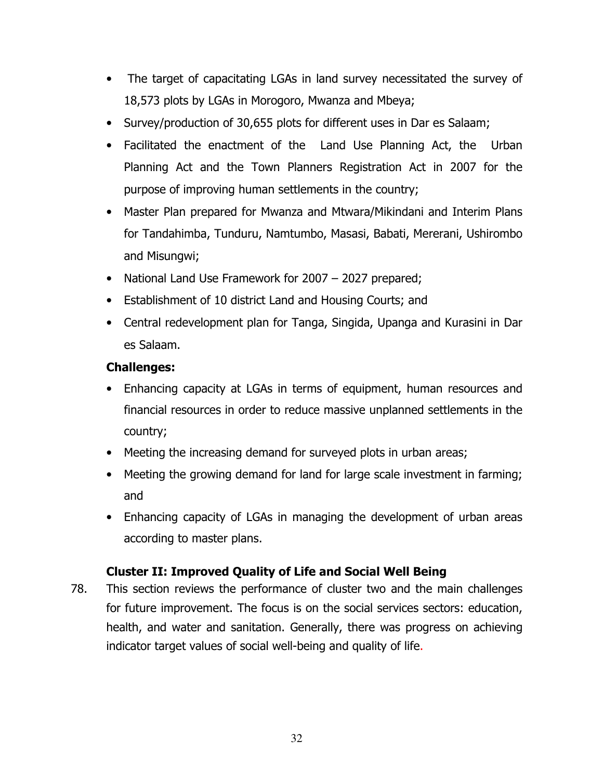- The target of capacitating LGAs in land survey necessitated the survey of 18,573 plots by LGAs in Morogoro, Mwanza and Mbeya;
- Survey/production of 30,655 plots for different uses in Dar es Salaam;
- Facilitated the enactment of the Land Use Planning Act, the Urban Planning Act and the Town Planners Registration Act in 2007 for the purpose of improving human settlements in the country;
- Master Plan prepared for Mwanza and Mtwara/Mikindani and Interim Plans for Tandahimba, Tunduru, Namtumbo, Masasi, Babati, Mererani, Ushirombo and Misungwi;
- National Land Use Framework for 2007 2027 prepared;
- Establishment of 10 district Land and Housing Courts; and
- Central redevelopment plan for Tanga, Singida, Upanga and Kurasini in Dar es Salaam.

- Enhancing capacity at LGAs in terms of equipment, human resources and financial resources in order to reduce massive unplanned settlements in the country;
- Meeting the increasing demand for surveyed plots in urban areas;
- Meeting the growing demand for land for large scale investment in farming; and
- Enhancing capacity of LGAs in managing the development of urban areas according to master plans.

# Cluster II: Improved Quality of Life and Social Well Being

78. This section reviews the performance of cluster two and the main challenges for future improvement. The focus is on the social services sectors: education, health, and water and sanitation. Generally, there was progress on achieving indicator target values of social well-being and quality of life.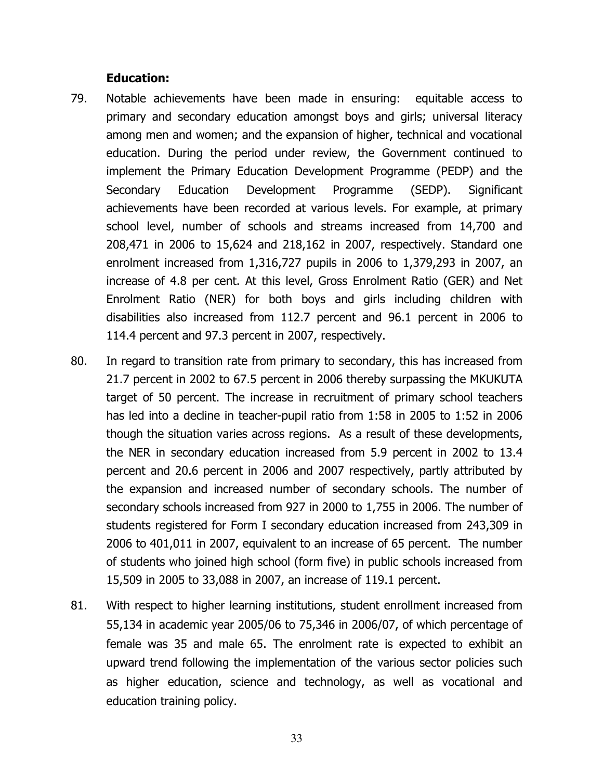#### Education:

- 79. Notable achievements have been made in ensuring: equitable access to primary and secondary education amongst boys and girls; universal literacy among men and women; and the expansion of higher, technical and vocational education. During the period under review, the Government continued to implement the Primary Education Development Programme (PEDP) and the Secondary Education Development Programme (SEDP). Significant achievements have been recorded at various levels. For example, at primary school level, number of schools and streams increased from 14,700 and 208,471 in 2006 to 15,624 and 218,162 in 2007, respectively. Standard one enrolment increased from 1,316,727 pupils in 2006 to 1,379,293 in 2007, an increase of 4.8 per cent. At this level, Gross Enrolment Ratio (GER) and Net Enrolment Ratio (NER) for both boys and girls including children with disabilities also increased from 112.7 percent and 96.1 percent in 2006 to 114.4 percent and 97.3 percent in 2007, respectively.
- 80. In regard to transition rate from primary to secondary, this has increased from 21.7 percent in 2002 to 67.5 percent in 2006 thereby surpassing the MKUKUTA target of 50 percent. The increase in recruitment of primary school teachers has led into a decline in teacher-pupil ratio from 1:58 in 2005 to 1:52 in 2006 though the situation varies across regions. As a result of these developments, the NER in secondary education increased from 5.9 percent in 2002 to 13.4 percent and 20.6 percent in 2006 and 2007 respectively, partly attributed by the expansion and increased number of secondary schools. The number of secondary schools increased from 927 in 2000 to 1,755 in 2006. The number of students registered for Form I secondary education increased from 243,309 in 2006 to 401,011 in 2007, equivalent to an increase of 65 percent. The number of students who joined high school (form five) in public schools increased from 15,509 in 2005 to 33,088 in 2007, an increase of 119.1 percent.
- 81. With respect to higher learning institutions, student enrollment increased from 55,134 in academic year 2005/06 to 75,346 in 2006/07, of which percentage of female was 35 and male 65. The enrolment rate is expected to exhibit an upward trend following the implementation of the various sector policies such as higher education, science and technology, as well as vocational and education training policy.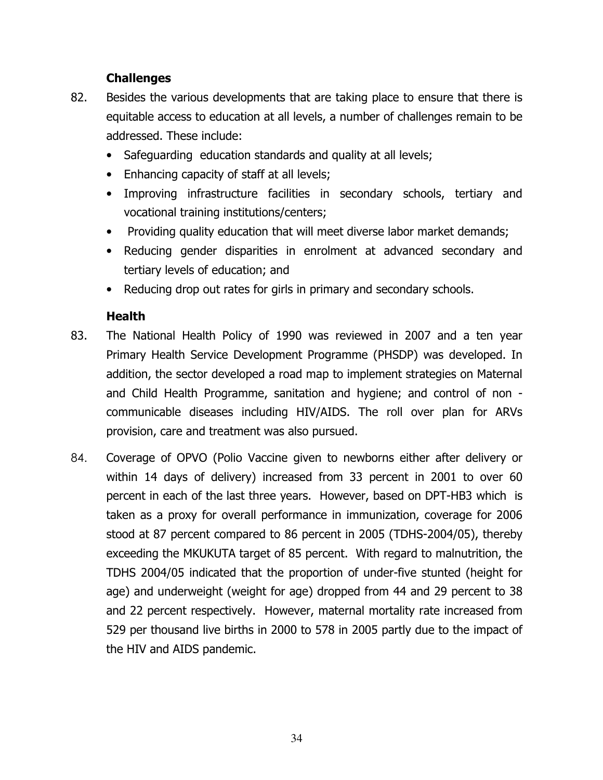- 82. Besides the various developments that are taking place to ensure that there is equitable access to education at all levels, a number of challenges remain to be addressed. These include:
	- Safeguarding education standards and quality at all levels;
	- Enhancing capacity of staff at all levels;
	- Improving infrastructure facilities in secondary schools, tertiary and vocational training institutions/centers;
	- Providing quality education that will meet diverse labor market demands;
	- Reducing gender disparities in enrolment at advanced secondary and tertiary levels of education; and
	- Reducing drop out rates for girls in primary and secondary schools.

#### Health

- 83. The National Health Policy of 1990 was reviewed in 2007 and a ten year Primary Health Service Development Programme (PHSDP) was developed. In addition, the sector developed a road map to implement strategies on Maternal and Child Health Programme, sanitation and hygiene; and control of non communicable diseases including HIV/AIDS. The roll over plan for ARVs provision, care and treatment was also pursued.
- 84. Coverage of OPVO (Polio Vaccine given to newborns either after delivery or within 14 days of delivery) increased from 33 percent in 2001 to over 60 percent in each of the last three years. However, based on DPT-HB3 which is taken as a proxy for overall performance in immunization, coverage for 2006 stood at 87 percent compared to 86 percent in 2005 (TDHS-2004/05), thereby exceeding the MKUKUTA target of 85 percent. With regard to malnutrition, the TDHS 2004/05 indicated that the proportion of under-five stunted (height for age) and underweight (weight for age) dropped from 44 and 29 percent to 38 and 22 percent respectively. However, maternal mortality rate increased from 529 per thousand live births in 2000 to 578 in 2005 partly due to the impact of the HIV and AIDS pandemic.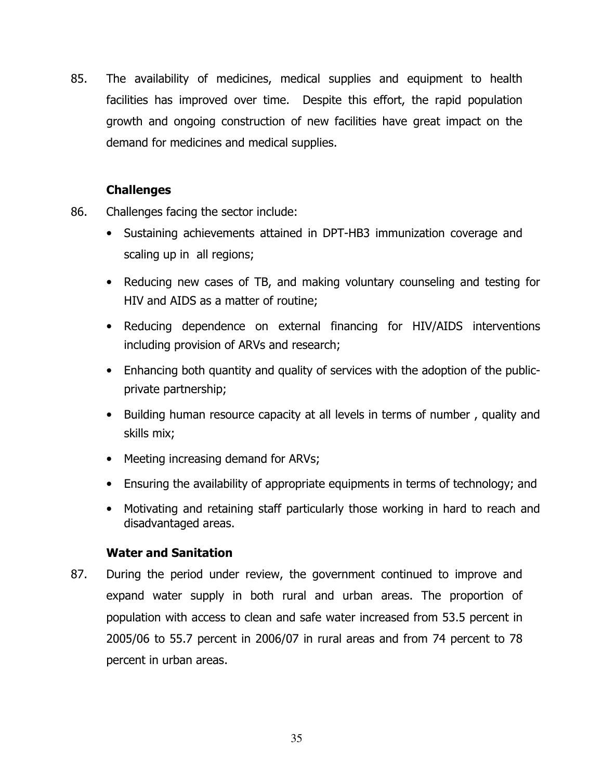85. The availability of medicines, medical supplies and equipment to health facilities has improved over time. Despite this effort, the rapid population growth and ongoing construction of new facilities have great impact on the demand for medicines and medical supplies.

#### **Challenges**

- 86. Challenges facing the sector include:
	- Sustaining achievements attained in DPT-HB3 immunization coverage and scaling up in all regions;
	- Reducing new cases of TB, and making voluntary counseling and testing for HIV and AIDS as a matter of routine;
	- Reducing dependence on external financing for HIV/AIDS interventions including provision of ARVs and research;
	- Enhancing both quantity and quality of services with the adoption of the publicprivate partnership;
	- Building human resource capacity at all levels in terms of number , quality and skills mix;
	- Meeting increasing demand for ARVs;
	- Ensuring the availability of appropriate equipments in terms of technology; and
	- Motivating and retaining staff particularly those working in hard to reach and disadvantaged areas.

#### Water and Sanitation

87. During the period under review, the government continued to improve and expand water supply in both rural and urban areas. The proportion of population with access to clean and safe water increased from 53.5 percent in 2005/06 to 55.7 percent in 2006/07 in rural areas and from 74 percent to 78 percent in urban areas.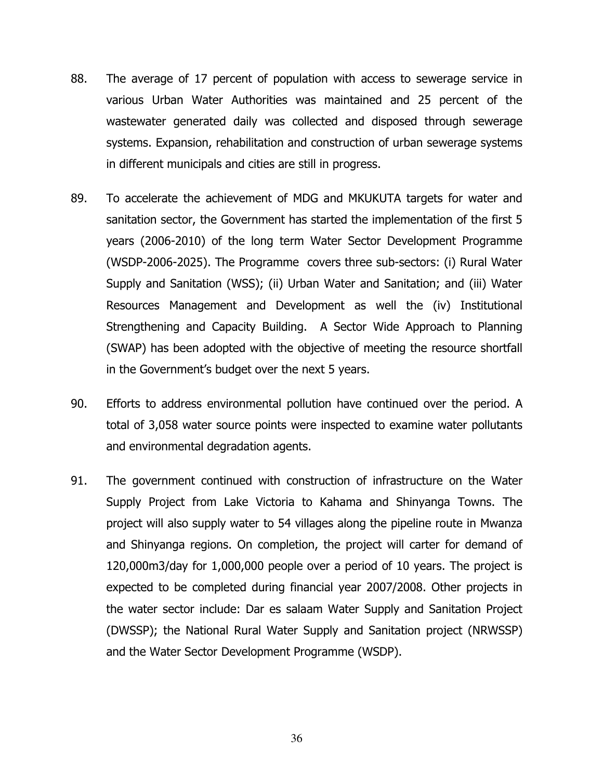- 88. The average of 17 percent of population with access to sewerage service in various Urban Water Authorities was maintained and 25 percent of the wastewater generated daily was collected and disposed through sewerage systems. Expansion, rehabilitation and construction of urban sewerage systems in different municipals and cities are still in progress.
- 89. To accelerate the achievement of MDG and MKUKUTA targets for water and sanitation sector, the Government has started the implementation of the first 5 years (2006-2010) of the long term Water Sector Development Programme (WSDP-2006-2025). The Programme covers three sub-sectors: (i) Rural Water Supply and Sanitation (WSS); (ii) Urban Water and Sanitation; and (iii) Water Resources Management and Development as well the (iv) Institutional Strengthening and Capacity Building. A Sector Wide Approach to Planning (SWAP) has been adopted with the objective of meeting the resource shortfall in the Government's budget over the next 5 years.
- 90. Efforts to address environmental pollution have continued over the period. A total of 3,058 water source points were inspected to examine water pollutants and environmental degradation agents.
- 91. The government continued with construction of infrastructure on the Water Supply Project from Lake Victoria to Kahama and Shinyanga Towns. The project will also supply water to 54 villages along the pipeline route in Mwanza and Shinyanga regions. On completion, the project will carter for demand of 120,000m3/day for 1,000,000 people over a period of 10 years. The project is expected to be completed during financial year 2007/2008. Other projects in the water sector include: Dar es salaam Water Supply and Sanitation Project (DWSSP); the National Rural Water Supply and Sanitation project (NRWSSP) and the Water Sector Development Programme (WSDP).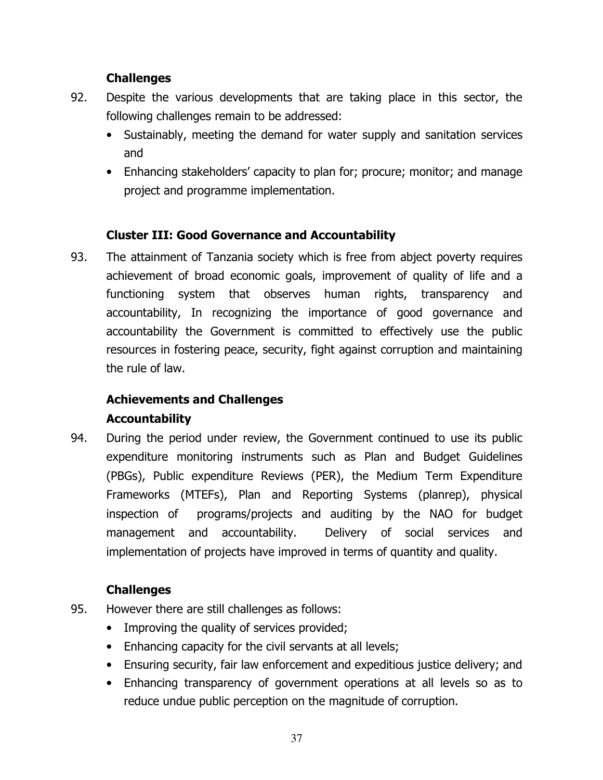- 92. Despite the various developments that are taking place in this sector, the following challenges remain to be addressed:
	- Sustainably, meeting the demand for water supply and sanitation services and
	- Enhancing stakeholders' capacity to plan for; procure; monitor; and manage project and programme implementation.

# Cluster III: Good Governance and Accountability

93. The attainment of Tanzania society which is free from abject poverty requires achievement of broad economic goals, improvement of quality of life and a functioning system that observes human rights, transparency and accountability, In recognizing the importance of good governance and accountability the Government is committed to effectively use the public resources in fostering peace, security, fight against corruption and maintaining the rule of law.

# Achievements and Challenges

# Accountability

94. During the period under review, the Government continued to use its public expenditure monitoring instruments such as Plan and Budget Guidelines (PBGs), Public expenditure Reviews (PER), the Medium Term Expenditure Frameworks (MTEFs), Plan and Reporting Systems (planrep), physical inspection of programs/projects and auditing by the NAO for budget management and accountability. Delivery of social services and implementation of projects have improved in terms of quantity and quality.

# **Challenges**

- 95. However there are still challenges as follows:
	- Improving the quality of services provided;
	- Enhancing capacity for the civil servants at all levels;
	- Ensuring security, fair law enforcement and expeditious justice delivery; and
	- Enhancing transparency of government operations at all levels so as to reduce undue public perception on the magnitude of corruption.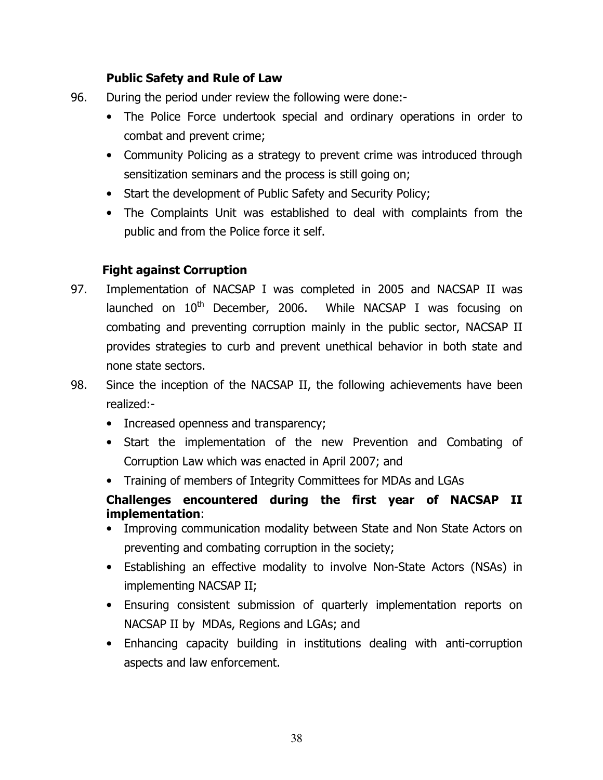#### Public Safety and Rule of Law

- 96. During the period under review the following were done:-
	- The Police Force undertook special and ordinary operations in order to combat and prevent crime;
	- Community Policing as a strategy to prevent crime was introduced through sensitization seminars and the process is still going on;
	- Start the development of Public Safety and Security Policy;
	- The Complaints Unit was established to deal with complaints from the public and from the Police force it self.

# Fight against Corruption

- 97. Implementation of NACSAP I was completed in 2005 and NACSAP II was launched on  $10<sup>th</sup>$  December, 2006. While NACSAP I was focusing on combating and preventing corruption mainly in the public sector, NACSAP II provides strategies to curb and prevent unethical behavior in both state and none state sectors.
- 98. Since the inception of the NACSAP II, the following achievements have been realized:-
	- Increased openness and transparency;
	- Start the implementation of the new Prevention and Combating of Corruption Law which was enacted in April 2007; and
	- Training of members of Integrity Committees for MDAs and LGAs

# Challenges encountered during the first year of NACSAP II implementation:

- Improving communication modality between State and Non State Actors on preventing and combating corruption in the society;
- Establishing an effective modality to involve Non-State Actors (NSAs) in implementing NACSAP II;
- Ensuring consistent submission of quarterly implementation reports on NACSAP II by MDAs, Regions and LGAs; and
- Enhancing capacity building in institutions dealing with anti-corruption aspects and law enforcement.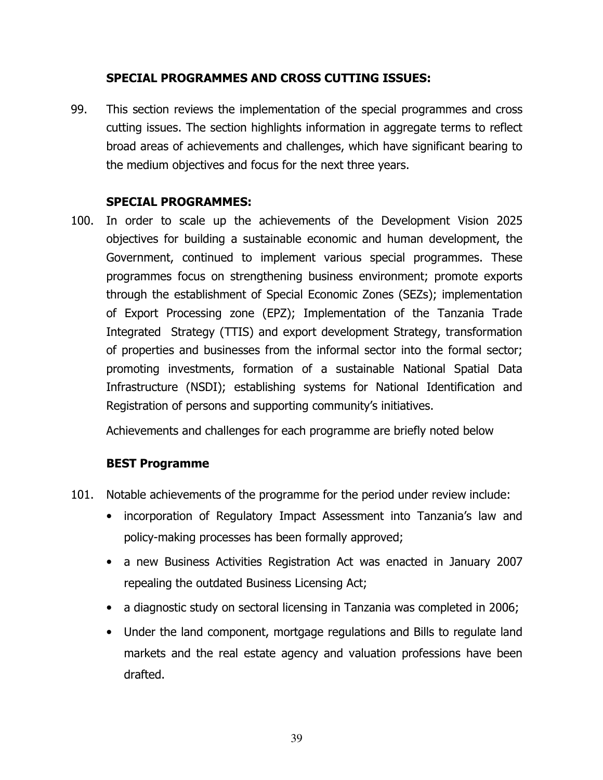#### SPECIAL PROGRAMMES AND CROSS CUTTING ISSUES:

99. This section reviews the implementation of the special programmes and cross cutting issues. The section highlights information in aggregate terms to reflect broad areas of achievements and challenges, which have significant bearing to the medium objectives and focus for the next three years.

#### SPECIAL PROGRAMMES:

100. In order to scale up the achievements of the Development Vision 2025 objectives for building a sustainable economic and human development, the Government, continued to implement various special programmes. These programmes focus on strengthening business environment; promote exports through the establishment of Special Economic Zones (SEZs); implementation of Export Processing zone (EPZ); Implementation of the Tanzania Trade Integrated Strategy (TTIS) and export development Strategy, transformation of properties and businesses from the informal sector into the formal sector; promoting investments, formation of a sustainable National Spatial Data Infrastructure (NSDI); establishing systems for National Identification and Registration of persons and supporting community's initiatives.

Achievements and challenges for each programme are briefly noted below

#### BEST Programme

- 101. Notable achievements of the programme for the period under review include:
	- incorporation of Regulatory Impact Assessment into Tanzania's law and policy-making processes has been formally approved;
	- a new Business Activities Registration Act was enacted in January 2007 repealing the outdated Business Licensing Act;
	- a diagnostic study on sectoral licensing in Tanzania was completed in 2006;
	- Under the land component, mortgage regulations and Bills to regulate land markets and the real estate agency and valuation professions have been drafted.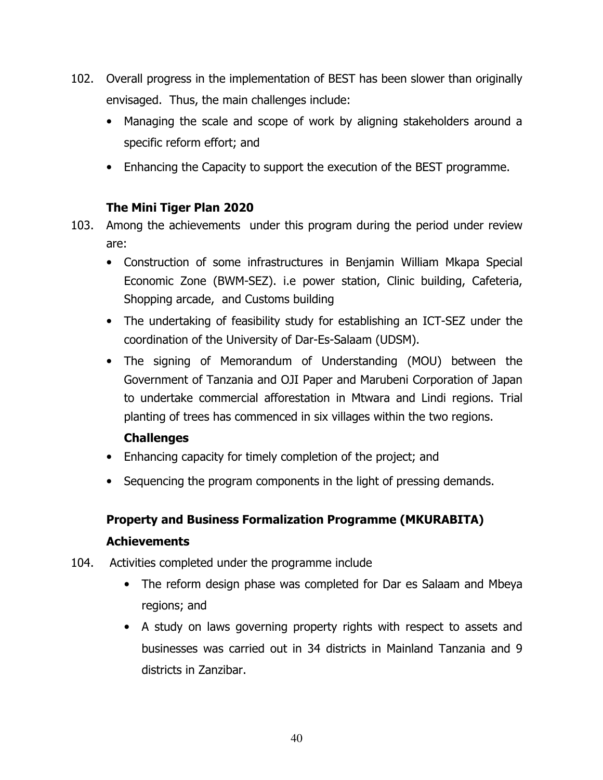- 102. Overall progress in the implementation of BEST has been slower than originally envisaged. Thus, the main challenges include:
	- Managing the scale and scope of work by aligning stakeholders around a specific reform effort; and
	- Enhancing the Capacity to support the execution of the BEST programme.

#### The Mini Tiger Plan 2020

- 103. Among the achievements under this program during the period under review are:
	- Construction of some infrastructures in Benjamin William Mkapa Special Economic Zone (BWM-SEZ). i.e power station, Clinic building, Cafeteria, Shopping arcade, and Customs building
	- The undertaking of feasibility study for establishing an ICT-SEZ under the coordination of the University of Dar-Es-Salaam (UDSM).
	- The signing of Memorandum of Understanding (MOU) between the Government of Tanzania and OJI Paper and Marubeni Corporation of Japan to undertake commercial afforestation in Mtwara and Lindi regions. Trial planting of trees has commenced in six villages within the two regions.

#### **Challenges**

- Enhancing capacity for timely completion of the project; and
- Sequencing the program components in the light of pressing demands.

# Property and Business Formalization Programme (MKURABITA) Achievements

- 104. Activities completed under the programme include
	- The reform design phase was completed for Dar es Salaam and Mbeya regions; and
	- A study on laws governing property rights with respect to assets and businesses was carried out in 34 districts in Mainland Tanzania and 9 districts in Zanzibar.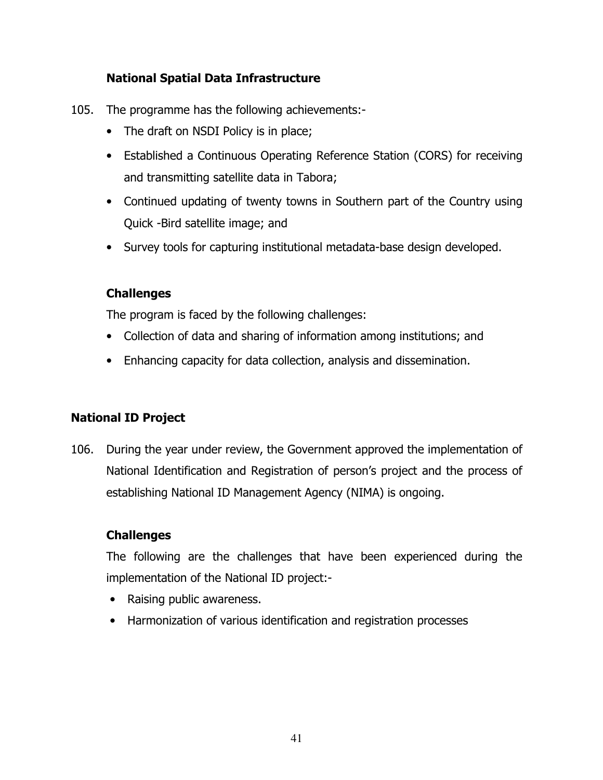# National Spatial Data Infrastructure

- 105. The programme has the following achievements:-
	- The draft on NSDI Policy is in place;
	- Established a Continuous Operating Reference Station (CORS) for receiving and transmitting satellite data in Tabora;
	- Continued updating of twenty towns in Southern part of the Country using Quick -Bird satellite image; and
	- Survey tools for capturing institutional metadata-base design developed.

# **Challenges**

The program is faced by the following challenges:

- Collection of data and sharing of information among institutions; and
- Enhancing capacity for data collection, analysis and dissemination.

# National ID Project

106. During the year under review, the Government approved the implementation of National Identification and Registration of person's project and the process of establishing National ID Management Agency (NIMA) is ongoing.

# Challenges

The following are the challenges that have been experienced during the implementation of the National ID project:-

- Raising public awareness.
- Harmonization of various identification and registration processes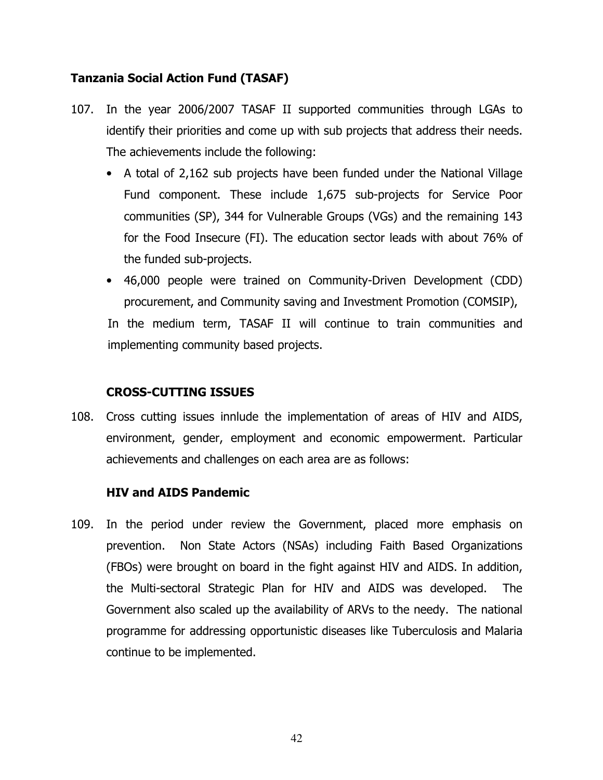#### Tanzania Social Action Fund (TASAF)

- 107. In the year 2006/2007 TASAF II supported communities through LGAs to identify their priorities and come up with sub projects that address their needs. The achievements include the following:
	- A total of 2,162 sub projects have been funded under the National Village Fund component. These include 1,675 sub-projects for Service Poor communities (SP), 344 for Vulnerable Groups (VGs) and the remaining 143 for the Food Insecure (FI). The education sector leads with about 76% of the funded sub-projects.
	- 46,000 people were trained on Community-Driven Development (CDD) procurement, and Community saving and Investment Promotion (COMSIP),

In the medium term, TASAF II will continue to train communities and implementing community based projects.

#### CROSS-CUTTING ISSUES

108. Cross cutting issues innlude the implementation of areas of HIV and AIDS, environment, gender, employment and economic empowerment. Particular achievements and challenges on each area are as follows:

#### HIV and AIDS Pandemic

109. In the period under review the Government, placed more emphasis on prevention. Non State Actors (NSAs) including Faith Based Organizations (FBOs) were brought on board in the fight against HIV and AIDS. In addition, the Multi-sectoral Strategic Plan for HIV and AIDS was developed. The Government also scaled up the availability of ARVs to the needy. The national programme for addressing opportunistic diseases like Tuberculosis and Malaria continue to be implemented.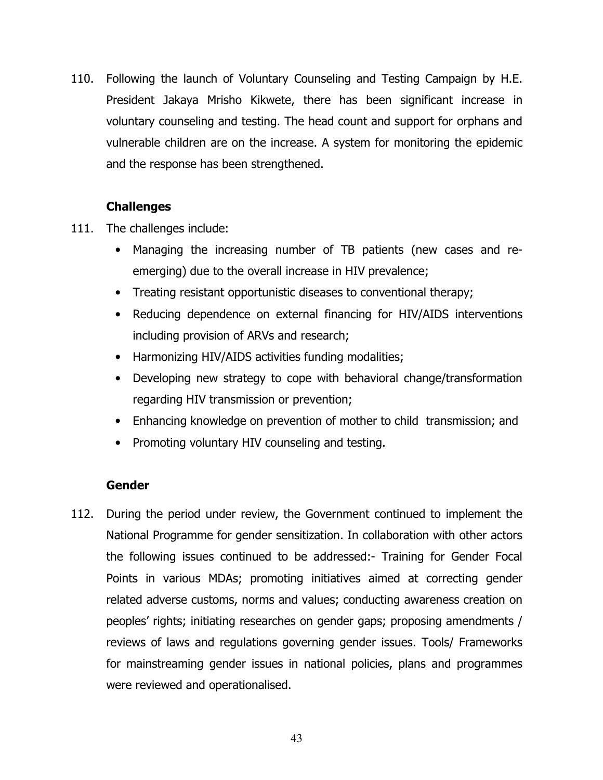110. Following the launch of Voluntary Counseling and Testing Campaign by H.E. President Jakaya Mrisho Kikwete, there has been significant increase in voluntary counseling and testing. The head count and support for orphans and vulnerable children are on the increase. A system for monitoring the epidemic and the response has been strengthened.

#### **Challenges**

- 111. The challenges include:
	- Managing the increasing number of TB patients (new cases and reemerging) due to the overall increase in HIV prevalence;
	- Treating resistant opportunistic diseases to conventional therapy;
	- Reducing dependence on external financing for HIV/AIDS interventions including provision of ARVs and research;
	- Harmonizing HIV/AIDS activities funding modalities;
	- Developing new strategy to cope with behavioral change/transformation regarding HIV transmission or prevention;
	- Enhancing knowledge on prevention of mother to child transmission; and
	- Promoting voluntary HIV counseling and testing.

#### Gender

112. During the period under review, the Government continued to implement the National Programme for gender sensitization. In collaboration with other actors the following issues continued to be addressed:- Training for Gender Focal Points in various MDAs; promoting initiatives aimed at correcting gender related adverse customs, norms and values; conducting awareness creation on peoples' rights; initiating researches on gender gaps; proposing amendments / reviews of laws and regulations governing gender issues. Tools/ Frameworks for mainstreaming gender issues in national policies, plans and programmes were reviewed and operationalised.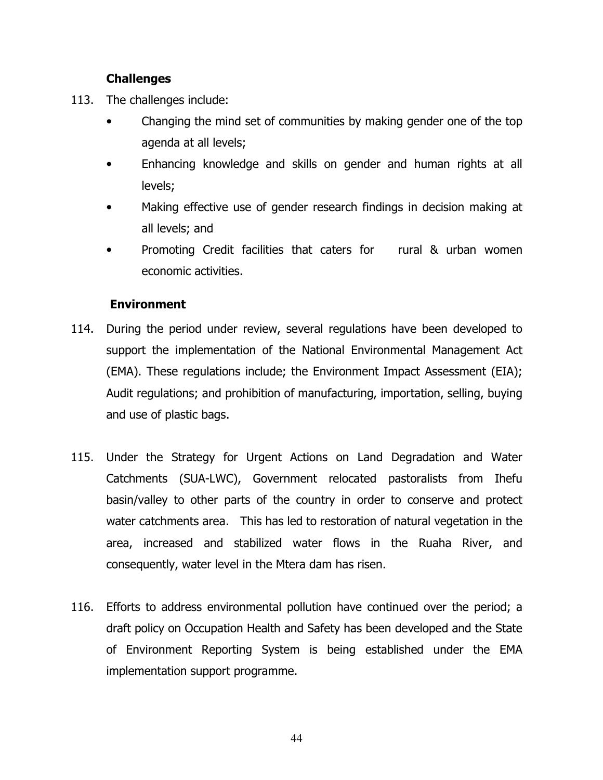- 113. The challenges include:
	- Changing the mind set of communities by making gender one of the top agenda at all levels;
	- Enhancing knowledge and skills on gender and human rights at all levels;
	- Making effective use of gender research findings in decision making at all levels; and
	- Promoting Credit facilities that caters for rural & urban women economic activities.

#### Environment

- 114. During the period under review, several regulations have been developed to support the implementation of the National Environmental Management Act (EMA). These regulations include; the Environment Impact Assessment (EIA); Audit regulations; and prohibition of manufacturing, importation, selling, buying and use of plastic bags.
- 115. Under the Strategy for Urgent Actions on Land Degradation and Water Catchments (SUA-LWC), Government relocated pastoralists from Ihefu basin/valley to other parts of the country in order to conserve and protect water catchments area. This has led to restoration of natural vegetation in the area, increased and stabilized water flows in the Ruaha River, and consequently, water level in the Mtera dam has risen.
- 116. Efforts to address environmental pollution have continued over the period; a draft policy on Occupation Health and Safety has been developed and the State of Environment Reporting System is being established under the EMA implementation support programme.

44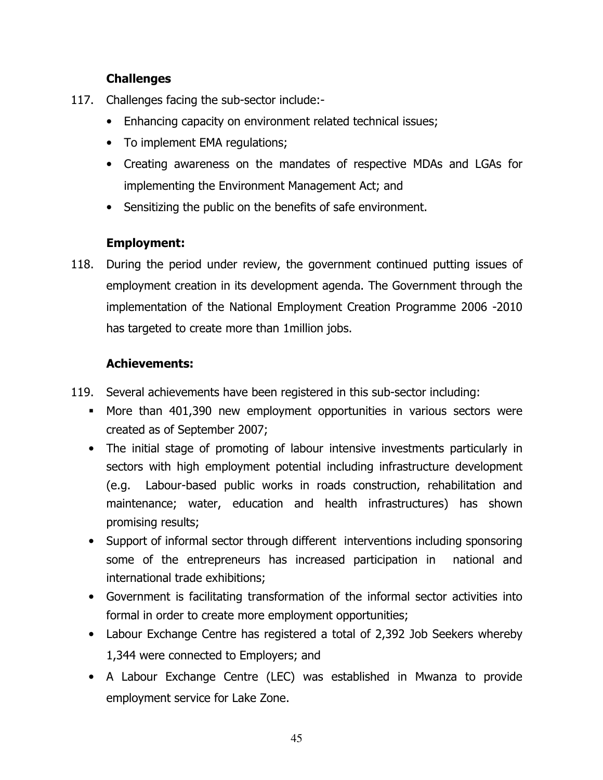- 117. Challenges facing the sub-sector include:-
	- Enhancing capacity on environment related technical issues;
	- To implement EMA regulations;
	- Creating awareness on the mandates of respective MDAs and LGAs for implementing the Environment Management Act; and
	- Sensitizing the public on the benefits of safe environment.

# Employment:

118. During the period under review, the government continued putting issues of employment creation in its development agenda. The Government through the implementation of the National Employment Creation Programme 2006 -2010 has targeted to create more than 1million jobs.

# Achievements:

- 119. Several achievements have been registered in this sub-sector including:
	- More than 401,390 new employment opportunities in various sectors were created as of September 2007;
	- The initial stage of promoting of labour intensive investments particularly in sectors with high employment potential including infrastructure development (e.g. Labour-based public works in roads construction, rehabilitation and maintenance; water, education and health infrastructures) has shown promising results;
	- Support of informal sector through different interventions including sponsoring some of the entrepreneurs has increased participation in national and international trade exhibitions;
	- Government is facilitating transformation of the informal sector activities into formal in order to create more employment opportunities;
	- Labour Exchange Centre has registered a total of 2,392 Job Seekers whereby 1,344 were connected to Employers; and
	- A Labour Exchange Centre (LEC) was established in Mwanza to provide employment service for Lake Zone.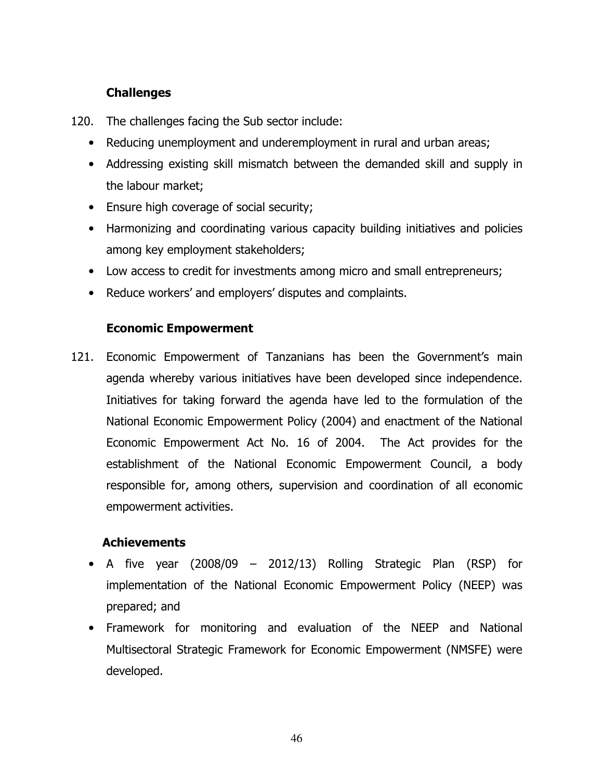- 120. The challenges facing the Sub sector include:
	- Reducing unemployment and underemployment in rural and urban areas;
	- Addressing existing skill mismatch between the demanded skill and supply in the labour market;
	- Ensure high coverage of social security;
	- Harmonizing and coordinating various capacity building initiatives and policies among key employment stakeholders;
	- Low access to credit for investments among micro and small entrepreneurs;
	- Reduce workers' and employers' disputes and complaints.

#### Economic Empowerment

121. Economic Empowerment of Tanzanians has been the Government's main agenda whereby various initiatives have been developed since independence. Initiatives for taking forward the agenda have led to the formulation of the National Economic Empowerment Policy (2004) and enactment of the National Economic Empowerment Act No. 16 of 2004. The Act provides for the establishment of the National Economic Empowerment Council, a body responsible for, among others, supervision and coordination of all economic empowerment activities.

#### **Achievements**

- A five year (2008/09 2012/13) Rolling Strategic Plan (RSP) for implementation of the National Economic Empowerment Policy (NEEP) was prepared; and
- Framework for monitoring and evaluation of the NEEP and National Multisectoral Strategic Framework for Economic Empowerment (NMSFE) were developed.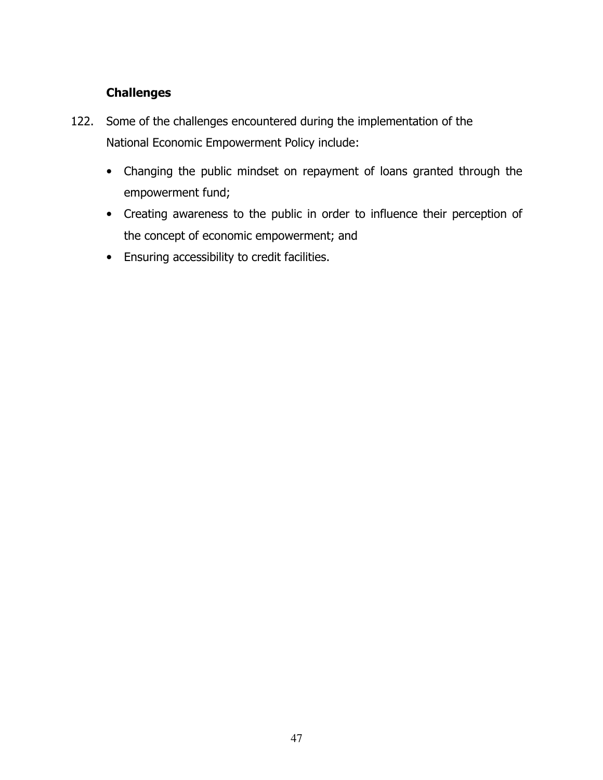- 122. Some of the challenges encountered during the implementation of the National Economic Empowerment Policy include:
	- Changing the public mindset on repayment of loans granted through the empowerment fund;
	- Creating awareness to the public in order to influence their perception of the concept of economic empowerment; and
	- Ensuring accessibility to credit facilities.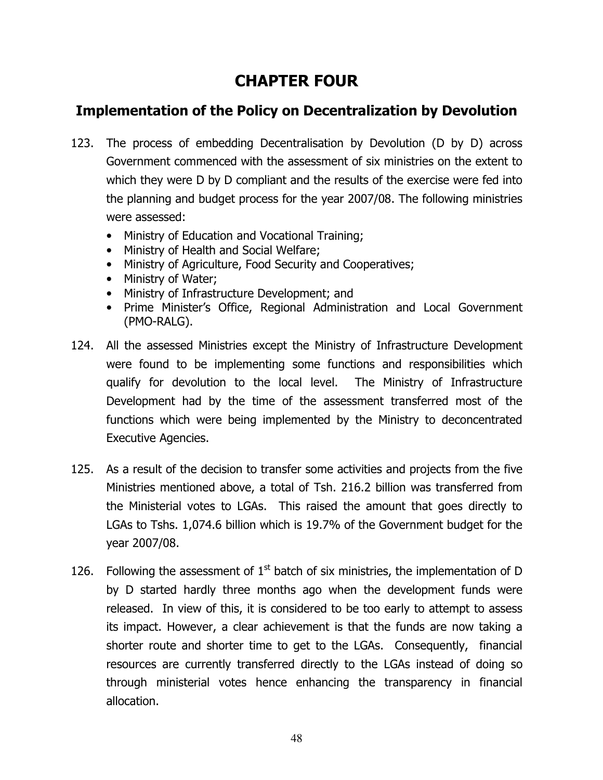# CHAPTER FOUR

# Implementation of the Policy on Decentralization by Devolution

- 123. The process of embedding Decentralisation by Devolution (D by D) across Government commenced with the assessment of six ministries on the extent to which they were D by D compliant and the results of the exercise were fed into the planning and budget process for the year 2007/08. The following ministries were assessed:
	- Ministry of Education and Vocational Training;
	- Ministry of Health and Social Welfare;
	- Ministry of Agriculture, Food Security and Cooperatives;
	- Ministry of Water;
	- Ministry of Infrastructure Development; and
	- Prime Minister's Office, Regional Administration and Local Government (PMO-RALG).
- 124. All the assessed Ministries except the Ministry of Infrastructure Development were found to be implementing some functions and responsibilities which qualify for devolution to the local level. The Ministry of Infrastructure Development had by the time of the assessment transferred most of the functions which were being implemented by the Ministry to deconcentrated Executive Agencies.
- 125. As a result of the decision to transfer some activities and projects from the five Ministries mentioned above, a total of Tsh. 216.2 billion was transferred from the Ministerial votes to LGAs. This raised the amount that goes directly to LGAs to Tshs. 1,074.6 billion which is 19.7% of the Government budget for the year 2007/08.
- 126. Following the assessment of  $1<sup>st</sup>$  batch of six ministries, the implementation of D by D started hardly three months ago when the development funds were released. In view of this, it is considered to be too early to attempt to assess its impact. However, a clear achievement is that the funds are now taking a shorter route and shorter time to get to the LGAs. Consequently, financial resources are currently transferred directly to the LGAs instead of doing so through ministerial votes hence enhancing the transparency in financial allocation.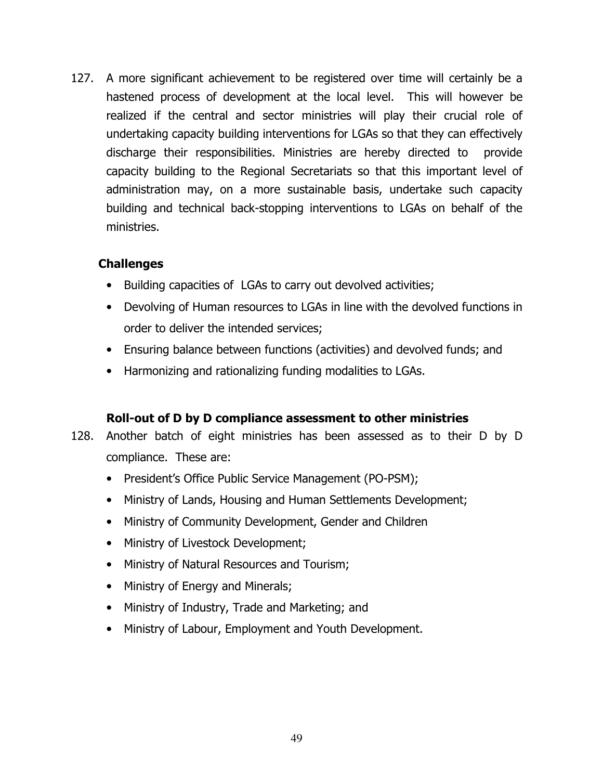127. A more significant achievement to be registered over time will certainly be a hastened process of development at the local level. This will however be realized if the central and sector ministries will play their crucial role of undertaking capacity building interventions for LGAs so that they can effectively discharge their responsibilities. Ministries are hereby directed to provide capacity building to the Regional Secretariats so that this important level of administration may, on a more sustainable basis, undertake such capacity building and technical back-stopping interventions to LGAs on behalf of the ministries.

#### Challenges

- Building capacities of LGAs to carry out devolved activities;
- Devolving of Human resources to LGAs in line with the devolved functions in order to deliver the intended services;
- Ensuring balance between functions (activities) and devolved funds; and
- Harmonizing and rationalizing funding modalities to LGAs.

# Roll-out of D by D compliance assessment to other ministries

- 128. Another batch of eight ministries has been assessed as to their D by D compliance. These are:
	- President's Office Public Service Management (PO-PSM);
	- Ministry of Lands, Housing and Human Settlements Development;
	- Ministry of Community Development, Gender and Children
	- Ministry of Livestock Development;
	- Ministry of Natural Resources and Tourism;
	- Ministry of Energy and Minerals;
	- Ministry of Industry, Trade and Marketing; and
	- Ministry of Labour, Employment and Youth Development.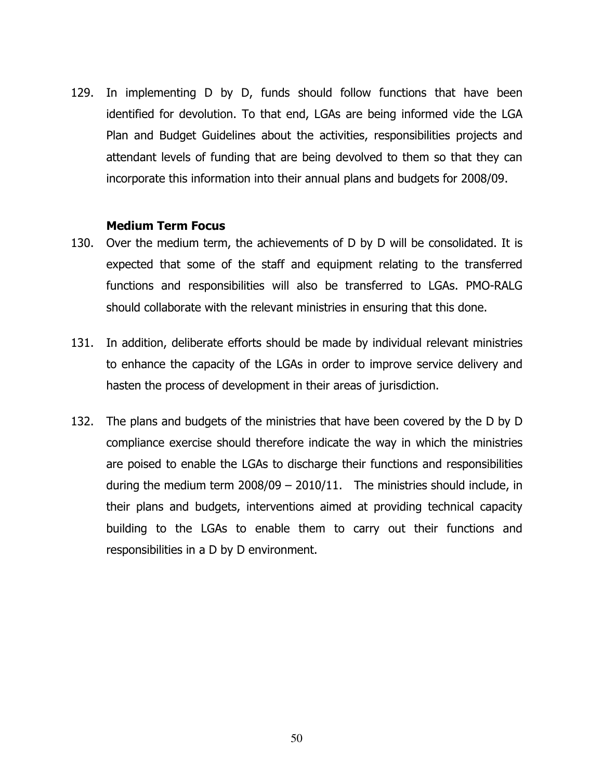129. In implementing D by D, funds should follow functions that have been identified for devolution. To that end, LGAs are being informed vide the LGA Plan and Budget Guidelines about the activities, responsibilities projects and attendant levels of funding that are being devolved to them so that they can incorporate this information into their annual plans and budgets for 2008/09.

#### Medium Term Focus

- 130. Over the medium term, the achievements of D by D will be consolidated. It is expected that some of the staff and equipment relating to the transferred functions and responsibilities will also be transferred to LGAs. PMO-RALG should collaborate with the relevant ministries in ensuring that this done.
- 131. In addition, deliberate efforts should be made by individual relevant ministries to enhance the capacity of the LGAs in order to improve service delivery and hasten the process of development in their areas of jurisdiction.
- 132. The plans and budgets of the ministries that have been covered by the D by D compliance exercise should therefore indicate the way in which the ministries are poised to enable the LGAs to discharge their functions and responsibilities during the medium term 2008/09 – 2010/11. The ministries should include, in their plans and budgets, interventions aimed at providing technical capacity building to the LGAs to enable them to carry out their functions and responsibilities in a D by D environment.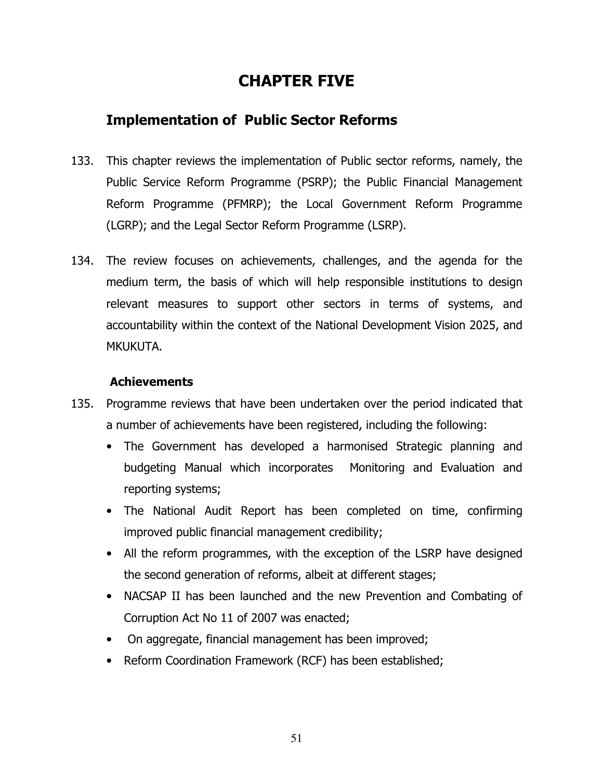# CHAPTER FIVE

# Implementation of Public Sector Reforms

- 133. This chapter reviews the implementation of Public sector reforms, namely, the Public Service Reform Programme (PSRP); the Public Financial Management Reform Programme (PFMRP); the Local Government Reform Programme (LGRP); and the Legal Sector Reform Programme (LSRP).
- 134. The review focuses on achievements, challenges, and the agenda for the medium term, the basis of which will help responsible institutions to design relevant measures to support other sectors in terms of systems, and accountability within the context of the National Development Vision 2025, and MKUKUTA.

#### Achievements

- 135. Programme reviews that have been undertaken over the period indicated that a number of achievements have been registered, including the following:
	- The Government has developed a harmonised Strategic planning and budgeting Manual which incorporates Monitoring and Evaluation and reporting systems;
	- The National Audit Report has been completed on time, confirming improved public financial management credibility;
	- All the reform programmes, with the exception of the LSRP have designed the second generation of reforms, albeit at different stages;
	- NACSAP II has been launched and the new Prevention and Combating of Corruption Act No 11 of 2007 was enacted;
	- On aggregate, financial management has been improved;
	- Reform Coordination Framework (RCF) has been established;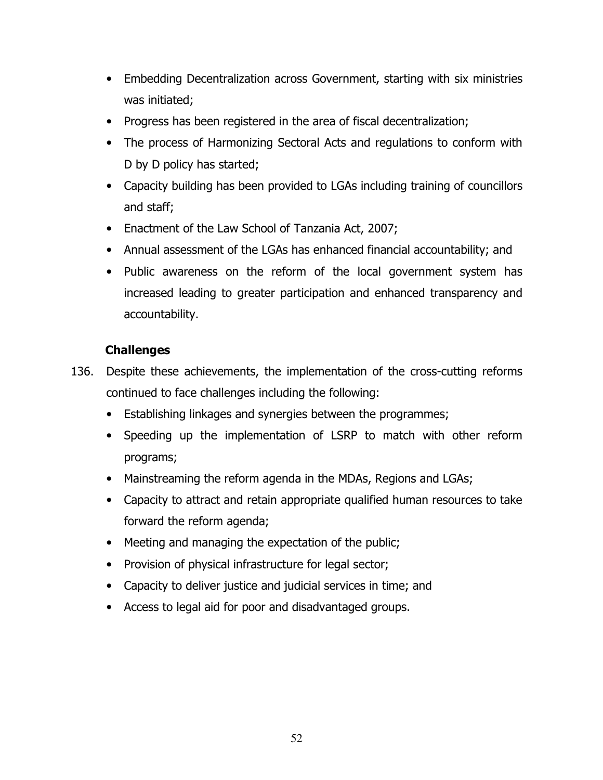- Embedding Decentralization across Government, starting with six ministries was initiated;
- Progress has been registered in the area of fiscal decentralization;
- The process of Harmonizing Sectoral Acts and regulations to conform with D by D policy has started;
- Capacity building has been provided to LGAs including training of councillors and staff;
- Enactment of the Law School of Tanzania Act, 2007;
- Annual assessment of the LGAs has enhanced financial accountability; and
- Public awareness on the reform of the local government system has increased leading to greater participation and enhanced transparency and accountability.

- 136. Despite these achievements, the implementation of the cross-cutting reforms continued to face challenges including the following:
	- Establishing linkages and synergies between the programmes;
	- Speeding up the implementation of LSRP to match with other reform programs;
	- Mainstreaming the reform agenda in the MDAs, Regions and LGAs;
	- Capacity to attract and retain appropriate qualified human resources to take forward the reform agenda;
	- Meeting and managing the expectation of the public;
	- Provision of physical infrastructure for legal sector;
	- Capacity to deliver justice and judicial services in time; and
	- Access to legal aid for poor and disadvantaged groups.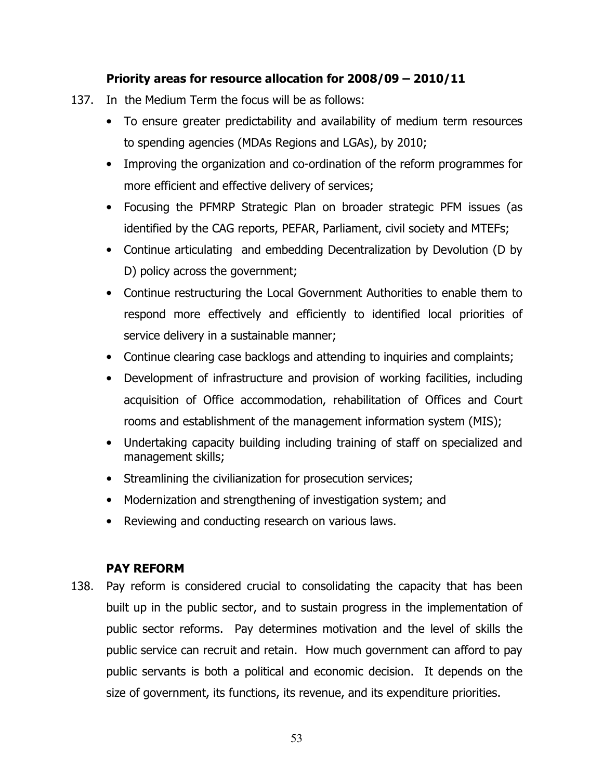#### Priority areas for resource allocation for 2008/09 – 2010/11

- 137. In the Medium Term the focus will be as follows:
	- To ensure greater predictability and availability of medium term resources to spending agencies (MDAs Regions and LGAs), by 2010;
	- Improving the organization and co-ordination of the reform programmes for more efficient and effective delivery of services;
	- Focusing the PFMRP Strategic Plan on broader strategic PFM issues (as identified by the CAG reports, PEFAR, Parliament, civil society and MTEFs;
	- Continue articulating and embedding Decentralization by Devolution (D by D) policy across the government;
	- Continue restructuring the Local Government Authorities to enable them to respond more effectively and efficiently to identified local priorities of service delivery in a sustainable manner;
	- Continue clearing case backlogs and attending to inquiries and complaints;
	- Development of infrastructure and provision of working facilities, including acquisition of Office accommodation, rehabilitation of Offices and Court rooms and establishment of the management information system (MIS);
	- Undertaking capacity building including training of staff on specialized and management skills;
	- Streamlining the civilianization for prosecution services;
	- Modernization and strengthening of investigation system; and
	- Reviewing and conducting research on various laws.

#### PAY REFORM

138. Pay reform is considered crucial to consolidating the capacity that has been built up in the public sector, and to sustain progress in the implementation of public sector reforms. Pay determines motivation and the level of skills the public service can recruit and retain. How much government can afford to pay public servants is both a political and economic decision. It depends on the size of government, its functions, its revenue, and its expenditure priorities.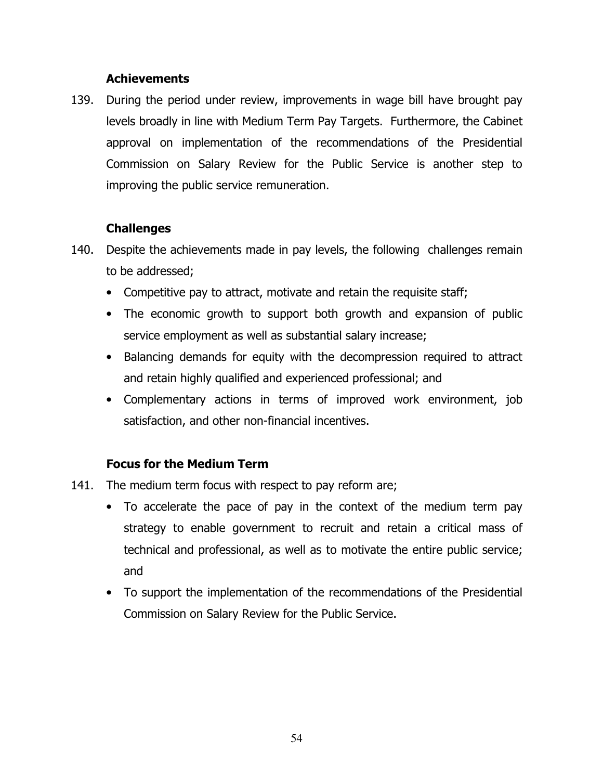#### **Achievements**

139. During the period under review, improvements in wage bill have brought pay levels broadly in line with Medium Term Pay Targets. Furthermore, the Cabinet approval on implementation of the recommendations of the Presidential Commission on Salary Review for the Public Service is another step to improving the public service remuneration.

#### Challenges

- 140. Despite the achievements made in pay levels, the following challenges remain to be addressed;
	- Competitive pay to attract, motivate and retain the requisite staff;
	- The economic growth to support both growth and expansion of public service employment as well as substantial salary increase;
	- Balancing demands for equity with the decompression required to attract and retain highly qualified and experienced professional; and
	- Complementary actions in terms of improved work environment, job satisfaction, and other non-financial incentives.

#### Focus for the Medium Term

- 141. The medium term focus with respect to pay reform are;
	- To accelerate the pace of pay in the context of the medium term pay strategy to enable government to recruit and retain a critical mass of technical and professional, as well as to motivate the entire public service; and
	- To support the implementation of the recommendations of the Presidential Commission on Salary Review for the Public Service.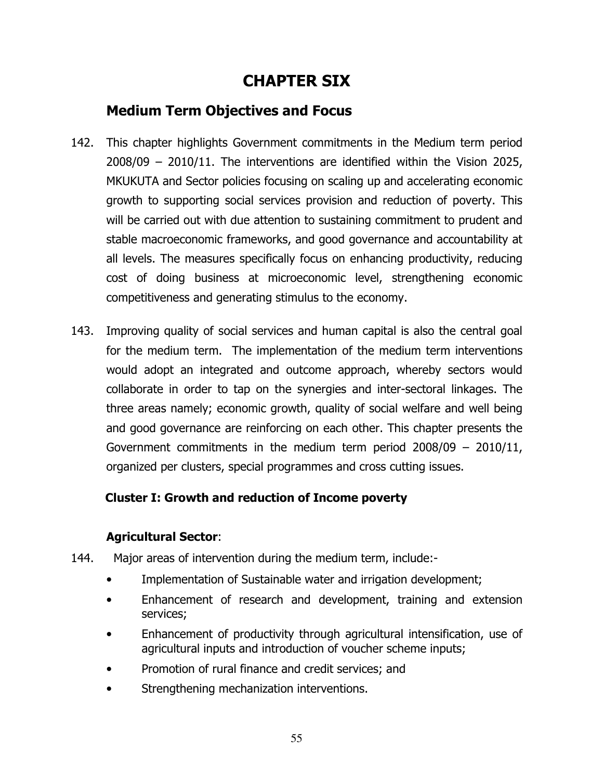# CHAPTER SIX

# Medium Term Objectives and Focus

- 142. This chapter highlights Government commitments in the Medium term period 2008/09 – 2010/11. The interventions are identified within the Vision 2025, MKUKUTA and Sector policies focusing on scaling up and accelerating economic growth to supporting social services provision and reduction of poverty. This will be carried out with due attention to sustaining commitment to prudent and stable macroeconomic frameworks, and good governance and accountability at all levels. The measures specifically focus on enhancing productivity, reducing cost of doing business at microeconomic level, strengthening economic competitiveness and generating stimulus to the economy.
- 143. Improving quality of social services and human capital is also the central goal for the medium term. The implementation of the medium term interventions would adopt an integrated and outcome approach, whereby sectors would collaborate in order to tap on the synergies and inter-sectoral linkages. The three areas namely; economic growth, quality of social welfare and well being and good governance are reinforcing on each other. This chapter presents the Government commitments in the medium term period 2008/09 – 2010/11, organized per clusters, special programmes and cross cutting issues.

# Cluster I: Growth and reduction of Income poverty

# Agricultural Sector:

- 144. Major areas of intervention during the medium term, include:-
	- Implementation of Sustainable water and irrigation development;
	- Enhancement of research and development, training and extension services;
	- Enhancement of productivity through agricultural intensification, use of agricultural inputs and introduction of voucher scheme inputs;
	- Promotion of rural finance and credit services; and
	- Strengthening mechanization interventions.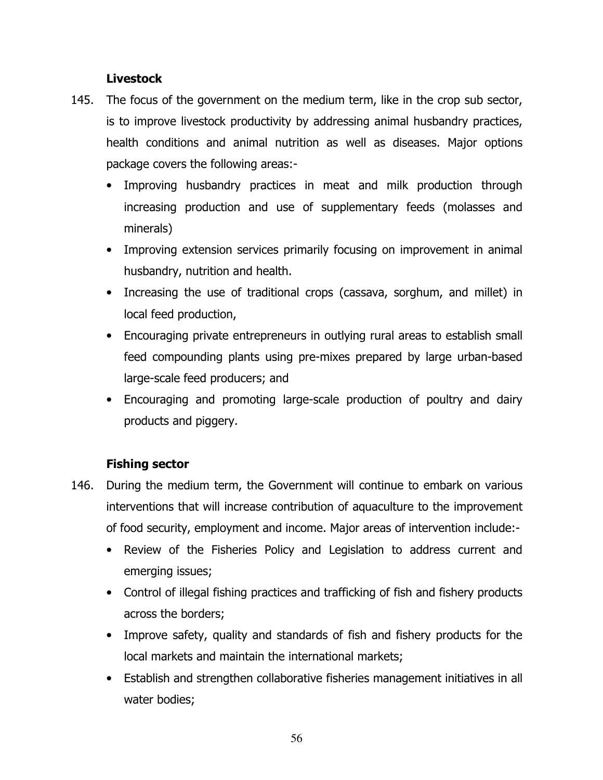#### Livestock

- 145. The focus of the government on the medium term, like in the crop sub sector, is to improve livestock productivity by addressing animal husbandry practices, health conditions and animal nutrition as well as diseases. Major options package covers the following areas:-
	- Improving husbandry practices in meat and milk production through increasing production and use of supplementary feeds (molasses and minerals)
	- Improving extension services primarily focusing on improvement in animal husbandry, nutrition and health.
	- Increasing the use of traditional crops (cassava, sorghum, and millet) in local feed production,
	- Encouraging private entrepreneurs in outlying rural areas to establish small feed compounding plants using pre-mixes prepared by large urban-based large-scale feed producers; and
	- Encouraging and promoting large-scale production of poultry and dairy products and piggery.

# Fishing sector

- 146. During the medium term, the Government will continue to embark on various interventions that will increase contribution of aquaculture to the improvement of food security, employment and income. Major areas of intervention include:-
	- Review of the Fisheries Policy and Legislation to address current and emerging issues;
	- Control of illegal fishing practices and trafficking of fish and fishery products across the borders;
	- Improve safety, quality and standards of fish and fishery products for the local markets and maintain the international markets;
	- Establish and strengthen collaborative fisheries management initiatives in all water bodies;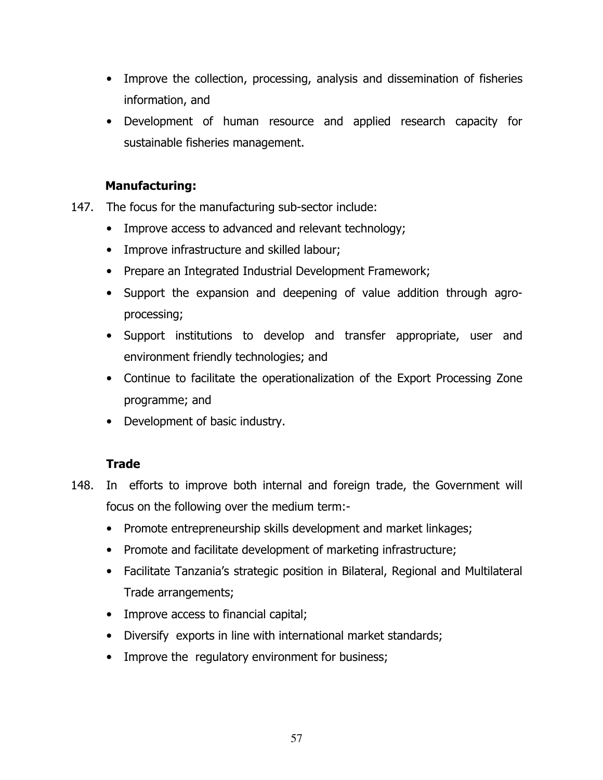- Improve the collection, processing, analysis and dissemination of fisheries information, and
- Development of human resource and applied research capacity for sustainable fisheries management.

# Manufacturing:

- 147. The focus for the manufacturing sub-sector include:
	- Improve access to advanced and relevant technology;
	- Improve infrastructure and skilled labour;
	- Prepare an Integrated Industrial Development Framework;
	- Support the expansion and deepening of value addition through agroprocessing;
	- Support institutions to develop and transfer appropriate, user and environment friendly technologies; and
	- Continue to facilitate the operationalization of the Export Processing Zone programme; and
	- Development of basic industry.

# **Trade**

- 148. In efforts to improve both internal and foreign trade, the Government will focus on the following over the medium term:-
	- Promote entrepreneurship skills development and market linkages;
	- Promote and facilitate development of marketing infrastructure;
	- Facilitate Tanzania's strategic position in Bilateral, Regional and Multilateral Trade arrangements;
	- Improve access to financial capital;
	- Diversify exports in line with international market standards;
	- Improve the regulatory environment for business;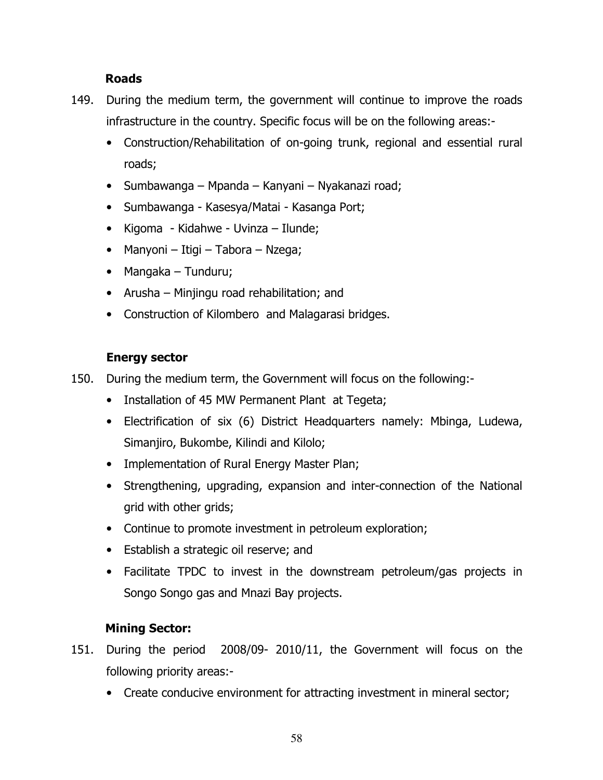#### Roads

- 149. During the medium term, the government will continue to improve the roads infrastructure in the country. Specific focus will be on the following areas:-
	- Construction/Rehabilitation of on-going trunk, regional and essential rural roads;
	- Sumbawanga Mpanda Kanyani Nyakanazi road;
	- Sumbawanga Kasesya/Matai Kasanga Port;
	- Kigoma Kidahwe Uvinza Ilunde;
	- Manyoni Itigi Tabora Nzega;
	- Mangaka Tunduru;
	- Arusha Minjingu road rehabilitation; and
	- Construction of Kilombero and Malagarasi bridges.

# Energy sector

- 150. During the medium term, the Government will focus on the following:-
	- Installation of 45 MW Permanent Plant at Tegeta;
	- Electrification of six (6) District Headquarters namely: Mbinga, Ludewa, Simanjiro, Bukombe, Kilindi and Kilolo;
	- Implementation of Rural Energy Master Plan;
	- Strengthening, upgrading, expansion and inter-connection of the National grid with other grids;
	- Continue to promote investment in petroleum exploration;
	- Establish a strategic oil reserve; and
	- Facilitate TPDC to invest in the downstream petroleum/gas projects in Songo Songo gas and Mnazi Bay projects.

# Mining Sector:

- 151. During the period 2008/09- 2010/11, the Government will focus on the following priority areas:-
	- Create conducive environment for attracting investment in mineral sector;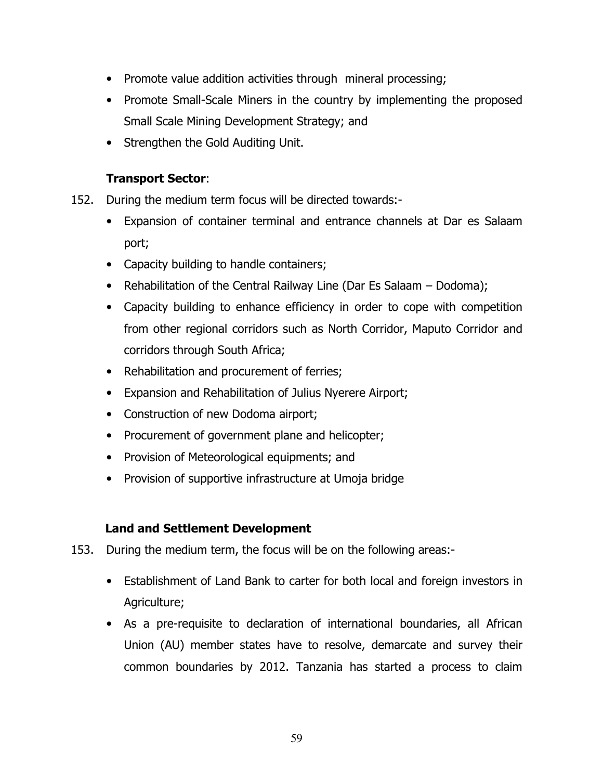- Promote value addition activities through mineral processing;
- Promote Small-Scale Miners in the country by implementing the proposed Small Scale Mining Development Strategy; and
- Strengthen the Gold Auditing Unit.

# Transport Sector:

- 152. During the medium term focus will be directed towards:-
	- Expansion of container terminal and entrance channels at Dar es Salaam port;
	- Capacity building to handle containers;
	- Rehabilitation of the Central Railway Line (Dar Es Salaam Dodoma);
	- Capacity building to enhance efficiency in order to cope with competition from other regional corridors such as North Corridor, Maputo Corridor and corridors through South Africa;
	- Rehabilitation and procurement of ferries;
	- Expansion and Rehabilitation of Julius Nyerere Airport;
	- Construction of new Dodoma airport;
	- Procurement of government plane and helicopter;
	- Provision of Meteorological equipments; and
	- Provision of supportive infrastructure at Umoja bridge

# Land and Settlement Development

- 153. During the medium term, the focus will be on the following areas:-
	- Establishment of Land Bank to carter for both local and foreign investors in Agriculture;
	- As a pre-requisite to declaration of international boundaries, all African Union (AU) member states have to resolve, demarcate and survey their common boundaries by 2012. Tanzania has started a process to claim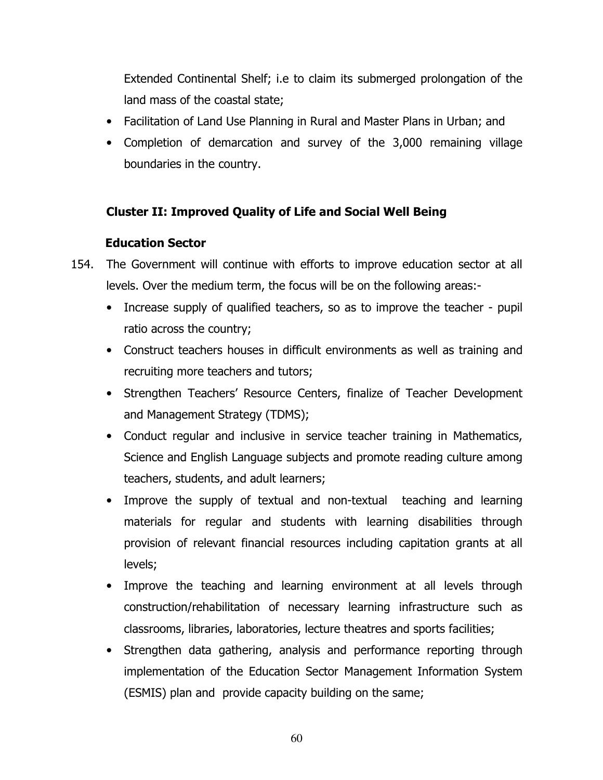Extended Continental Shelf; i.e to claim its submerged prolongation of the land mass of the coastal state;

- Facilitation of Land Use Planning in Rural and Master Plans in Urban; and
- Completion of demarcation and survey of the 3,000 remaining village boundaries in the country.

# Cluster II: Improved Quality of Life and Social Well Being

# Education Sector

- 154. The Government will continue with efforts to improve education sector at all levels. Over the medium term, the focus will be on the following areas:-
	- Increase supply of qualified teachers, so as to improve the teacher pupil ratio across the country;
	- Construct teachers houses in difficult environments as well as training and recruiting more teachers and tutors;
	- Strengthen Teachers' Resource Centers, finalize of Teacher Development and Management Strategy (TDMS);
	- Conduct regular and inclusive in service teacher training in Mathematics, Science and English Language subjects and promote reading culture among teachers, students, and adult learners;
	- Improve the supply of textual and non-textual teaching and learning materials for regular and students with learning disabilities through provision of relevant financial resources including capitation grants at all levels;
	- Improve the teaching and learning environment at all levels through construction/rehabilitation of necessary learning infrastructure such as classrooms, libraries, laboratories, lecture theatres and sports facilities;
	- Strengthen data gathering, analysis and performance reporting through implementation of the Education Sector Management Information System (ESMIS) plan and provide capacity building on the same;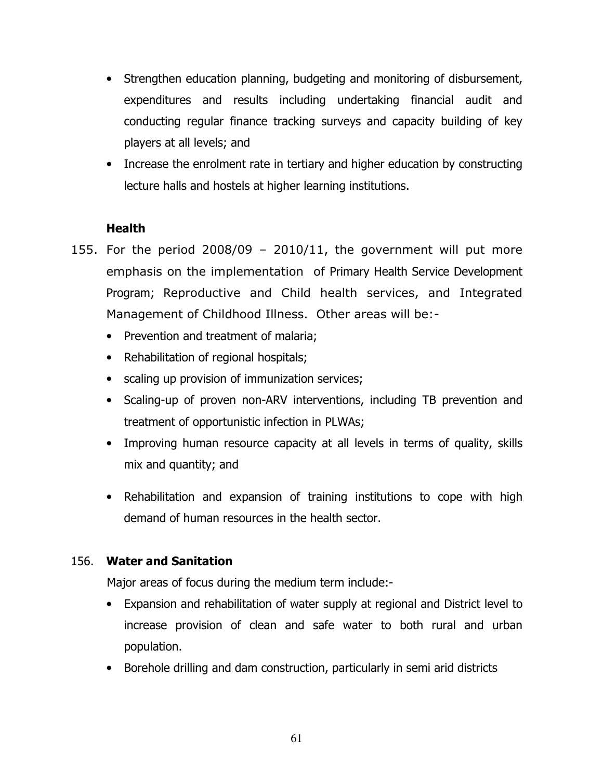- Strengthen education planning, budgeting and monitoring of disbursement, expenditures and results including undertaking financial audit and conducting regular finance tracking surveys and capacity building of key players at all levels; and
- Increase the enrolment rate in tertiary and higher education by constructing lecture halls and hostels at higher learning institutions.

#### **Health**

- 155. For the period  $2008/09 2010/11$ , the government will put more emphasis on the implementation of Primary Health Service Development Program; Reproductive and Child health services, and Integrated Management of Childhood Illness. Other areas will be:-
	- Prevention and treatment of malaria;
	- Rehabilitation of regional hospitals;
	- scaling up provision of immunization services;
	- Scaling-up of proven non-ARV interventions, including TB prevention and treatment of opportunistic infection in PLWAs;
	- Improving human resource capacity at all levels in terms of quality, skills mix and quantity; and
	- Rehabilitation and expansion of training institutions to cope with high demand of human resources in the health sector.

#### 156. Water and Sanitation

Major areas of focus during the medium term include:-

- Expansion and rehabilitation of water supply at regional and District level to increase provision of clean and safe water to both rural and urban population.
- Borehole drilling and dam construction, particularly in semi arid districts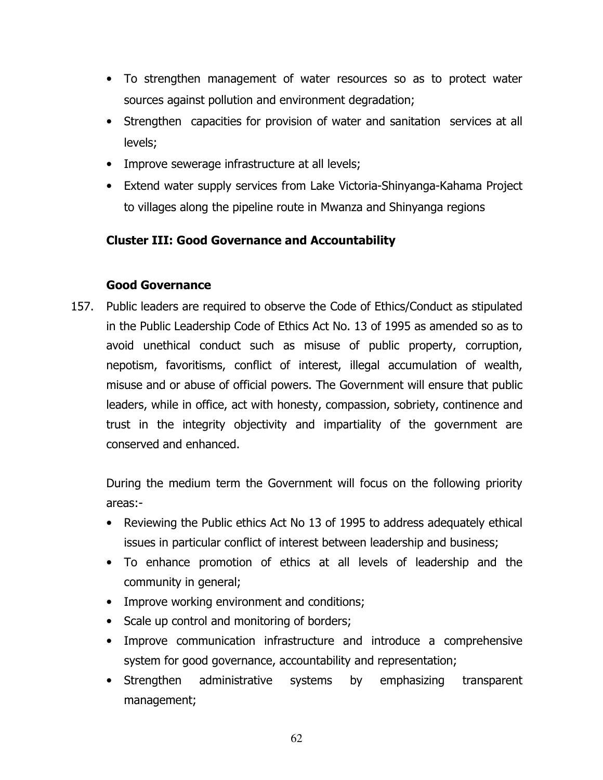- To strengthen management of water resources so as to protect water sources against pollution and environment degradation;
- Strengthen capacities for provision of water and sanitation services at all levels;
- Improve sewerage infrastructure at all levels;
- Extend water supply services from Lake Victoria-Shinyanga-Kahama Project to villages along the pipeline route in Mwanza and Shinyanga regions

# Cluster III: Good Governance and Accountability

# Good Governance

157. Public leaders are required to observe the Code of Ethics/Conduct as stipulated in the Public Leadership Code of Ethics Act No. 13 of 1995 as amended so as to avoid unethical conduct such as misuse of public property, corruption, nepotism, favoritisms, conflict of interest, illegal accumulation of wealth, misuse and or abuse of official powers. The Government will ensure that public leaders, while in office, act with honesty, compassion, sobriety, continence and trust in the integrity objectivity and impartiality of the government are conserved and enhanced.

During the medium term the Government will focus on the following priority areas:-

- Reviewing the Public ethics Act No 13 of 1995 to address adequately ethical issues in particular conflict of interest between leadership and business;
- To enhance promotion of ethics at all levels of leadership and the community in general;
- Improve working environment and conditions;
- Scale up control and monitoring of borders;
- Improve communication infrastructure and introduce a comprehensive system for good governance, accountability and representation;
- Strengthen administrative systems by emphasizing transparent management;

62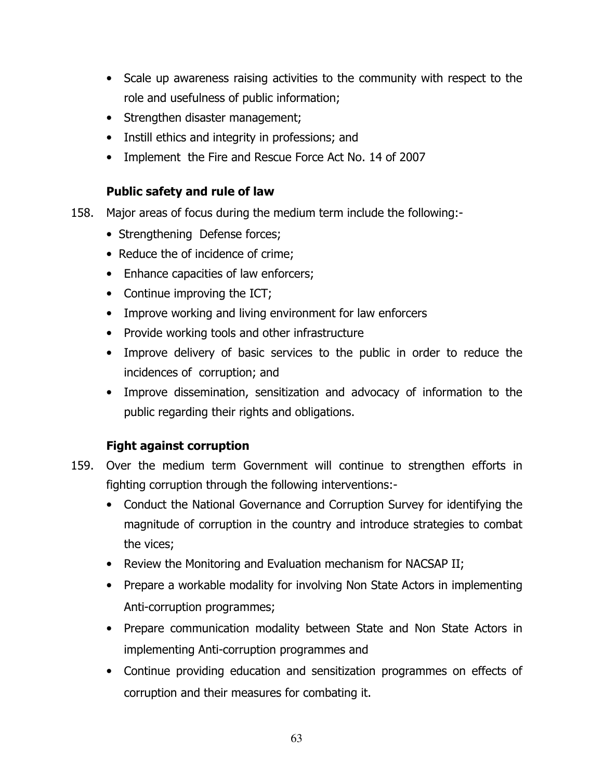- Scale up awareness raising activities to the community with respect to the role and usefulness of public information;
- Strengthen disaster management;
- Instill ethics and integrity in professions; and
- Implement the Fire and Rescue Force Act No. 14 of 2007

# Public safety and rule of law

- 158. Major areas of focus during the medium term include the following:-
	- Strengthening Defense forces;
	- Reduce the of incidence of crime;
	- Enhance capacities of law enforcers;
	- Continue improving the ICT;
	- Improve working and living environment for law enforcers
	- Provide working tools and other infrastructure
	- Improve delivery of basic services to the public in order to reduce the incidences of corruption; and
	- Improve dissemination, sensitization and advocacy of information to the public regarding their rights and obligations.

# Fight against corruption

- 159. Over the medium term Government will continue to strengthen efforts in fighting corruption through the following interventions:-
	- Conduct the National Governance and Corruption Survey for identifying the magnitude of corruption in the country and introduce strategies to combat the vices;
	- Review the Monitoring and Evaluation mechanism for NACSAP II;
	- Prepare a workable modality for involving Non State Actors in implementing Anti-corruption programmes;
	- Prepare communication modality between State and Non State Actors in implementing Anti-corruption programmes and
	- Continue providing education and sensitization programmes on effects of corruption and their measures for combating it.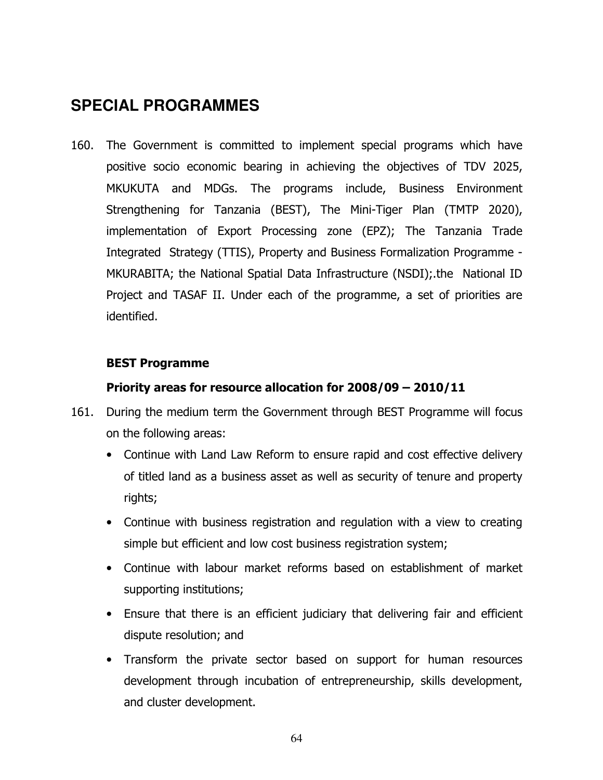# **SPECIAL PROGRAMMES**

160. The Government is committed to implement special programs which have positive socio economic bearing in achieving the objectives of TDV 2025, MKUKUTA and MDGs. The programs include, Business Environment Strengthening for Tanzania (BEST), The Mini-Tiger Plan (TMTP 2020), implementation of Export Processing zone (EPZ); The Tanzania Trade Integrated Strategy (TTIS), Property and Business Formalization Programme - MKURABITA; the National Spatial Data Infrastructure (NSDI);.the National ID Project and TASAF II. Under each of the programme, a set of priorities are identified.

#### BEST Programme

#### Priority areas for resource allocation for 2008/09 – 2010/11

- 161. During the medium term the Government through BEST Programme will focus on the following areas:
	- Continue with Land Law Reform to ensure rapid and cost effective delivery of titled land as a business asset as well as security of tenure and property rights;
	- Continue with business registration and regulation with a view to creating simple but efficient and low cost business registration system;
	- Continue with labour market reforms based on establishment of market supporting institutions;
	- Ensure that there is an efficient judiciary that delivering fair and efficient dispute resolution; and
	- Transform the private sector based on support for human resources development through incubation of entrepreneurship, skills development, and cluster development.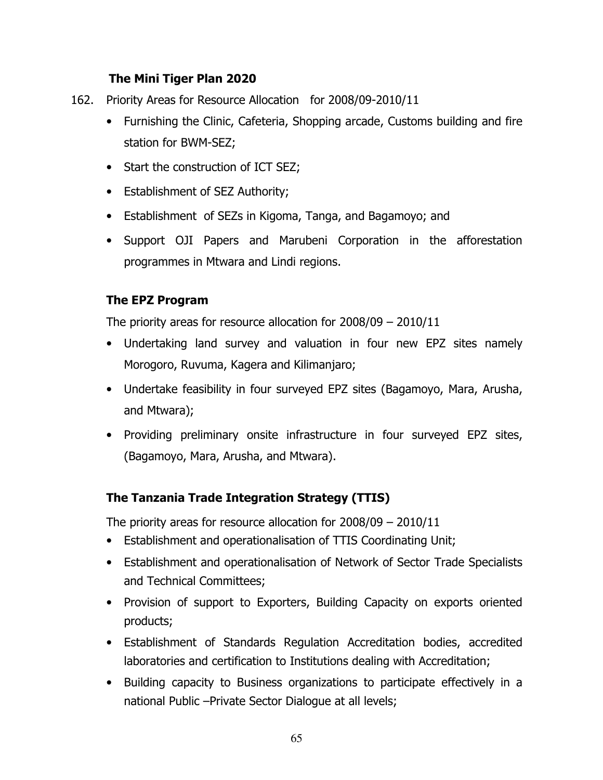### The Mini Tiger Plan 2020

- 162. Priority Areas for Resource Allocation for 2008/09-2010/11
	- Furnishing the Clinic, Cafeteria, Shopping arcade, Customs building and fire station for BWM-SEZ;
	- Start the construction of ICT SEZ;
	- Establishment of SEZ Authority;
	- Establishment of SEZs in Kigoma, Tanga, and Bagamoyo; and
	- Support OJI Papers and Marubeni Corporation in the afforestation programmes in Mtwara and Lindi regions.

#### The EPZ Program

The priority areas for resource allocation for 2008/09 – 2010/11

- Undertaking land survey and valuation in four new EPZ sites namely Morogoro, Ruvuma, Kagera and Kilimanjaro;
- Undertake feasibility in four surveyed EPZ sites (Bagamoyo, Mara, Arusha, and Mtwara);
- Providing preliminary onsite infrastructure in four surveyed EPZ sites, (Bagamoyo, Mara, Arusha, and Mtwara).

## The Tanzania Trade Integration Strategy (TTIS)

The priority areas for resource allocation for 2008/09 – 2010/11

- Establishment and operationalisation of TTIS Coordinating Unit;
- Establishment and operationalisation of Network of Sector Trade Specialists and Technical Committees;
- Provision of support to Exporters, Building Capacity on exports oriented products;
- Establishment of Standards Regulation Accreditation bodies, accredited laboratories and certification to Institutions dealing with Accreditation;
- Building capacity to Business organizations to participate effectively in a national Public –Private Sector Dialogue at all levels;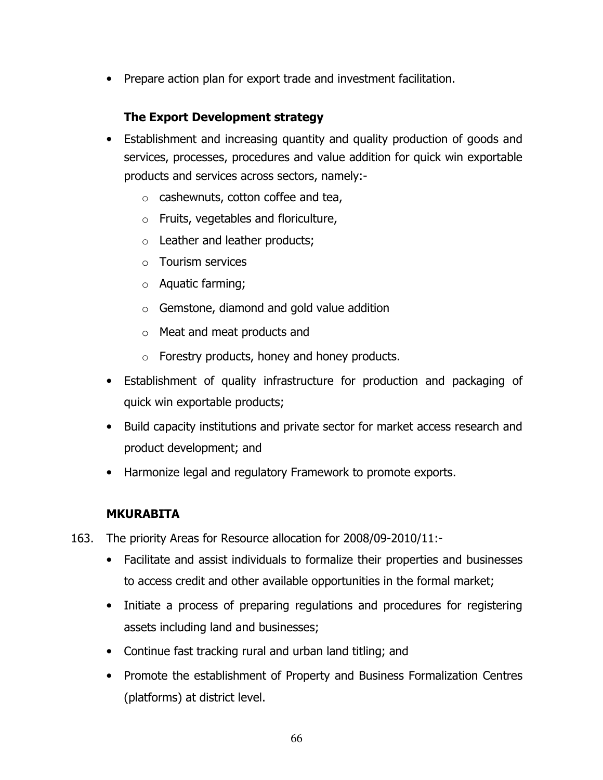• Prepare action plan for export trade and investment facilitation.

## The Export Development strategy

- Establishment and increasing quantity and quality production of goods and services, processes, procedures and value addition for quick win exportable products and services across sectors, namely:
	- o cashewnuts, cotton coffee and tea,
	- o Fruits, vegetables and floriculture,
	- o Leather and leather products;
	- o Tourism services
	- o Aquatic farming;
	- $\circ$  Gemstone, diamond and gold value addition
	- o Meat and meat products and
	- o Forestry products, honey and honey products.
- Establishment of quality infrastructure for production and packaging of quick win exportable products;
- Build capacity institutions and private sector for market access research and product development; and
- Harmonize legal and regulatory Framework to promote exports.

#### MKURABITA

- 163. The priority Areas for Resource allocation for 2008/09-2010/11:-
	- Facilitate and assist individuals to formalize their properties and businesses to access credit and other available opportunities in the formal market;
	- Initiate a process of preparing regulations and procedures for registering assets including land and businesses;
	- Continue fast tracking rural and urban land titling; and
	- Promote the establishment of Property and Business Formalization Centres (platforms) at district level.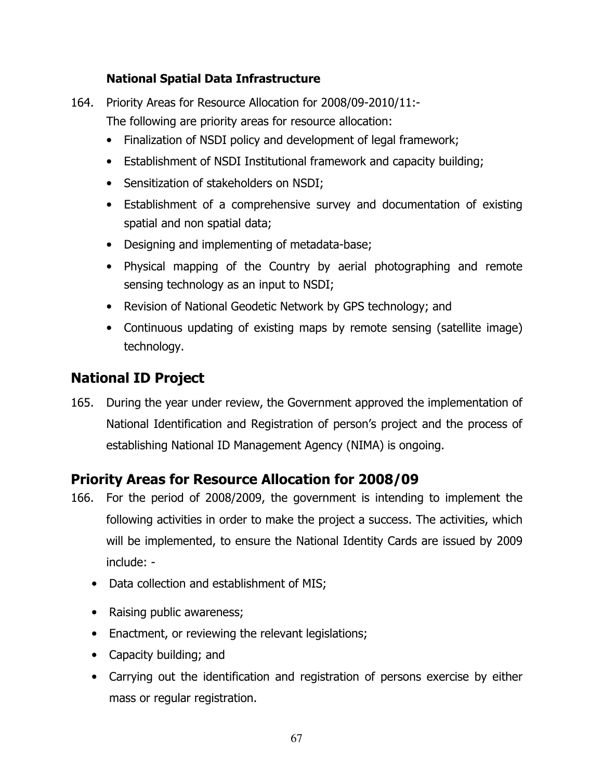## National Spatial Data Infrastructure

- 164. Priority Areas for Resource Allocation for 2008/09-2010/11:- The following are priority areas for resource allocation:
	- Finalization of NSDI policy and development of legal framework;
	- Establishment of NSDI Institutional framework and capacity building;
	- Sensitization of stakeholders on NSDI;
	- Establishment of a comprehensive survey and documentation of existing spatial and non spatial data;
	- Designing and implementing of metadata-base;
	- Physical mapping of the Country by aerial photographing and remote sensing technology as an input to NSDI;
	- Revision of National Geodetic Network by GPS technology; and
	- Continuous updating of existing maps by remote sensing (satellite image) technology.

# National ID Project

165. During the year under review, the Government approved the implementation of National Identification and Registration of person's project and the process of establishing National ID Management Agency (NIMA) is ongoing.

## Priority Areas for Resource Allocation for 2008/09

- 166. For the period of 2008/2009, the government is intending to implement the following activities in order to make the project a success. The activities, which will be implemented, to ensure the National Identity Cards are issued by 2009 include: -
	- Data collection and establishment of MIS;
	- Raising public awareness;
	- Enactment, or reviewing the relevant legislations;
	- Capacity building; and
	- Carrying out the identification and registration of persons exercise by either mass or regular registration.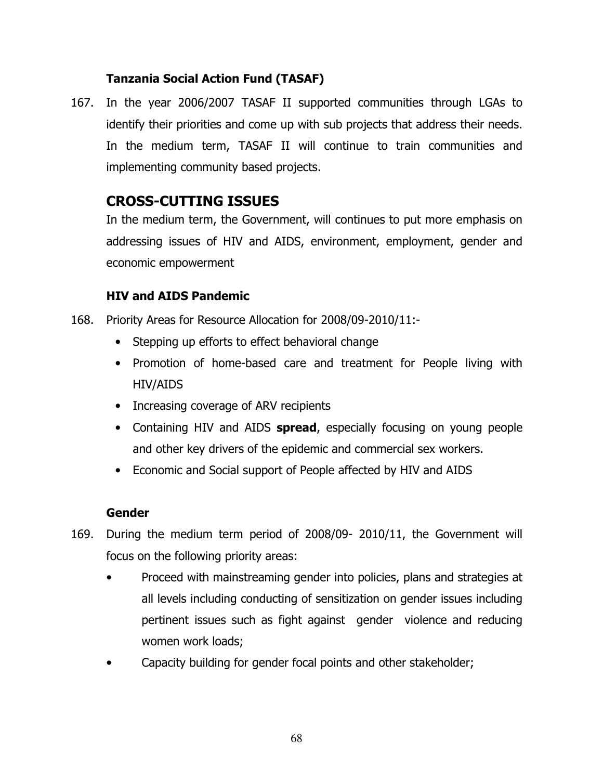## Tanzania Social Action Fund (TASAF)

167. In the year 2006/2007 TASAF II supported communities through LGAs to identify their priorities and come up with sub projects that address their needs. In the medium term, TASAF II will continue to train communities and implementing community based projects.

# CROSS-CUTTING ISSUES

In the medium term, the Government, will continues to put more emphasis on addressing issues of HIV and AIDS, environment, employment, gender and economic empowerment

## HIV and AIDS Pandemic

- 168. Priority Areas for Resource Allocation for 2008/09-2010/11:-
	- Stepping up efforts to effect behavioral change
	- Promotion of home-based care and treatment for People living with HIV/AIDS
	- Increasing coverage of ARV recipients
	- Containing HIV and AIDS spread, especially focusing on young people and other key drivers of the epidemic and commercial sex workers.
	- Economic and Social support of People affected by HIV and AIDS

#### Gender

- 169. During the medium term period of 2008/09- 2010/11, the Government will focus on the following priority areas:
	- Proceed with mainstreaming gender into policies, plans and strategies at all levels including conducting of sensitization on gender issues including pertinent issues such as fight against gender violence and reducing women work loads;
	- Capacity building for gender focal points and other stakeholder;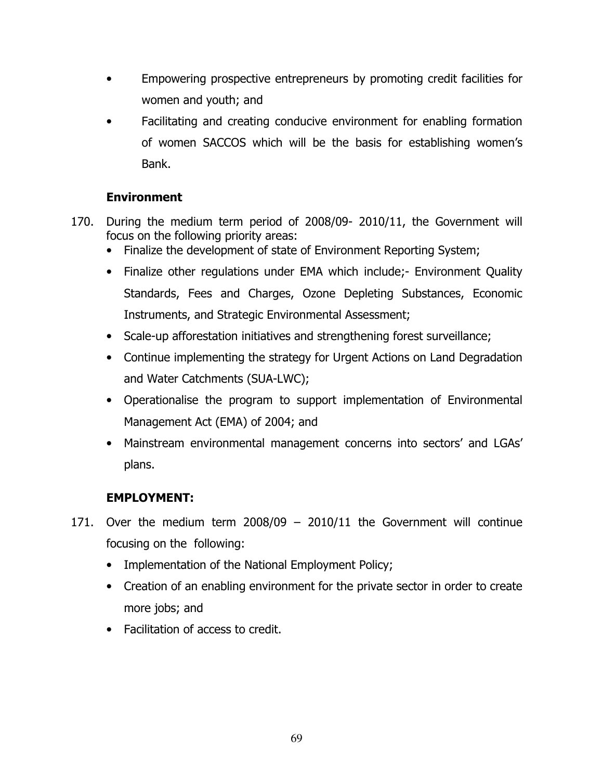- Empowering prospective entrepreneurs by promoting credit facilities for women and youth; and
- Facilitating and creating conducive environment for enabling formation of women SACCOS which will be the basis for establishing women's Bank.

## Environment

- 170. During the medium term period of 2008/09- 2010/11, the Government will focus on the following priority areas:
	- Finalize the development of state of Environment Reporting System;
	- Finalize other regulations under EMA which include; Environment Quality Standards, Fees and Charges, Ozone Depleting Substances, Economic Instruments, and Strategic Environmental Assessment;
	- Scale-up afforestation initiatives and strengthening forest surveillance;
	- Continue implementing the strategy for Urgent Actions on Land Degradation and Water Catchments (SUA-LWC);
	- Operationalise the program to support implementation of Environmental Management Act (EMA) of 2004; and
	- Mainstream environmental management concerns into sectors' and LGAs' plans.

## EMPLOYMENT:

- 171. Over the medium term 2008/09 2010/11 the Government will continue focusing on the following:
	- Implementation of the National Employment Policy;
	- Creation of an enabling environment for the private sector in order to create more jobs; and
	- Facilitation of access to credit.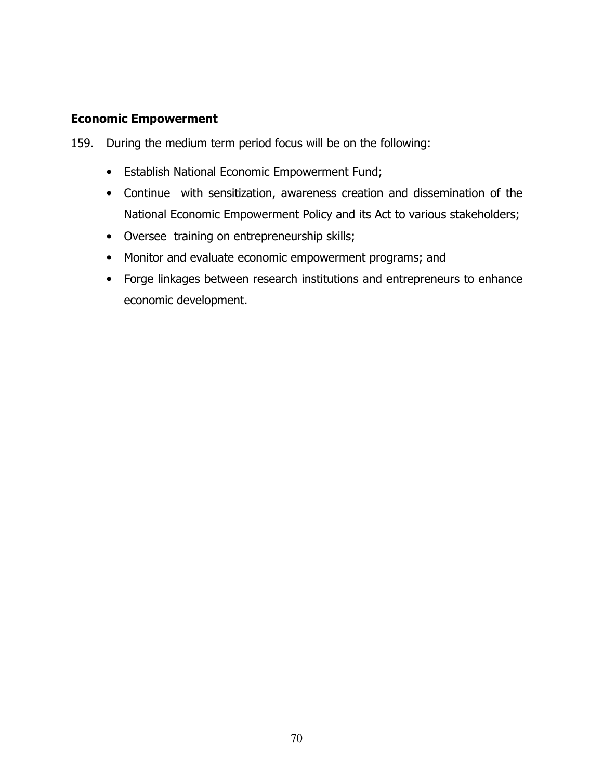#### Economic Empowerment

- 159. During the medium term period focus will be on the following:
	- Establish National Economic Empowerment Fund;
	- Continue with sensitization, awareness creation and dissemination of the National Economic Empowerment Policy and its Act to various stakeholders;
	- Oversee training on entrepreneurship skills;
	- Monitor and evaluate economic empowerment programs; and
	- Forge linkages between research institutions and entrepreneurs to enhance economic development.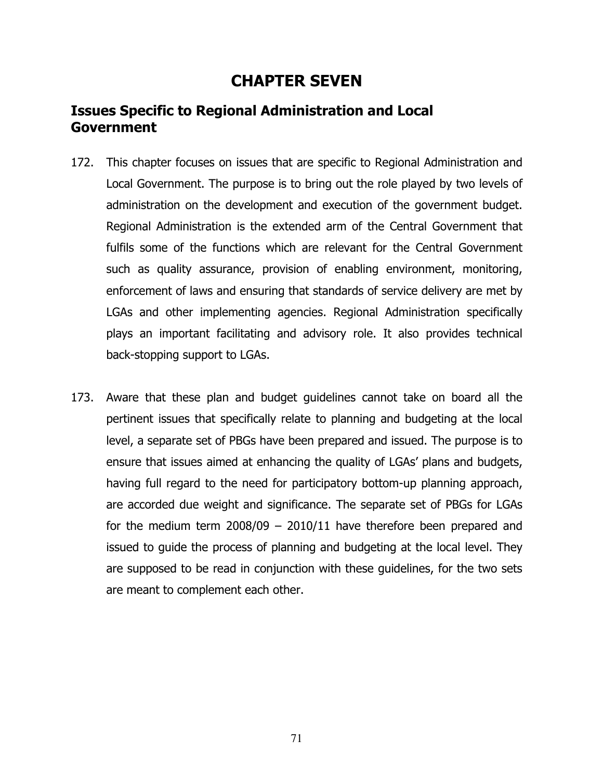# CHAPTER SEVEN

# Issues Specific to Regional Administration and Local Government

- 172. This chapter focuses on issues that are specific to Regional Administration and Local Government. The purpose is to bring out the role played by two levels of administration on the development and execution of the government budget. Regional Administration is the extended arm of the Central Government that fulfils some of the functions which are relevant for the Central Government such as quality assurance, provision of enabling environment, monitoring, enforcement of laws and ensuring that standards of service delivery are met by LGAs and other implementing agencies. Regional Administration specifically plays an important facilitating and advisory role. It also provides technical back-stopping support to LGAs.
- 173. Aware that these plan and budget guidelines cannot take on board all the pertinent issues that specifically relate to planning and budgeting at the local level, a separate set of PBGs have been prepared and issued. The purpose is to ensure that issues aimed at enhancing the quality of LGAs' plans and budgets, having full regard to the need for participatory bottom-up planning approach, are accorded due weight and significance. The separate set of PBGs for LGAs for the medium term  $2008/09 - 2010/11$  have therefore been prepared and issued to guide the process of planning and budgeting at the local level. They are supposed to be read in conjunction with these guidelines, for the two sets are meant to complement each other.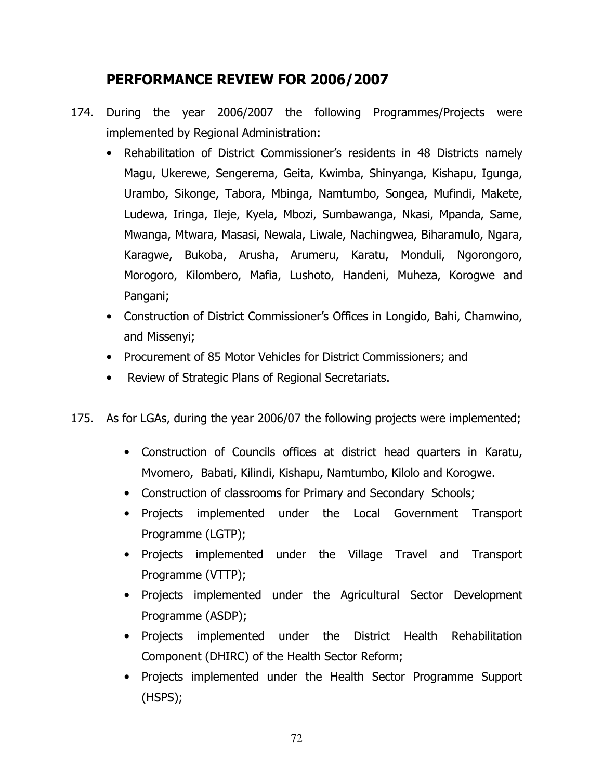# PERFORMANCE REVIEW FOR 2006/2007

- 174. During the year 2006/2007 the following Programmes/Projects were implemented by Regional Administration:
	- Rehabilitation of District Commissioner's residents in 48 Districts namely Magu, Ukerewe, Sengerema, Geita, Kwimba, Shinyanga, Kishapu, Igunga, Urambo, Sikonge, Tabora, Mbinga, Namtumbo, Songea, Mufindi, Makete, Ludewa, Iringa, Ileje, Kyela, Mbozi, Sumbawanga, Nkasi, Mpanda, Same, Mwanga, Mtwara, Masasi, Newala, Liwale, Nachingwea, Biharamulo, Ngara, Karagwe, Bukoba, Arusha, Arumeru, Karatu, Monduli, Ngorongoro, Morogoro, Kilombero, Mafia, Lushoto, Handeni, Muheza, Korogwe and Pangani;
	- Construction of District Commissioner's Offices in Longido, Bahi, Chamwino, and Missenyi;
	- Procurement of 85 Motor Vehicles for District Commissioners; and
	- Review of Strategic Plans of Regional Secretariats.
- 175. As for LGAs, during the year 2006/07 the following projects were implemented;
	- Construction of Councils offices at district head quarters in Karatu, Mvomero, Babati, Kilindi, Kishapu, Namtumbo, Kilolo and Korogwe.
	- Construction of classrooms for Primary and Secondary Schools;
	- Projects implemented under the Local Government Transport Programme (LGTP);
	- Projects implemented under the Village Travel and Transport Programme (VTTP);
	- Projects implemented under the Agricultural Sector Development Programme (ASDP);
	- Projects implemented under the District Health Rehabilitation Component (DHIRC) of the Health Sector Reform;
	- Projects implemented under the Health Sector Programme Support (HSPS);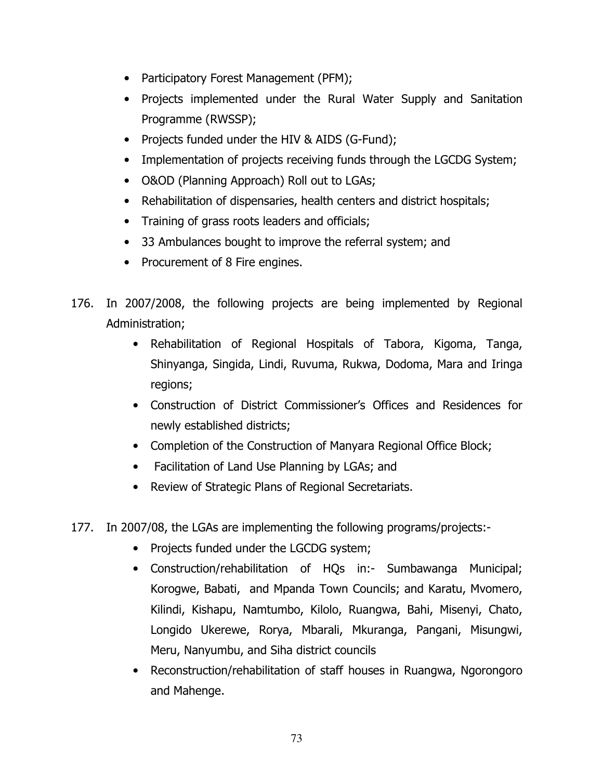- Participatory Forest Management (PFM);
- Projects implemented under the Rural Water Supply and Sanitation Programme (RWSSP);
- Projects funded under the HIV & AIDS (G-Fund);
- Implementation of projects receiving funds through the LGCDG System;
- O&OD (Planning Approach) Roll out to LGAs;
- Rehabilitation of dispensaries, health centers and district hospitals;
- Training of grass roots leaders and officials;
- 33 Ambulances bought to improve the referral system; and
- Procurement of 8 Fire engines.
- 176. In 2007/2008, the following projects are being implemented by Regional Administration;
	- Rehabilitation of Regional Hospitals of Tabora, Kigoma, Tanga, Shinyanga, Singida, Lindi, Ruvuma, Rukwa, Dodoma, Mara and Iringa regions;
	- Construction of District Commissioner's Offices and Residences for newly established districts;
	- Completion of the Construction of Manyara Regional Office Block;
	- Facilitation of Land Use Planning by LGAs; and
	- Review of Strategic Plans of Regional Secretariats.
- 177. In 2007/08, the LGAs are implementing the following programs/projects:-
	- Projects funded under the LGCDG system;
	- Construction/rehabilitation of HQs in:- Sumbawanga Municipal; Korogwe, Babati, and Mpanda Town Councils; and Karatu, Mvomero, Kilindi, Kishapu, Namtumbo, Kilolo, Ruangwa, Bahi, Misenyi, Chato, Longido Ukerewe, Rorya, Mbarali, Mkuranga, Pangani, Misungwi, Meru, Nanyumbu, and Siha district councils
	- Reconstruction/rehabilitation of staff houses in Ruangwa, Ngorongoro and Mahenge.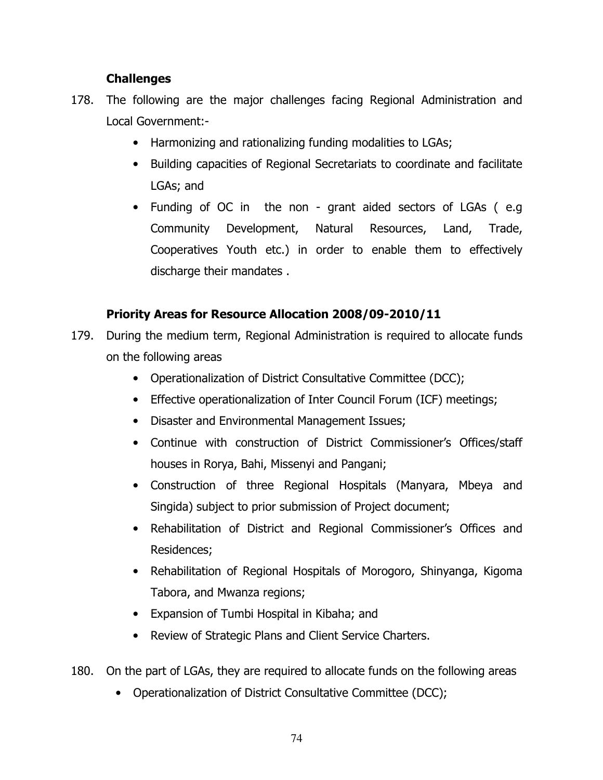#### **Challenges**

- 178. The following are the major challenges facing Regional Administration and Local Government:-
	- Harmonizing and rationalizing funding modalities to LGAs;
	- Building capacities of Regional Secretariats to coordinate and facilitate LGAs; and
	- Funding of OC in the non grant aided sectors of LGAs ( e.g Community Development, Natural Resources, Land, Trade, Cooperatives Youth etc.) in order to enable them to effectively discharge their mandates .

## Priority Areas for Resource Allocation 2008/09-2010/11

- 179. During the medium term, Regional Administration is required to allocate funds on the following areas
	- Operationalization of District Consultative Committee (DCC);
	- Effective operationalization of Inter Council Forum (ICF) meetings;
	- Disaster and Environmental Management Issues;
	- Continue with construction of District Commissioner's Offices/staff houses in Rorya, Bahi, Missenyi and Pangani;
	- Construction of three Regional Hospitals (Manyara, Mbeya and Singida) subject to prior submission of Project document;
	- Rehabilitation of District and Regional Commissioner's Offices and Residences;
	- Rehabilitation of Regional Hospitals of Morogoro, Shinyanga, Kigoma Tabora, and Mwanza regions;
	- Expansion of Tumbi Hospital in Kibaha; and
	- Review of Strategic Plans and Client Service Charters.
- 180. On the part of LGAs, they are required to allocate funds on the following areas
	- Operationalization of District Consultative Committee (DCC);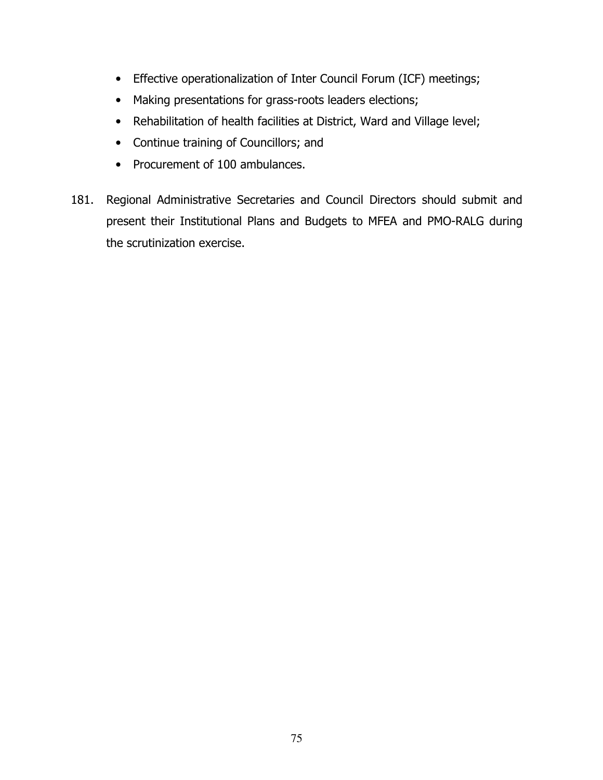- Effective operationalization of Inter Council Forum (ICF) meetings;
- Making presentations for grass-roots leaders elections;
- Rehabilitation of health facilities at District, Ward and Village level;
- Continue training of Councillors; and
- Procurement of 100 ambulances.
- 181. Regional Administrative Secretaries and Council Directors should submit and present their Institutional Plans and Budgets to MFEA and PMO-RALG during the scrutinization exercise.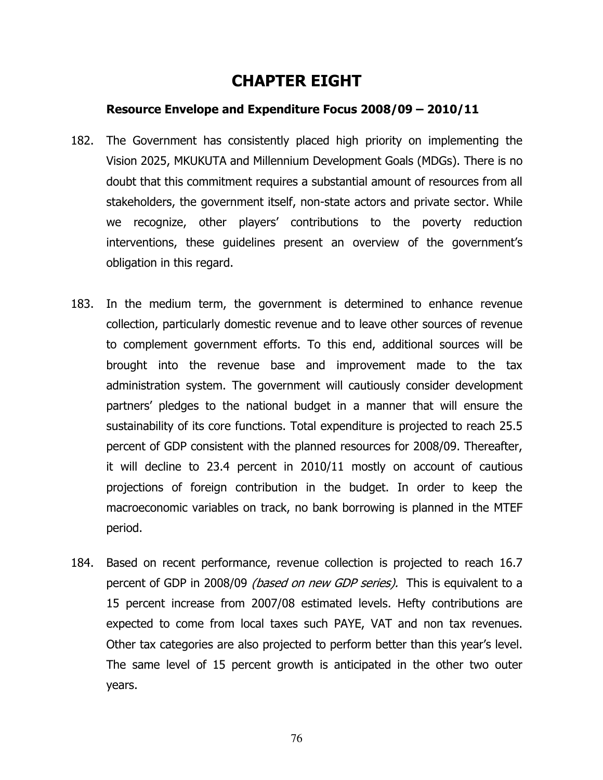# CHAPTER EIGHT

#### Resource Envelope and Expenditure Focus 2008/09 – 2010/11

- 182. The Government has consistently placed high priority on implementing the Vision 2025, MKUKUTA and Millennium Development Goals (MDGs). There is no doubt that this commitment requires a substantial amount of resources from all stakeholders, the government itself, non-state actors and private sector. While we recognize, other players' contributions to the poverty reduction interventions, these guidelines present an overview of the government's obligation in this regard.
- 183. In the medium term, the government is determined to enhance revenue collection, particularly domestic revenue and to leave other sources of revenue to complement government efforts. To this end, additional sources will be brought into the revenue base and improvement made to the tax administration system. The government will cautiously consider development partners' pledges to the national budget in a manner that will ensure the sustainability of its core functions. Total expenditure is projected to reach 25.5 percent of GDP consistent with the planned resources for 2008/09. Thereafter, it will decline to 23.4 percent in 2010/11 mostly on account of cautious projections of foreign contribution in the budget. In order to keep the macroeconomic variables on track, no bank borrowing is planned in the MTEF period.
- 184. Based on recent performance, revenue collection is projected to reach 16.7 percent of GDP in 2008/09 *(based on new GDP series)*. This is equivalent to a 15 percent increase from 2007/08 estimated levels. Hefty contributions are expected to come from local taxes such PAYE, VAT and non tax revenues. Other tax categories are also projected to perform better than this year's level. The same level of 15 percent growth is anticipated in the other two outer years.

76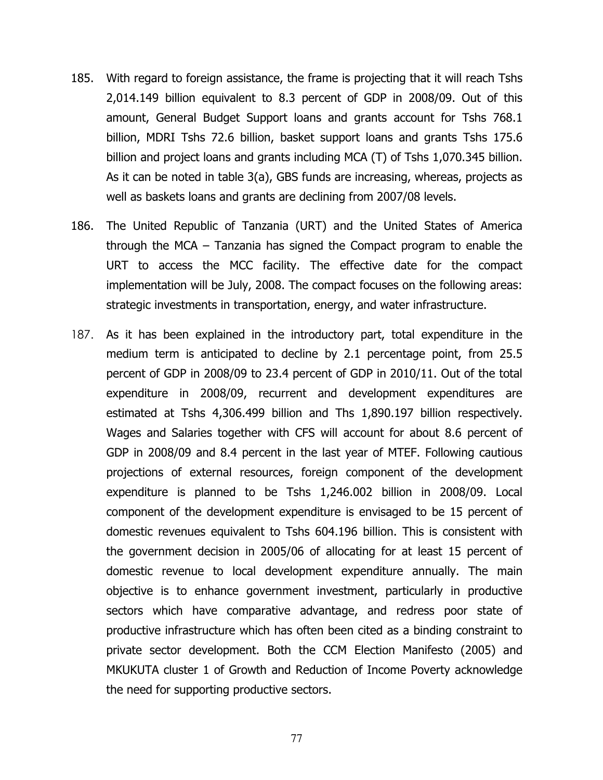- 185. With regard to foreign assistance, the frame is projecting that it will reach Tshs 2,014.149 billion equivalent to 8.3 percent of GDP in 2008/09. Out of this amount, General Budget Support loans and grants account for Tshs 768.1 billion, MDRI Tshs 72.6 billion, basket support loans and grants Tshs 175.6 billion and project loans and grants including MCA (T) of Tshs 1,070.345 billion. As it can be noted in table 3(a), GBS funds are increasing, whereas, projects as well as baskets loans and grants are declining from 2007/08 levels.
- 186. The United Republic of Tanzania (URT) and the United States of America through the MCA – Tanzania has signed the Compact program to enable the URT to access the MCC facility. The effective date for the compact implementation will be July, 2008. The compact focuses on the following areas: strategic investments in transportation, energy, and water infrastructure.
- 187. As it has been explained in the introductory part, total expenditure in the medium term is anticipated to decline by 2.1 percentage point, from 25.5 percent of GDP in 2008/09 to 23.4 percent of GDP in 2010/11. Out of the total expenditure in 2008/09, recurrent and development expenditures are estimated at Tshs 4,306.499 billion and Ths 1,890.197 billion respectively. Wages and Salaries together with CFS will account for about 8.6 percent of GDP in 2008/09 and 8.4 percent in the last year of MTEF. Following cautious projections of external resources, foreign component of the development expenditure is planned to be Tshs 1,246.002 billion in 2008/09. Local component of the development expenditure is envisaged to be 15 percent of domestic revenues equivalent to Tshs 604.196 billion. This is consistent with the government decision in 2005/06 of allocating for at least 15 percent of domestic revenue to local development expenditure annually. The main objective is to enhance government investment, particularly in productive sectors which have comparative advantage, and redress poor state of productive infrastructure which has often been cited as a binding constraint to private sector development. Both the CCM Election Manifesto (2005) and MKUKUTA cluster 1 of Growth and Reduction of Income Poverty acknowledge the need for supporting productive sectors.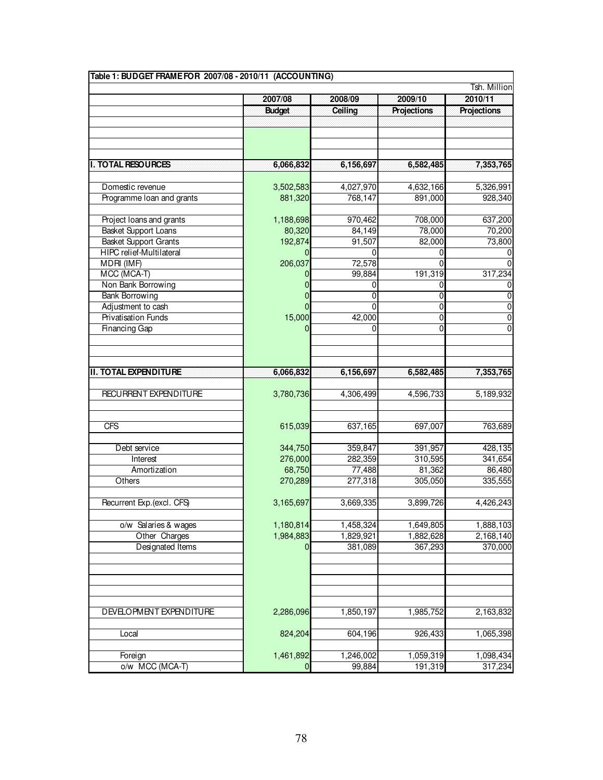| Table 1: BUDGET FRAME FOR 2007/08 - 2010/11 (ACCOUNTING) |                  |           |             |             |  |  |  |  |  |
|----------------------------------------------------------|------------------|-----------|-------------|-------------|--|--|--|--|--|
| Tsh. Million                                             |                  |           |             |             |  |  |  |  |  |
|                                                          | 2007/08          | 2008/09   | 2009/10     | 2010/11     |  |  |  |  |  |
|                                                          | <b>Budget</b>    | Ceiling   | Projections | Projections |  |  |  |  |  |
|                                                          |                  |           |             |             |  |  |  |  |  |
|                                                          |                  |           |             |             |  |  |  |  |  |
|                                                          |                  |           |             |             |  |  |  |  |  |
|                                                          |                  |           |             |             |  |  |  |  |  |
| <b>I. TOTAL RESOURCES</b>                                | 6,066,832        | 6,156,697 | 6,582,485   | 7,353,765   |  |  |  |  |  |
|                                                          |                  |           |             |             |  |  |  |  |  |
| Domestic revenue                                         | 3,502,583        | 4,027,970 | 4,632,166   | 5,326,991   |  |  |  |  |  |
| Programme Ioan and grants                                | 881,320          | 768,147   | 891,000     | 928,340     |  |  |  |  |  |
|                                                          |                  |           |             |             |  |  |  |  |  |
| Project loans and grants                                 | 1,188,698        | 970,462   | 708,000     | 637,200     |  |  |  |  |  |
| Basket Support Loans                                     | 80,320           | 84,149    | 78,000      | 70,200      |  |  |  |  |  |
| <b>Basket Support Grants</b>                             | 192,874          | 91,507    | 82,000      | 73,800      |  |  |  |  |  |
| HIPC relief-Multilateral                                 |                  | U         |             |             |  |  |  |  |  |
| MDRI (IMF)                                               | 206,037          | 72,578    |             |             |  |  |  |  |  |
| MCC (MCA-T)                                              |                  | 99,884    | 191,319     | 317,234     |  |  |  |  |  |
| Non Bank Borrowing                                       | 0                | 0         | 0           | 0           |  |  |  |  |  |
| <b>Bank Borrowing</b>                                    | 0                | 0         | 0           | 0           |  |  |  |  |  |
| Adjustment to cash                                       |                  | 0         | 0           | 0           |  |  |  |  |  |
| <b>Privatisation Funds</b>                               | 15,000           | 42,000    | 0           | 0           |  |  |  |  |  |
| Financing Gap                                            | 0                | $\Omega$  | $\mathbf 0$ | 0           |  |  |  |  |  |
|                                                          |                  |           |             |             |  |  |  |  |  |
|                                                          |                  |           |             |             |  |  |  |  |  |
|                                                          |                  |           |             |             |  |  |  |  |  |
| <b>II. TOTAL EXPENDITURE</b>                             | 6,066,832        | 6,156,697 | 6,582,485   | 7,353,765   |  |  |  |  |  |
|                                                          |                  |           |             |             |  |  |  |  |  |
| RECURRENT EXPENDITURE                                    | 3,780,736        | 4,306,499 | 4,596,733   | 5,189,932   |  |  |  |  |  |
|                                                          |                  |           |             |             |  |  |  |  |  |
|                                                          |                  |           |             |             |  |  |  |  |  |
| <b>CFS</b>                                               | 615,039          | 637,165   | 697,007     | 763,689     |  |  |  |  |  |
|                                                          |                  |           |             |             |  |  |  |  |  |
| Debt service                                             | 344,750          | 359,847   | 391,957     | 428,135     |  |  |  |  |  |
| Interest                                                 | 276,000          | 282,359   | 310,595     | 341,654     |  |  |  |  |  |
| Amortization                                             | 68,750           | 77,488    | 81,362      | 86,480      |  |  |  |  |  |
| Others                                                   | 270,289          | 277,318   | 305,050     | 335,555     |  |  |  |  |  |
|                                                          |                  |           |             |             |  |  |  |  |  |
| Recurrent Exp.(excl. CFS)                                | 3,165,697        | 3,669,335 | 3,899,726   | 4,426,243   |  |  |  |  |  |
|                                                          |                  |           |             |             |  |  |  |  |  |
| o/w Salaries & wages                                     | 1,180,814        | 1,458,324 | 1,649,805   | 1,888,103   |  |  |  |  |  |
| Other Charges                                            | 1,984,883        | 1,829,921 | 1,882,628   | 2,168,140   |  |  |  |  |  |
| Designated Items                                         | 0                | 381,089   | 367,293     | 370,000     |  |  |  |  |  |
|                                                          |                  |           |             |             |  |  |  |  |  |
|                                                          |                  |           |             |             |  |  |  |  |  |
|                                                          |                  |           |             |             |  |  |  |  |  |
|                                                          |                  |           |             |             |  |  |  |  |  |
|                                                          |                  |           |             |             |  |  |  |  |  |
| DEVELOPMENT EXPENDITURE                                  | 2,286,096        | 1,850,197 | 1,985,752   | 2,163,832   |  |  |  |  |  |
|                                                          |                  |           |             |             |  |  |  |  |  |
| Local                                                    | 824,204          | 604,196   | 926,433     | 1,065,398   |  |  |  |  |  |
|                                                          |                  |           |             |             |  |  |  |  |  |
| Foreign                                                  | 1,461,892        | 1,246,002 | 1,059,319   | 1,098,434   |  |  |  |  |  |
| o/w MCC (MCA-T)                                          | $\boldsymbol{0}$ | 99,884    | 191,319     | 317,234     |  |  |  |  |  |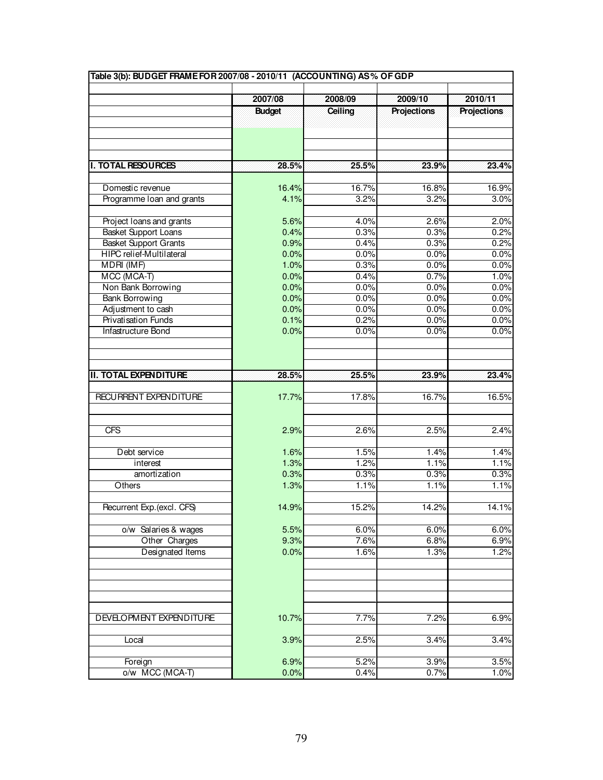|                              | Table 3(b): BUDGET FRAME FOR 2007/08 - 2010/11 (ACCOUNTING) AS% OF GDP |         |                    |                    |  |  |  |  |  |  |
|------------------------------|------------------------------------------------------------------------|---------|--------------------|--------------------|--|--|--|--|--|--|
|                              |                                                                        |         |                    |                    |  |  |  |  |  |  |
|                              | 2007/08                                                                | 2008/09 | 2009/10            | 2010/11            |  |  |  |  |  |  |
|                              | <b>Budget</b>                                                          | Ceiling | <b>Projections</b> | <b>Projections</b> |  |  |  |  |  |  |
|                              |                                                                        |         |                    |                    |  |  |  |  |  |  |
|                              |                                                                        |         |                    |                    |  |  |  |  |  |  |
|                              |                                                                        |         |                    |                    |  |  |  |  |  |  |
| I. TO TAL RESOURCES          | 28.5%                                                                  | 25.5%   | 23.9%              | 23.4%              |  |  |  |  |  |  |
|                              |                                                                        |         |                    |                    |  |  |  |  |  |  |
| Domestic revenue             | 16.4%                                                                  | 16.7%   | 16.8%              | 16.9%              |  |  |  |  |  |  |
| Programme Ioan and grants    | 4.1%                                                                   | 3.2%    | 3.2%               | 3.0%               |  |  |  |  |  |  |
|                              |                                                                        |         |                    |                    |  |  |  |  |  |  |
| Project Ioans and grants     | 5.6%                                                                   | 4.0%    | 2.6%               | 2.0%               |  |  |  |  |  |  |
| <b>Basket Support Loans</b>  | 0.4%                                                                   | 0.3%    | 0.3%               | 0.2%               |  |  |  |  |  |  |
| <b>Basket Support Grants</b> | 0.9%                                                                   | 0.4%    | 0.3%               | 0.2%               |  |  |  |  |  |  |
| HIPC relief-Multilateral     | 0.0%                                                                   | 0.0%    | 0.0%               | 0.0%               |  |  |  |  |  |  |
| MDRI(IMF)                    | 1.0%                                                                   | 0.3%    | 0.0%               | 0.0%               |  |  |  |  |  |  |
| MCC (MCA-T)                  | 0.0%                                                                   | 0.4%    | 0.7%               | 1.0%               |  |  |  |  |  |  |
| Non Bank Borrowing           | 0.0%                                                                   | 0.0%    | 0.0%               | 0.0%               |  |  |  |  |  |  |
| <b>Bank Borrowing</b>        | 0.0%                                                                   | 0.0%    | 0.0%               | 0.0%               |  |  |  |  |  |  |
| Adjustment to cash           | 0.0%                                                                   | 0.0%    | 0.0%               | 0.0%               |  |  |  |  |  |  |
| <b>Privatisation Funds</b>   | 0.1%                                                                   | 0.2%    | 0.0%               | 0.0%               |  |  |  |  |  |  |
| Infastructure Bond           | 0.0%                                                                   | 0.0%    | 0.0%               | 0.0%               |  |  |  |  |  |  |
|                              |                                                                        |         |                    |                    |  |  |  |  |  |  |
|                              |                                                                        |         |                    |                    |  |  |  |  |  |  |
| <b>II. TOTAL EXPENDITURE</b> | 28.5%                                                                  | 25.5%   | 23.9%              | 23.4%              |  |  |  |  |  |  |
|                              |                                                                        |         |                    |                    |  |  |  |  |  |  |
| RECURRENT EXPENDITURE        | 17.7%                                                                  | 17.8%   | 16.7%              | 16.5%              |  |  |  |  |  |  |
|                              |                                                                        |         |                    |                    |  |  |  |  |  |  |
|                              |                                                                        |         |                    |                    |  |  |  |  |  |  |
| CFS                          | 2.9%                                                                   | 2.6%    | 2.5%               | 2.4%               |  |  |  |  |  |  |
|                              |                                                                        |         |                    |                    |  |  |  |  |  |  |
| Debt service                 | 1.6%                                                                   | 1.5%    | 1.4%               | 1.4%               |  |  |  |  |  |  |
| interest                     | 1.3%                                                                   | 1.2%    | 1.1%               | 1.1%               |  |  |  |  |  |  |
| amortization                 | 0.3%                                                                   | 0.3%    | 0.3%               | 0.3%               |  |  |  |  |  |  |
| Others                       | 1.3%                                                                   | 1.1%    | 1.1%               | 1.1%               |  |  |  |  |  |  |
|                              |                                                                        |         |                    |                    |  |  |  |  |  |  |
| Recurrent Exp.(excl. CFS)    | 14.9%                                                                  | 15.2%   | 14.2%              | 14.1%              |  |  |  |  |  |  |
|                              |                                                                        |         |                    |                    |  |  |  |  |  |  |
| o/w Salaries & wages         | 5.5%                                                                   | 6.0%    | 6.0%               | 6.0%               |  |  |  |  |  |  |
| Other Charges                | 9.3%                                                                   | 7.6%    | 6.8%               | 6.9%               |  |  |  |  |  |  |
| Designated Items             | 0.0%                                                                   | 1.6%    | 1.3%               | 1.2%               |  |  |  |  |  |  |
|                              |                                                                        |         |                    |                    |  |  |  |  |  |  |
|                              |                                                                        |         |                    |                    |  |  |  |  |  |  |
|                              |                                                                        |         |                    |                    |  |  |  |  |  |  |
|                              |                                                                        |         |                    |                    |  |  |  |  |  |  |
|                              |                                                                        |         |                    |                    |  |  |  |  |  |  |
| DEVELOPMENT EXPENDITURE      | 10.7%                                                                  | 7.7%    | 7.2%               | 6.9%               |  |  |  |  |  |  |
|                              |                                                                        |         |                    |                    |  |  |  |  |  |  |
| Local                        | 3.9%                                                                   | 2.5%    | 3.4%               | 3.4%               |  |  |  |  |  |  |
| Foreign                      | 6.9%                                                                   | 5.2%    | 3.9%               | 3.5%               |  |  |  |  |  |  |
| o/w MCC (MCA-T)              | 0.0%                                                                   | 0.4%    | 0.7%               | 1.0%               |  |  |  |  |  |  |
|                              |                                                                        |         |                    |                    |  |  |  |  |  |  |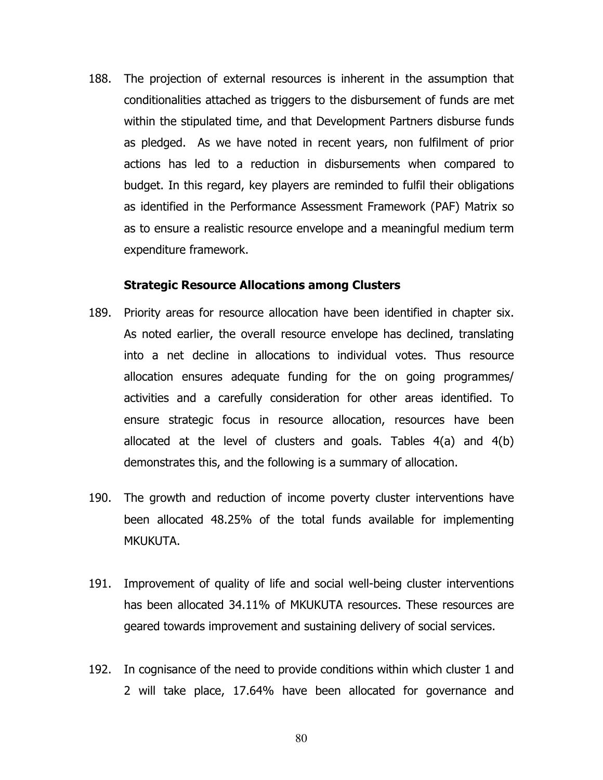188. The projection of external resources is inherent in the assumption that conditionalities attached as triggers to the disbursement of funds are met within the stipulated time, and that Development Partners disburse funds as pledged. As we have noted in recent years, non fulfilment of prior actions has led to a reduction in disbursements when compared to budget. In this regard, key players are reminded to fulfil their obligations as identified in the Performance Assessment Framework (PAF) Matrix so as to ensure a realistic resource envelope and a meaningful medium term expenditure framework.

#### Strategic Resource Allocations among Clusters

- 189. Priority areas for resource allocation have been identified in chapter six. As noted earlier, the overall resource envelope has declined, translating into a net decline in allocations to individual votes. Thus resource allocation ensures adequate funding for the on going programmes/ activities and a carefully consideration for other areas identified. To ensure strategic focus in resource allocation, resources have been allocated at the level of clusters and goals. Tables 4(a) and 4(b) demonstrates this, and the following is a summary of allocation.
- 190. The growth and reduction of income poverty cluster interventions have been allocated 48.25% of the total funds available for implementing MKUKUTA.
- 191. Improvement of quality of life and social well-being cluster interventions has been allocated 34.11% of MKUKUTA resources. These resources are geared towards improvement and sustaining delivery of social services.
- 192. In cognisance of the need to provide conditions within which cluster 1 and 2 will take place, 17.64% have been allocated for governance and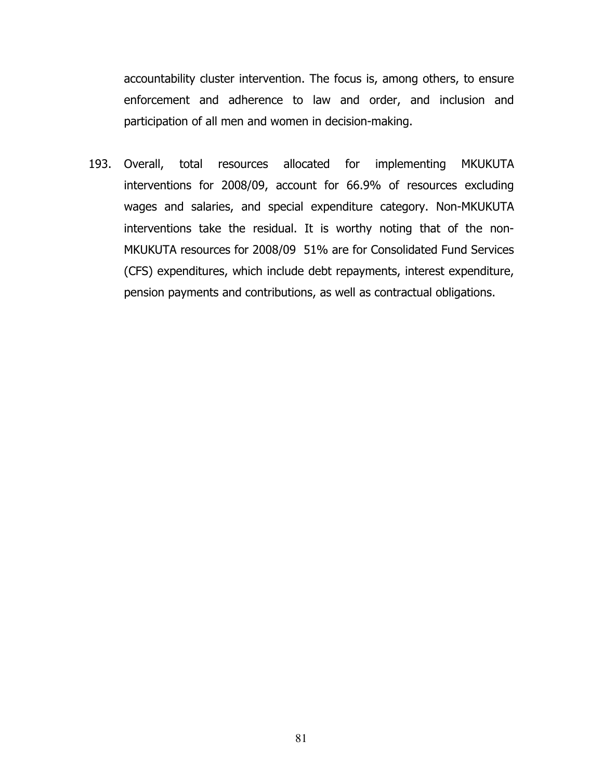accountability cluster intervention. The focus is, among others, to ensure enforcement and adherence to law and order, and inclusion and participation of all men and women in decision-making.

193. Overall, total resources allocated for implementing MKUKUTA interventions for 2008/09, account for 66.9% of resources excluding wages and salaries, and special expenditure category. Non-MKUKUTA interventions take the residual. It is worthy noting that of the non-MKUKUTA resources for 2008/09 51% are for Consolidated Fund Services (CFS) expenditures, which include debt repayments, interest expenditure, pension payments and contributions, as well as contractual obligations.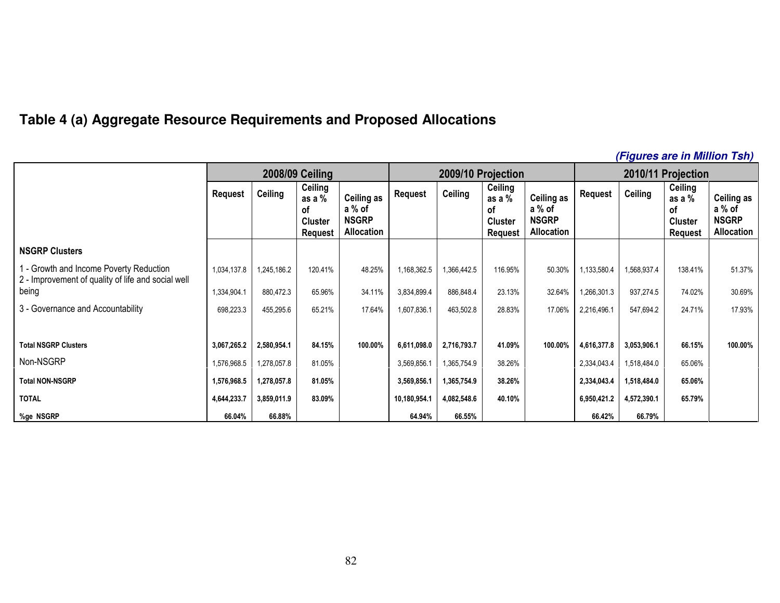## **Table 4 (a) Aggregate Resource Requirements and Proposed Allocations**

#### **(Figures are in Million Tsh)**2008/09 Ceiling 2009/10 Projection 2010/11 Projection Request Ceiling  $\begin{array}{|c|c|c|c|c|}\hline \text{Ceiling} & \text{Ceiling} & \text{Ceiling} & \text{Ceiling} & \text{Ceiling} \ \hline \end{array}$ of **Cluster** Request Ceiling as a % of NSGRP Allocation **Ceiling**  as a % of **Cluster** Request Ceiling as a % of NSGRP Allocation **Ceiling** as a % of **Cluster** Request Ceiling as a % of NSGRP Allocation NSGRP Clusters 1 - Growth and Income Poverty Reduction 1,034,137.8 | 1,245,186.2 | 120.41% | 48.25% | 1,168,362.5 | 1,366,442.5 | 116.95% | 50.30% | 1,133,580.4 | 1,568,937.4 | 138.41% | 51.37% 2 - Improvement of quality of life and social well being 1,334,904.1 880,472.3 65.96% 34.11% 3,834,899.4 886,848.4 23.13% 32.64% 1,266,301.3 937,274.5 74.02% 30.69% 3 - Governance and Accountability **698,223.3** 65,295.6 65.21% 17.64% 1,607,836.1 463,502.8 28.83% 17.06% 2,216,496.1 547,694.2 24.71% 17.93% Total NSGRP Clusters | 3,067,265.2 | 2,580,954.1 | 84.15% | 100.00% | 6,611,098.0 | 2,716,793.7 | 41.09% | 100.00% | 4,616,377.8 | 3,053,906.1 | 66.15% | 100.00% Non-NSGRP 1,576,968.5 1,278,057.8 81.05% 3,569,856.1 1,365,754.9 38.26% 2,334,043.4 1,518,484.0 65.06% Total NON-NSGRP | 1,576,968.5 | 1,278,057.8 | 81.05% | | 3,569,856.1 | 1,365,754.9 | 38.26% | | 2,334,043.4 | 1,518,484.0 | 65.06% TOTAL 4,644,233.7 3,859,011.9 83.09% 10,180,954.1 4,082,548.6 40.10% 6,950,421.2 4,572,390.1 65.79% %ge NSGRP | 66.04% | 66.88% | | 64.94% | 66.55% | | | 66.42% | 66.79%

82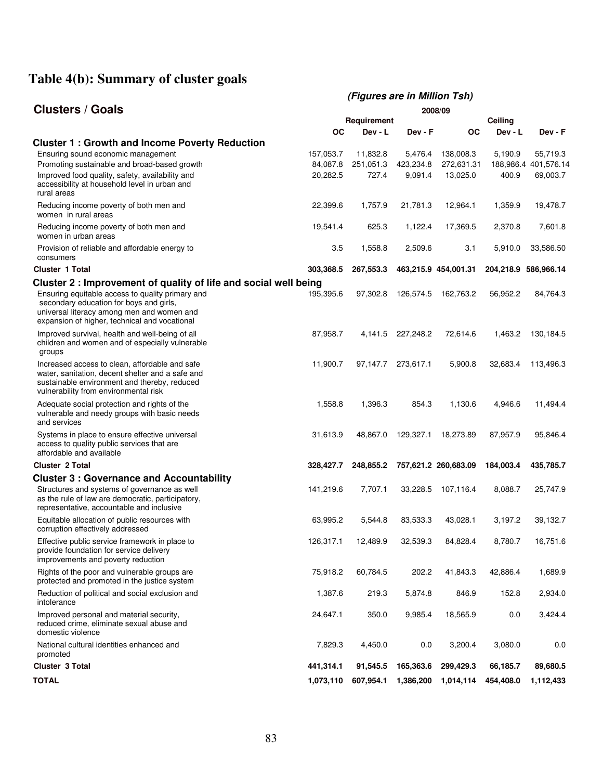# **Table 4(b): Summary of cluster goals**

|                                                                                                                                                                                                                                                                |                       | (Figures are in Million Tsh) |                      |                         |           |                                  |  |
|----------------------------------------------------------------------------------------------------------------------------------------------------------------------------------------------------------------------------------------------------------------|-----------------------|------------------------------|----------------------|-------------------------|-----------|----------------------------------|--|
| <b>Clusters / Goals</b>                                                                                                                                                                                                                                        | 2008/09               |                              |                      |                         |           |                                  |  |
|                                                                                                                                                                                                                                                                |                       | Requirement                  |                      |                         | Ceiling   |                                  |  |
|                                                                                                                                                                                                                                                                | ОC                    | Dev - L                      | Dev - F              | <b>OC</b>               | Dev - L   | Dev - F                          |  |
| <b>Cluster 1: Growth and Income Poverty Reduction</b><br>Ensuring sound economic management<br>Promoting sustainable and broad-based growth                                                                                                                    | 157,053.7<br>84,087.8 | 11,832.8<br>251,051.3        | 5,476.4<br>423,234.8 | 138,008.3<br>272,631.31 | 5,190.9   | 55,719.3<br>188,986.4 401,576.14 |  |
| Improved food quality, safety, availability and<br>accessibility at household level in urban and<br>rural areas                                                                                                                                                | 20,282.5              | 727.4                        | 9,091.4              | 13,025.0                | 400.9     | 69,003.7                         |  |
| Reducing income poverty of both men and<br>women in rural areas                                                                                                                                                                                                | 22,399.6              | 1,757.9                      | 21,781.3             | 12,964.1                | 1,359.9   | 19,478.7                         |  |
| Reducing income poverty of both men and<br>women in urban areas                                                                                                                                                                                                | 19,541.4              | 625.3                        | 1,122.4              | 17,369.5                | 2,370.8   | 7,601.8                          |  |
| Provision of reliable and affordable energy to<br>consumers                                                                                                                                                                                                    | 3.5                   | 1,558.8                      | 2,509.6              | 3.1                     | 5,910.0   | 33,586.50                        |  |
| <b>Cluster 1 Total</b>                                                                                                                                                                                                                                         | 303,368.5             | 267,553.3                    |                      | 463,215.9 454,001.31    |           | 204,218.9 586,966.14             |  |
| Cluster 2 : Improvement of quality of life and social well being<br>Ensuring equitable access to quality primary and<br>secondary education for boys and girls,<br>universal literacy among men and women and<br>expansion of higher, technical and vocational | 195,395.6             | 97,302.8                     | 126,574.5            | 162,763.2               | 56,952.2  | 84,764.3                         |  |
| Improved survival, health and well-being of all<br>children and women and of especially vulnerable<br>groups                                                                                                                                                   | 87,958.7              | 4,141.5                      | 227,248.2            | 72,614.6                | 1,463.2   | 130,184.5                        |  |
| Increased access to clean, affordable and safe<br>water, sanitation, decent shelter and a safe and<br>sustainable environment and thereby, reduced<br>vulnerability from environmental risk                                                                    | 11,900.7              | 97,147.7                     | 273,617.1            | 5,900.8                 | 32,683.4  | 113,496.3                        |  |
| Adequate social protection and rights of the<br>vulnerable and needy groups with basic needs<br>and services                                                                                                                                                   | 1,558.8               | 1,396.3                      | 854.3                | 1,130.6                 | 4,946.6   | 11,494.4                         |  |
| Systems in place to ensure effective universal<br>access to quality public services that are<br>affordable and available                                                                                                                                       | 31,613.9              | 48,867.0                     | 129,327.1            | 18,273.89               | 87,957.9  | 95,846.4                         |  |
| <b>Cluster 2 Total</b>                                                                                                                                                                                                                                         | 328,427.7             | 248,855.2                    |                      | 757,621.2 260,683.09    | 184,003.4 | 435,785.7                        |  |
| <b>Cluster 3: Governance and Accountability</b><br>Structures and systems of governance as well<br>as the rule of law are democratic, participatory,<br>representative, accountable and inclusive                                                              | 141,219.6             | 7,707.1                      | 33,228.5             | 107,116.4               | 8,088.7   | 25,747.9                         |  |
| Equitable allocation of public resources with<br>corruption effectively addressed                                                                                                                                                                              | 63,995.2              | 5.544.8                      | 83,533.3             | 43.028.1                | 3,197.2   | 39,132.7                         |  |
| Effective public service framework in place to<br>provide foundation for service delivery<br>improvements and poverty reduction                                                                                                                                | 126,317.1             | 12,489.9                     | 32,539.3             | 84,828.4                | 8,780.7   | 16,751.6                         |  |
| Rights of the poor and vulnerable groups are<br>protected and promoted in the justice system                                                                                                                                                                   | 75,918.2              | 60,784.5                     | 202.2                | 41,843.3                | 42,886.4  | 1,689.9                          |  |
| Reduction of political and social exclusion and<br>intolerance                                                                                                                                                                                                 | 1,387.6               | 219.3                        | 5,874.8              | 846.9                   | 152.8     | 2,934.0                          |  |
| Improved personal and material security,<br>reduced crime, eliminate sexual abuse and<br>domestic violence                                                                                                                                                     | 24,647.1              | 350.0                        | 9,985.4              | 18,565.9                | 0.0       | 3,424.4                          |  |
| National cultural identities enhanced and<br>promoted                                                                                                                                                                                                          | 7,829.3               | 4,450.0                      | 0.0                  | 3,200.4                 | 3,080.0   | 0.0                              |  |
| <b>Cluster 3 Total</b>                                                                                                                                                                                                                                         | 441,314.1             | 91,545.5                     | 165,363.6            | 299,429.3               | 66,185.7  | 89,680.5                         |  |
| <b>TOTAL</b>                                                                                                                                                                                                                                                   | 1,073,110             | 607,954.1                    | 1,386,200            | 1,014,114               | 454,408.0 | 1,112,433                        |  |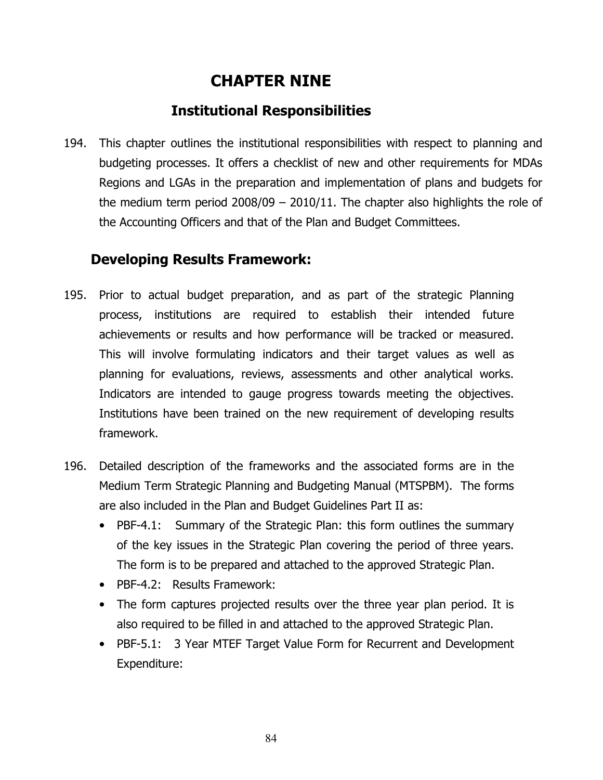# CHAPTER NINE

# Institutional Responsibilities

194. This chapter outlines the institutional responsibilities with respect to planning and budgeting processes. It offers a checklist of new and other requirements for MDAs Regions and LGAs in the preparation and implementation of plans and budgets for the medium term period 2008/09 – 2010/11. The chapter also highlights the role of the Accounting Officers and that of the Plan and Budget Committees.

# Developing Results Framework:

- 195. Prior to actual budget preparation, and as part of the strategic Planning process, institutions are required to establish their intended future achievements or results and how performance will be tracked or measured. This will involve formulating indicators and their target values as well as planning for evaluations, reviews, assessments and other analytical works. Indicators are intended to gauge progress towards meeting the objectives. Institutions have been trained on the new requirement of developing results framework.
- 196. Detailed description of the frameworks and the associated forms are in the Medium Term Strategic Planning and Budgeting Manual (MTSPBM). The forms are also included in the Plan and Budget Guidelines Part II as:
	- PBF-4.1: Summary of the Strategic Plan: this form outlines the summary of the key issues in the Strategic Plan covering the period of three years. The form is to be prepared and attached to the approved Strategic Plan.
	- PBF-4.2: Results Framework:
	- The form captures projected results over the three year plan period. It is also required to be filled in and attached to the approved Strategic Plan.
	- PBF-5.1: 3 Year MTEF Target Value Form for Recurrent and Development Expenditure: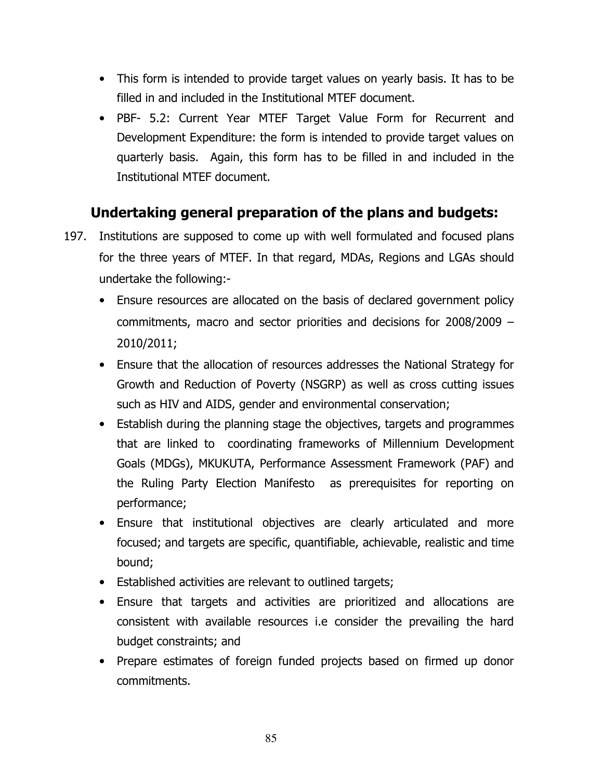- This form is intended to provide target values on yearly basis. It has to be filled in and included in the Institutional MTEF document.
- PBF- 5.2: Current Year MTEF Target Value Form for Recurrent and Development Expenditure: the form is intended to provide target values on quarterly basis. Again, this form has to be filled in and included in the Institutional MTEF document.

# Undertaking general preparation of the plans and budgets:

- 197. Institutions are supposed to come up with well formulated and focused plans for the three years of MTEF. In that regard, MDAs, Regions and LGAs should undertake the following:-
	- Ensure resources are allocated on the basis of declared government policy commitments, macro and sector priorities and decisions for 2008/2009 – 2010/2011;
	- Ensure that the allocation of resources addresses the National Strategy for Growth and Reduction of Poverty (NSGRP) as well as cross cutting issues such as HIV and AIDS, gender and environmental conservation;
	- Establish during the planning stage the objectives, targets and programmes that are linked to coordinating frameworks of Millennium Development Goals (MDGs), MKUKUTA, Performance Assessment Framework (PAF) and the Ruling Party Election Manifesto as prerequisites for reporting on performance;
	- Ensure that institutional objectives are clearly articulated and more focused; and targets are specific, quantifiable, achievable, realistic and time bound;
	- Established activities are relevant to outlined targets;
	- Ensure that targets and activities are prioritized and allocations are consistent with available resources i.e consider the prevailing the hard budget constraints; and
	- Prepare estimates of foreign funded projects based on firmed up donor commitments.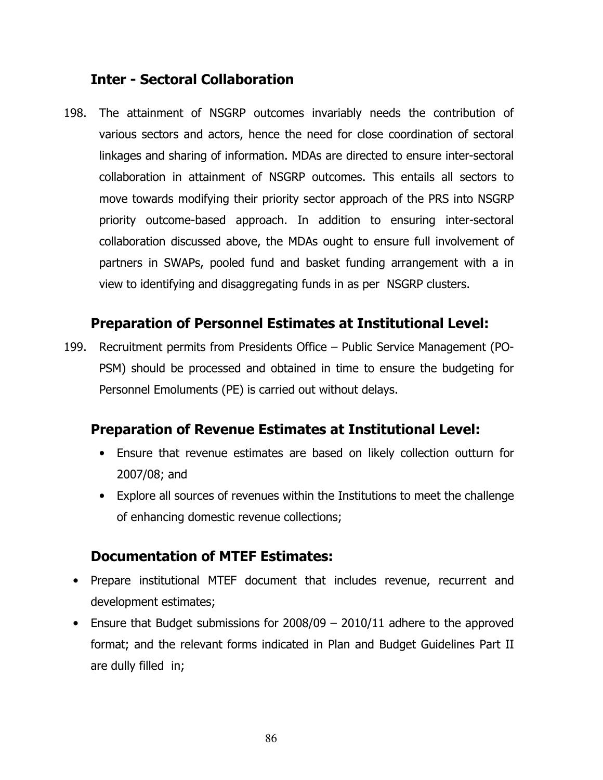# Inter - Sectoral Collaboration

198. The attainment of NSGRP outcomes invariably needs the contribution of various sectors and actors, hence the need for close coordination of sectoral linkages and sharing of information. MDAs are directed to ensure inter-sectoral collaboration in attainment of NSGRP outcomes. This entails all sectors to move towards modifying their priority sector approach of the PRS into NSGRP priority outcome-based approach. In addition to ensuring inter-sectoral collaboration discussed above, the MDAs ought to ensure full involvement of partners in SWAPs, pooled fund and basket funding arrangement with a in view to identifying and disaggregating funds in as per NSGRP clusters.

## Preparation of Personnel Estimates at Institutional Level:

199. Recruitment permits from Presidents Office – Public Service Management (PO-PSM) should be processed and obtained in time to ensure the budgeting for Personnel Emoluments (PE) is carried out without delays.

## Preparation of Revenue Estimates at Institutional Level:

- Ensure that revenue estimates are based on likely collection outturn for 2007/08; and
- Explore all sources of revenues within the Institutions to meet the challenge of enhancing domestic revenue collections;

## Documentation of MTEF Estimates:

- Prepare institutional MTEF document that includes revenue, recurrent and development estimates;
- Ensure that Budget submissions for 2008/09 2010/11 adhere to the approved format; and the relevant forms indicated in Plan and Budget Guidelines Part II are dully filled in;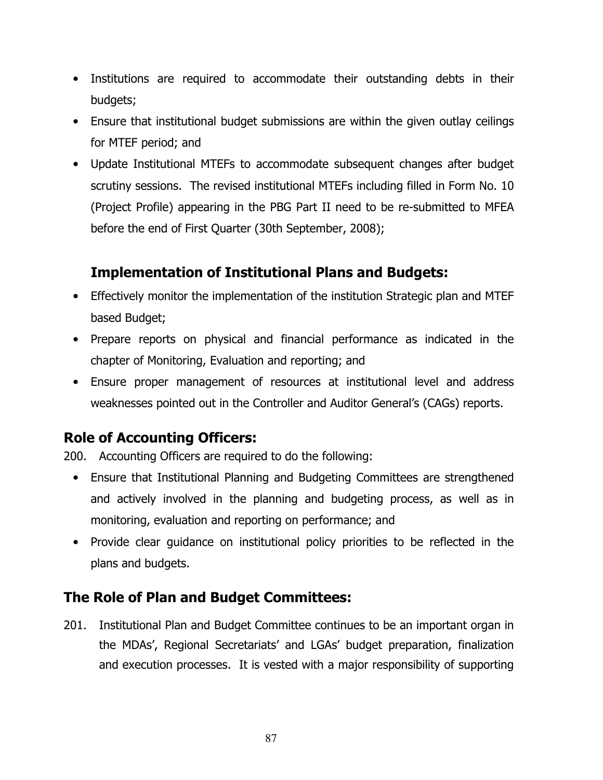- Institutions are required to accommodate their outstanding debts in their budgets;
- Ensure that institutional budget submissions are within the given outlay ceilings for MTEF period; and
- Update Institutional MTEFs to accommodate subsequent changes after budget scrutiny sessions. The revised institutional MTEFs including filled in Form No. 10 (Project Profile) appearing in the PBG Part II need to be re-submitted to MFEA before the end of First Quarter (30th September, 2008);

# Implementation of Institutional Plans and Budgets:

- Effectively monitor the implementation of the institution Strategic plan and MTEF based Budget;
- Prepare reports on physical and financial performance as indicated in the chapter of Monitoring, Evaluation and reporting; and
- Ensure proper management of resources at institutional level and address weaknesses pointed out in the Controller and Auditor General's (CAGs) reports.

# Role of Accounting Officers:

200. Accounting Officers are required to do the following:

- Ensure that Institutional Planning and Budgeting Committees are strengthened and actively involved in the planning and budgeting process, as well as in monitoring, evaluation and reporting on performance; and
- Provide clear guidance on institutional policy priorities to be reflected in the plans and budgets.

# The Role of Plan and Budget Committees:

201. Institutional Plan and Budget Committee continues to be an important organ in the MDAs', Regional Secretariats' and LGAs' budget preparation, finalization and execution processes. It is vested with a major responsibility of supporting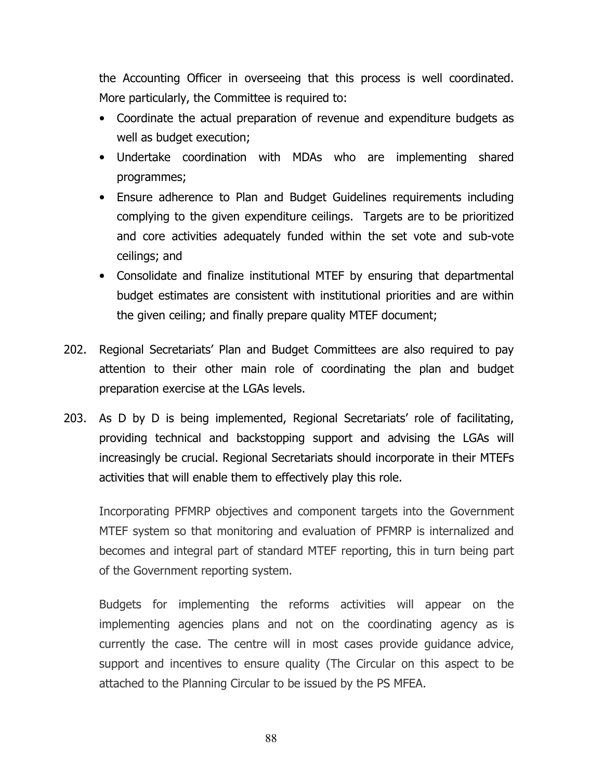the Accounting Officer in overseeing that this process is well coordinated. More particularly, the Committee is required to:

- Coordinate the actual preparation of revenue and expenditure budgets as well as budget execution;
- Undertake coordination with MDAs who are implementing shared programmes;
- Ensure adherence to Plan and Budget Guidelines requirements including complying to the given expenditure ceilings. Targets are to be prioritized and core activities adequately funded within the set vote and sub-vote ceilings; and
- Consolidate and finalize institutional MTEF by ensuring that departmental budget estimates are consistent with institutional priorities and are within the given ceiling; and finally prepare quality MTEF document;
- 202. Regional Secretariats' Plan and Budget Committees are also required to pay attention to their other main role of coordinating the plan and budget preparation exercise at the LGAs levels.
- 203. As D by D is being implemented, Regional Secretariats' role of facilitating, providing technical and backstopping support and advising the LGAs will increasingly be crucial. Regional Secretariats should incorporate in their MTEFs activities that will enable them to effectively play this role.

Incorporating PFMRP objectives and component targets into the Government MTEF system so that monitoring and evaluation of PFMRP is internalized and becomes and integral part of standard MTEF reporting, this in turn being part of the Government reporting system.

Budgets for implementing the reforms activities will appear on the implementing agencies plans and not on the coordinating agency as is currently the case. The centre will in most cases provide guidance advice, support and incentives to ensure quality (The Circular on this aspect to be attached to the Planning Circular to be issued by the PS MFEA.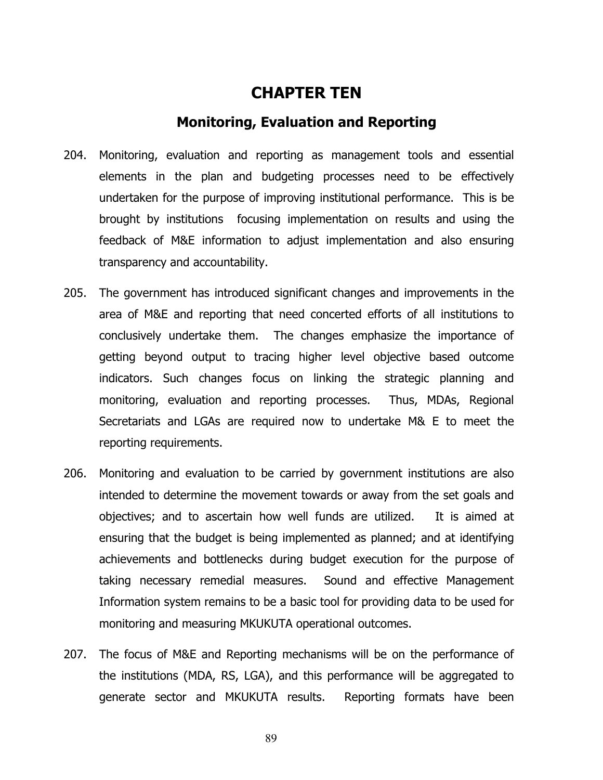## CHAPTER TEN

#### Monitoring, Evaluation and Reporting

- 204. Monitoring, evaluation and reporting as management tools and essential elements in the plan and budgeting processes need to be effectively undertaken for the purpose of improving institutional performance. This is be brought by institutions focusing implementation on results and using the feedback of M&E information to adjust implementation and also ensuring transparency and accountability.
- 205. The government has introduced significant changes and improvements in the area of M&E and reporting that need concerted efforts of all institutions to conclusively undertake them. The changes emphasize the importance of getting beyond output to tracing higher level objective based outcome indicators. Such changes focus on linking the strategic planning and monitoring, evaluation and reporting processes. Thus, MDAs, Regional Secretariats and LGAs are required now to undertake M& E to meet the reporting requirements.
- 206. Monitoring and evaluation to be carried by government institutions are also intended to determine the movement towards or away from the set goals and objectives; and to ascertain how well funds are utilized. It is aimed at ensuring that the budget is being implemented as planned; and at identifying achievements and bottlenecks during budget execution for the purpose of taking necessary remedial measures. Sound and effective Management Information system remains to be a basic tool for providing data to be used for monitoring and measuring MKUKUTA operational outcomes.
- 207. The focus of M&E and Reporting mechanisms will be on the performance of the institutions (MDA, RS, LGA), and this performance will be aggregated to generate sector and MKUKUTA results. Reporting formats have been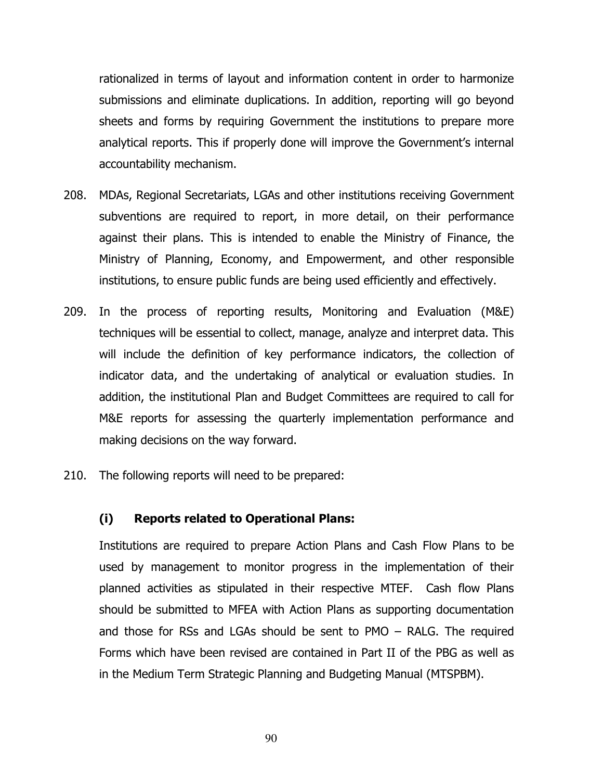rationalized in terms of layout and information content in order to harmonize submissions and eliminate duplications. In addition, reporting will go beyond sheets and forms by requiring Government the institutions to prepare more analytical reports. This if properly done will improve the Government's internal accountability mechanism.

- 208. MDAs, Regional Secretariats, LGAs and other institutions receiving Government subventions are required to report, in more detail, on their performance against their plans. This is intended to enable the Ministry of Finance, the Ministry of Planning, Economy, and Empowerment, and other responsible institutions, to ensure public funds are being used efficiently and effectively.
- 209. In the process of reporting results, Monitoring and Evaluation (M&E) techniques will be essential to collect, manage, analyze and interpret data. This will include the definition of key performance indicators, the collection of indicator data, and the undertaking of analytical or evaluation studies. In addition, the institutional Plan and Budget Committees are required to call for M&E reports for assessing the quarterly implementation performance and making decisions on the way forward.
- 210. The following reports will need to be prepared:

#### (i) Reports related to Operational Plans:

Institutions are required to prepare Action Plans and Cash Flow Plans to be used by management to monitor progress in the implementation of their planned activities as stipulated in their respective MTEF. Cash flow Plans should be submitted to MFEA with Action Plans as supporting documentation and those for RSs and LGAs should be sent to PMO – RALG. The required Forms which have been revised are contained in Part II of the PBG as well as in the Medium Term Strategic Planning and Budgeting Manual (MTSPBM).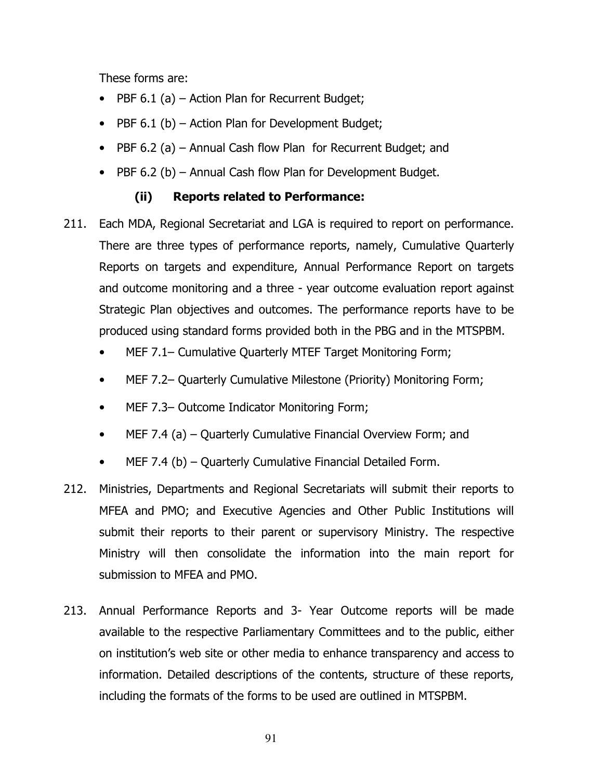These forms are:

- PBF 6.1 (a) Action Plan for Recurrent Budget;
- PBF 6.1 (b) Action Plan for Development Budget;
- PBF 6.2 (a) Annual Cash flow Plan for Recurrent Budget; and
- PBF 6.2 (b) Annual Cash flow Plan for Development Budget.

## (ii) Reports related to Performance:

- 211. Each MDA, Regional Secretariat and LGA is required to report on performance. There are three types of performance reports, namely, Cumulative Quarterly Reports on targets and expenditure, Annual Performance Report on targets and outcome monitoring and a three - year outcome evaluation report against Strategic Plan objectives and outcomes. The performance reports have to be produced using standard forms provided both in the PBG and in the MTSPBM.
	- MEF 7.1– Cumulative Quarterly MTEF Target Monitoring Form;
	- MEF 7.2– Quarterly Cumulative Milestone (Priority) Monitoring Form;
	- MEF 7.3– Outcome Indicator Monitoring Form;
	- MEF 7.4 (a) Quarterly Cumulative Financial Overview Form; and
	- MEF 7.4 (b) Quarterly Cumulative Financial Detailed Form.
- 212. Ministries, Departments and Regional Secretariats will submit their reports to MFEA and PMO; and Executive Agencies and Other Public Institutions will submit their reports to their parent or supervisory Ministry. The respective Ministry will then consolidate the information into the main report for submission to MFEA and PMO.
- 213. Annual Performance Reports and 3- Year Outcome reports will be made available to the respective Parliamentary Committees and to the public, either on institution's web site or other media to enhance transparency and access to information. Detailed descriptions of the contents, structure of these reports, including the formats of the forms to be used are outlined in MTSPBM.